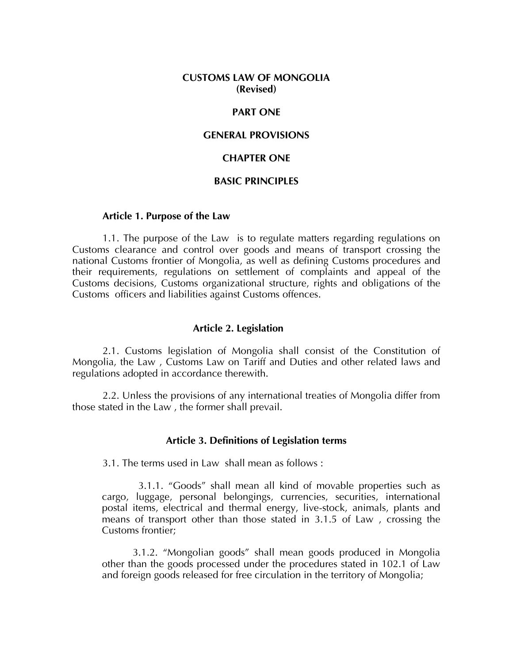## **CUSTOMS LAW OF MONGOLIA (Revised)**

### **PART ONE**

### **GENERAL PROVISIONS**

## **CHAPTER ONE**

# **BASIC PRINCIPLES**

#### **Article 1. Purpose of the Law**

1.1. The purpose of the Law is to regulate matters regarding regulations on Customs clearance and control over goods and means of transport crossing the national Customs frontier of Mongolia, as well as defining Customs procedures and their requirements, regulations on settlement of complaints and appeal of the Customs decisions, Customs organizational structure, rights and obligations of the Customs officers and liabilities against Customs offences.

#### **Article 2. Legislation**

2.1. Customs legislation of Mongolia shall consist of the Constitution of Mongolia, the Law , Customs Law on Tariff and Duties and other related laws and regulations adopted in accordance therewith.

2.2. Unless the provisions of any international treaties of Mongolia differ from those stated in the Law , the former shall prevail.

#### **Article 3. Definitions of Legislation terms**

3.1. The terms used in Law shall mean as follows :

3.1.1. 'Goods' shall mean all kind of movable properties such as cargo, luggage, personal belongings, currencies, securities, international postal items, electrical and thermal energy, live-stock, animals, plants and means of transport other than those stated in 3.1.5 of Law, crossing the Customs frontier;

3.1.2. 'Mongolian goods' shall mean goods produced in Mongolia other than the goods processed under the procedures stated in 102.1 of Law and foreign goods released for free circulation in the territory of Mongolia;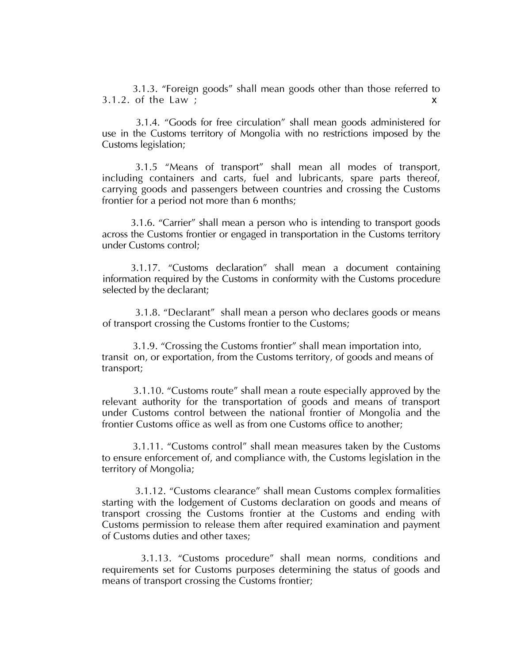3.1.3. 'Foreign goods' shall mean goods other than those referred to  $3.1.2.$  of the Law;

3.1.4. 'Goods for free circulation' shall mean goods administered for use in the Customs territory of Mongolia with no restrictions imposed by the Customs legislation;

3.1.5 'Means of transport' shall mean all modes of transport, including containers and carts, fuel and lubricants, spare parts thereof, carrying goods and passengers between countries and crossing the Customs frontier for a period not more than 6 months;

3.1.6. 'Carrier' shall mean a person who is intending to transport goods across the Customs frontier or engaged in transportation in the Customs territory under Customs control;

3.1.17. 'Customs declaration' shall mean a document containing information required by the Customs in conformity with the Customs procedure selected by the declarant;

3.1.8. 'Declarant' shall mean a person who declares goods or means of transport crossing the Customs frontier to the Customs;

3.1.9. 'Crossing the Customs frontier' shall mean importation into, transit on, or exportation, from the Customs territory, of goods and means of transport;

3.1.10. 'Customs route' shall mean a route especially approved by the relevant authority for the transportation of goods and means of transport under Customs control between the national frontier of Mongolia and the frontier Customs office as well as from one Customs office to another;

3.1.11. 'Customs control' shall mean measures taken by the Customs to ensure enforcement of, and compliance with, the Customs legislation in the territory of Mongolia;

3.1.12. 'Customs clearance' shall mean Customs complex formalities starting with the lodgement of Customs declaration on goods and means of transport crossing the Customs frontier at the Customs and ending with Customs permission to release them after required examination and payment of Customs duties and other taxes;

3.1.13. 'Customs procedure' shall mean norms, conditions and requirements set for Customs purposes determining the status of goods and means of transport crossing the Customs frontier;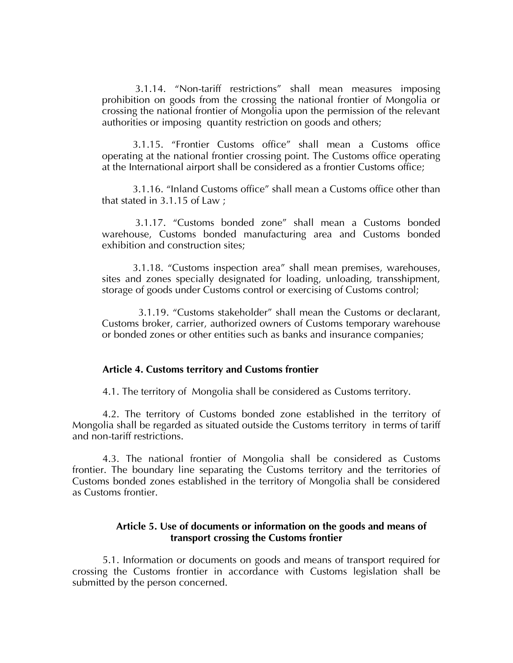3.1.14. 'Non-tariff restrictions' shall mean measures imposing prohibition on goods from the crossing the national frontier of Mongolia or crossing the national frontier of Mongolia upon the permission of the relevant authorities or imposing quantity restriction on goods and others;

3.1.15. 'Frontier Customs office' shall mean a Customs office operating at the national frontier crossing point. The Customs office operating at the International airport shall be considered as a frontier Customs office;

3.1.16. 'Inland Customs office' shall mean a Customs office other than that stated in 3.1.15 of Law ;

3.1.17. 'Customs bonded zone' shall mean a Customs bonded warehouse, Customs bonded manufacturing area and Customs bonded exhibition and construction sites;

3.1.18. 'Customs inspection area' shall mean premises, warehouses, sites and zones specially designated for loading, unloading, transshipment, storage of goods under Customs control or exercising of Customs control;

3.1.19. 'Customs stakeholder' shall mean the Customs or declarant, Customs broker, carrier, authorized owners of Customs temporary warehouse or bonded zones or other entities such as banks and insurance companies;

#### **Article 4. Customs territory and Customs frontier**

4.1. The territory of Mongolia shall be considered as Customs territory.

4.2. The territory of Customs bonded zone established in the territory of Mongolia shall be regarded as situated outside the Customs territory in terms of tariff and non-tariff restrictions.

4.3. The national frontier of Mongolia shall be considered as Customs frontier. The boundary line separating the Customs territory and the territories of Customs bonded zones established in the territory of Mongolia shall be considered as Customs frontier.

## **Article 5. Use of documents or information on the goods and means of transport crossing the Customs frontier**

5.1. Information or documents on goods and means of transport required for crossing the Customs frontier in accordance with Customs legislation shall be submitted by the person concerned.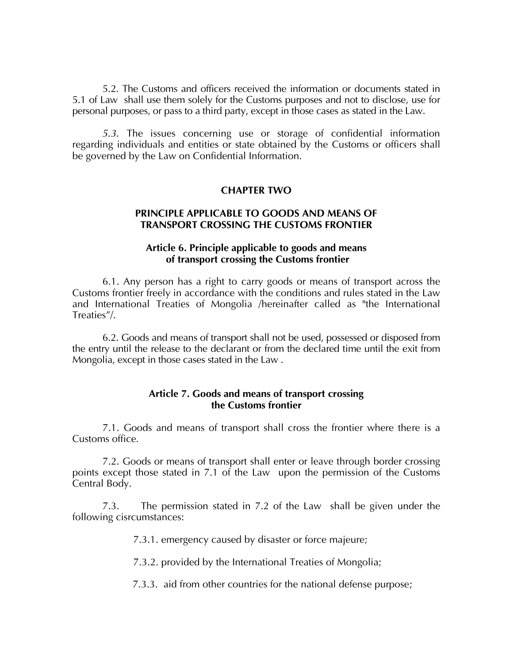5.2. The Customs and officers received the information or documents stated in 5.1 of Law shall use them solely for the Customs purposes and not to disclose, use for personal purposes, or pass to a third party, except in those cases as stated in the Law.

*5.3.* The issues concerning use or storage of confidential information regarding individuals and entities or state obtained by the Customs or officers shall be governed by the Law on Confidential Information.

# **CHAPTER TWO**

# **PRINCIPLE APPLICABLE TO GOODS AND MEANS OF TRANSPORT CROSSING THE CUSTOMS FRONTIER**

# **Article 6. Principle applicable to goods and means of transport crossing the Customs frontier**

6.1. Any person has a right to carry goods or means of transport across the Customs frontier freely in accordance with the conditions and rules stated in the Law and International Treaties of Mongolia /hereinafter called as "the International Treaties'/.

6.2. Goods and means of transport shall not be used, possessed or disposed from the entry until the release to the declarant or from the declared time until the exit from Mongolia, except in those cases stated in the Law .

# **Article 7. Goods and means of transport crossing the Customs frontier**

7.1. Goods and means of transport shall cross the frontier where there is a Customs office.

7.2. Goods or means of transport shall enter or leave through border crossing points except those stated in 7.1 of the Law upon the permission of the Customs Central Body.

7.3. The permission stated in 7.2 of the Law shall be given under the following cisrcumstances:

7.3.1. emergency caused by disaster or force majeure;

7.3.2. provided by the International Treaties of Mongolia;

7.3.3. aid from other countries for the national defense purpose;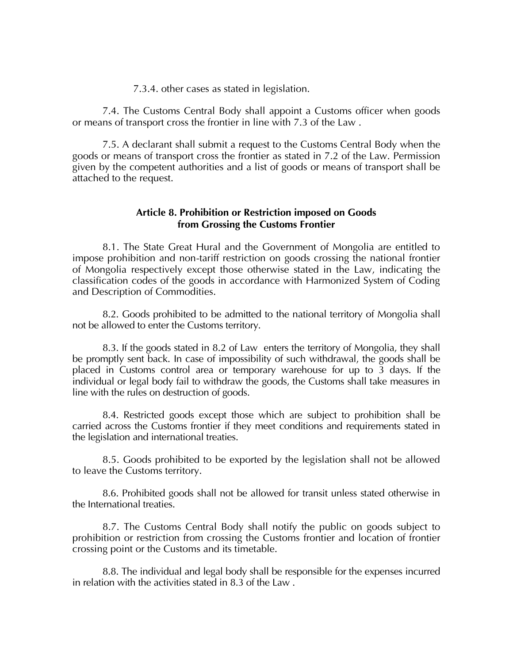7.3.4. other cases as stated in legislation.

7.4. The Customs Central Body shall appoint a Customs officer when goods or means of transport cross the frontier in line with 7.3 of the Law .

7.5. A declarant shall submit a request to the Customs Central Body when the goods or means of transport cross the frontier as stated in 7.2 of the Law. Permission given by the competent authorities and a list of goods or means of transport shall be attached to the request.

# **Article 8. Prohibition or Restriction imposed on Goods from Grossing the Customs Frontier**

8.1. The State Great Hural and the Government of Mongolia are entitled to impose prohibition and non-tariff restriction on goods crossing the national frontier of Mongolia respectively except those otherwise stated in the Law, indicating the classification codes of the goods in accordance with Harmonized System of Coding and Description of Commodities.

8.2. Goods prohibited to be admitted to the national territory of Mongolia shall not be allowed to enter the Customs territory.

8.3. If the goods stated in 8.2 of Law enters the territory of Mongolia, they shall be promptly sent back. In case of impossibility of such withdrawal, the goods shall be placed in Customs control area or temporary warehouse for up to 3 days. If the individual or legal body fail to withdraw the goods, the Customs shall take measures in line with the rules on destruction of goods.

8.4. Restricted goods except those which are subject to prohibition shall be carried across the Customs frontier if they meet conditions and requirements stated in the legislation and international treaties.

8.5. Goods prohibited to be exported by the legislation shall not be allowed to leave the Customs territory.

8.6. Prohibited goods shall not be allowed for transit unless stated otherwise in the International treaties.

8.7. The Customs Central Body shall notify the public on goods subject to prohibition or restriction from crossing the Customs frontier and location of frontier crossing point or the Customs and its timetable.

8.8. The individual and legal body shall be responsible for the expenses incurred in relation with the activities stated in 8.3 of the Law .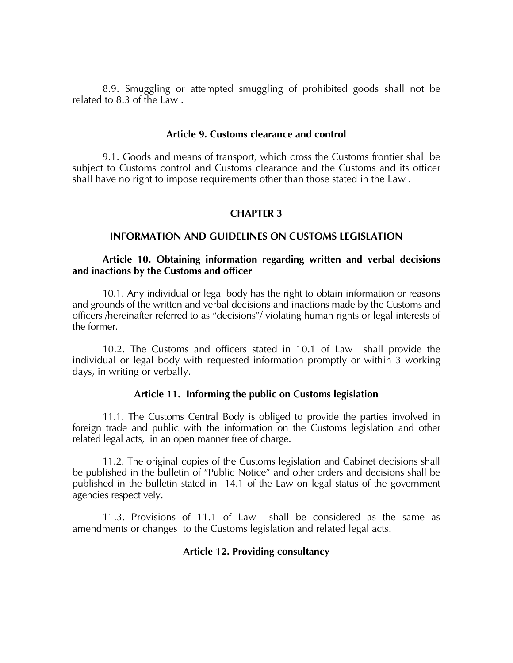8.9. Smuggling or attempted smuggling of prohibited goods shall not be related to 8.3 of the Law .

## **Article 9. Customs clearance and control**

9.1. Goods and means of transport, which cross the Customs frontier shall be subject to Customs control and Customs clearance and the Customs and its officer shall have no right to impose requirements other than those stated in the Law .

# **CHAPTER 3**

## **INFORMATION AND GUIDELINES ON CUSTOMS LEGISLATION**

# **Article 10. Obtaining information regarding written and verbal decisions and inactions by the Customs and officer**

10.1. Any individual or legal body has the right to obtain information or reasons and grounds of the written and verbal decisions and inactions made by the Customs and officers /hereinafter referred to as 'decisions'/ violating human rights or legal interests of the former.

10.2. The Customs and officers stated in 10.1 of Law shall provide the individual or legal body with requested information promptly or within 3 working days, in writing or verbally.

# **Article 11. Informing the public on Customs legislation**

11.1. The Customs Central Body is obliged to provide the parties involved in foreign trade and public with the information on the Customs legislation and other related legal acts, in an open manner free of charge.

11.2. The original copies of the Customs legislation and Cabinet decisions shall be published in the bulletin of 'Public Notice' and other orders and decisions shall be published in the bulletin stated in 14.1 of the Law on legal status of the government agencies respectively.

11.3. Provisions of 11.1 of Law shall be considered as the same as amendments or changes to the Customs legislation and related legal acts.

# **Article 12. Providing consultancy**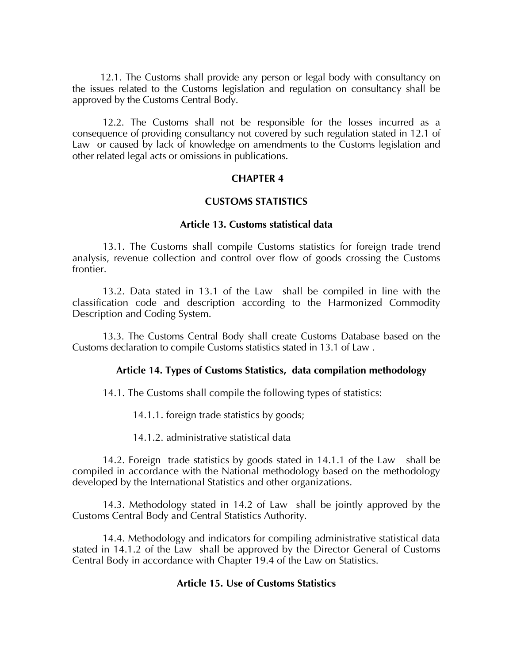12.1. The Customs shall provide any person or legal body with consultancy on the issues related to the Customs legislation and regulation on consultancy shall be approved by the Customs Central Body.

12.2. The Customs shall not be responsible for the losses incurred as a consequence of providing consultancy not covered by such regulation stated in 12.1 of Law or caused by lack of knowledge on amendments to the Customs legislation and other related legal acts or omissions in publications.

#### **CHAPTER 4**

#### **CUSTOMS STATISTICS**

#### **Article 13. Customs statistical data**

13.1. The Customs shall compile Customs statistics for foreign trade trend analysis, revenue collection and control over flow of goods crossing the Customs frontier.

13.2. Data stated in 13.1 of the Law shall be compiled in line with the classification code and description according to the Harmonized Commodity Description and Coding System.

13.3. The Customs Central Body shall create Customs Database based on the Customs declaration to compile Customs statistics stated in 13.1 of Law .

### **Article 14. Types of Customs Statistics, data compilation methodology**

14.1. The Customs shall compile the following types of statistics:

14.1.1. foreign trade statistics by goods;

14.1.2. administrative statistical data

14.2. Foreign trade statistics by goods stated in 14.1.1 of the Law shall be compiled in accordance with the National methodology based on the methodology developed by the International Statistics and other organizations.

14.3. Methodology stated in 14.2 of Law shall be jointly approved by the Customs Central Body and Central Statistics Authority.

14.4. Methodology and indicators for compiling administrative statistical data stated in 14.1.2 of the Law shall be approved by the Director General of Customs Central Body in accordance with Chapter 19.4 of the Law on Statistics.

## **Article 15. Use of Customs Statistics**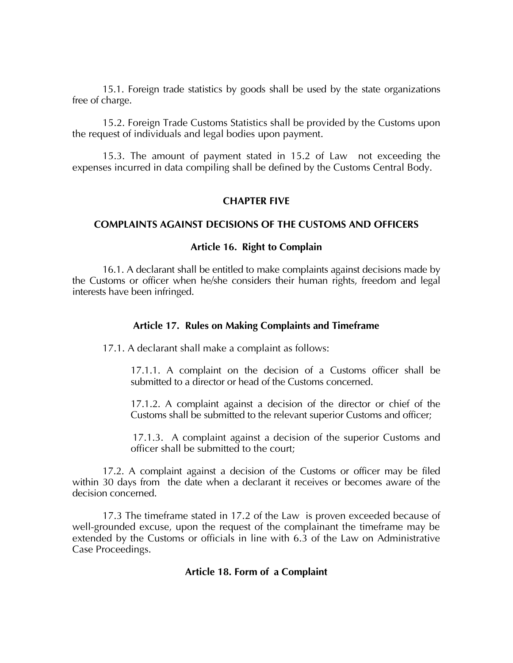15.1. Foreign trade statistics by goods shall be used by the state organizations free of charge.

15.2. Foreign Trade Customs Statistics shall be provided by the Customs upon the request of individuals and legal bodies upon payment.

15.3. The amount of payment stated in 15.2 of Law not exceeding the expenses incurred in data compiling shall be defined by the Customs Central Body.

# **CHAPTER FIVE**

## **COMPLAINTS AGAINST DECISIONS OF THE CUSTOMS AND OFFICERS**

### **Article 16. Right to Complain**

16.1. A declarant shall be entitled to make complaints against decisions made by the Customs or officer when he/she considers their human rights, freedom and legal interests have been infringed.

## **Article 17. Rules on Making Complaints and Timeframe**

17.1. A declarant shall make a complaint as follows:

17.1.1. A complaint on the decision of a Customs officer shall be submitted to a director or head of the Customs concerned.

17.1.2. A complaint against a decision of the director or chief of the Customs shall be submitted to the relevant superior Customs and officer;

17.1.3. A complaint against a decision of the superior Customs and officer shall be submitted to the court;

17.2. A complaint against a decision of the Customs or officer may be filed within 30 days from the date when a declarant it receives or becomes aware of the decision concerned.

17.3 The timeframe stated in 17.2 of the Law is proven exceeded because of well-grounded excuse, upon the request of the complainant the timeframe may be extended by the Customs or officials in line with 6.3 of the Law on Administrative Case Proceedings.

# **Article 18. Form of a Complaint**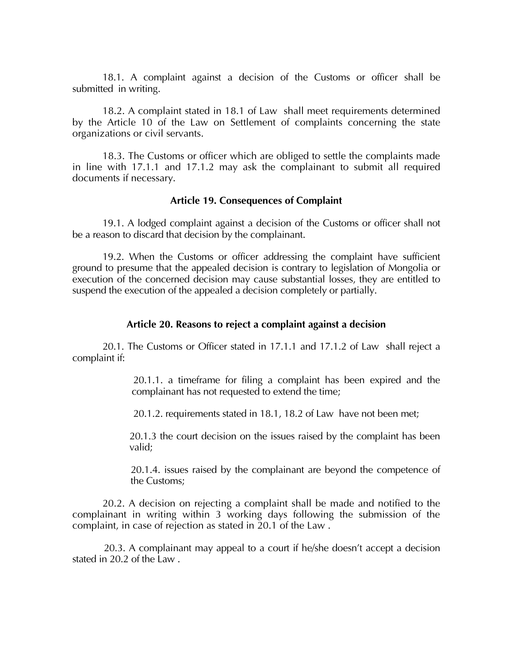18.1. A complaint against a decision of the Customs or officer shall be submitted in writing.

18.2. A complaint stated in 18.1 of Law shall meet requirements determined by the Article 10 of the Law on Settlement of complaints concerning the state organizations or civil servants.

18.3. The Customs or officer which are obliged to settle the complaints made in line with 17.1.1 and 17.1.2 may ask the complainant to submit all required documents if necessary.

# **Article 19. Consequences of Complaint**

19.1. A lodged complaint against a decision of the Customs or officer shall not be a reason to discard that decision by the complainant.

19.2. When the Customs or officer addressing the complaint have sufficient ground to presume that the appealed decision is contrary to legislation of Mongolia or execution of the concerned decision may cause substantial losses, they are entitled to suspend the execution of the appealed a decision completely or partially.

### **Article 20. Reasons to reject a complaint against a decision**

20.1. The Customs or Officer stated in 17.1.1 and 17.1.2 of Law shall reject a complaint if:

> 20.1.1. a timeframe for filing a complaint has been expired and the complainant has not requested to extend the time;

20.1.2. requirements stated in 18.1, 18.2 of Law have not been met;

20.1.3 the court decision on the issues raised by the complaint has been valid;

20.1.4. issues raised by the complainant are beyond the competence of the Customs;

20.2. A decision on rejecting a complaint shall be made and notified to the complainant in writing within 3 working days following the submission of the complaint, in case of rejection as stated in 20.1 of the Law .

 20.3. A complainant may appeal to a court if he/she doesn't accept a decision stated in 20.2 of the Law .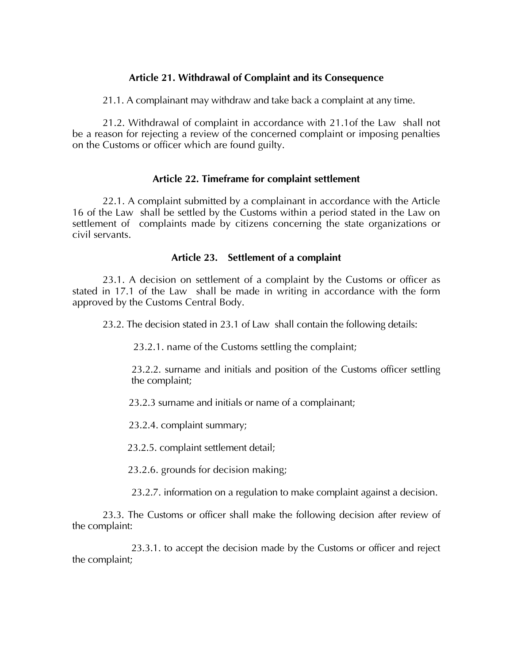# **Article 21. Withdrawal of Complaint and its Consequence**

21.1. A complainant may withdraw and take back a complaint at any time.

21.2. Withdrawal of complaint in accordance with 21.1of the Law shall not be a reason for rejecting a review of the concerned complaint or imposing penalties on the Customs or officer which are found guilty.

# **Article 22. Timeframe for complaint settlement**

22.1. A complaint submitted by a complainant in accordance with the Article 16 of the Law shall be settled by the Customs within a period stated in the Law on settlement of complaints made by citizens concerning the state organizations or civil servants.

# **Article 23. Settlement of a complaint**

23.1. A decision on settlement of a complaint by the Customs or officer as stated in 17.1 of the Law shall be made in writing in accordance with the form approved by the Customs Central Body.

23.2. The decision stated in 23.1 of Law shall contain the following details:

23.2.1. name of the Customs settling the complaint;

23.2.2. surname and initials and position of the Customs officer settling the complaint;

23.2.3 surname and initials or name of a complainant;

23.2.4. complaint summary;

23.2.5. complaint settlement detail;

23.2.6. grounds for decision making;

23.2.7. information on a regulation to make complaint against a decision.

23.3. The Customs or officer shall make the following decision after review of the complaint:

 23.3.1. to accept the decision made by the Customs or officer and reject the complaint;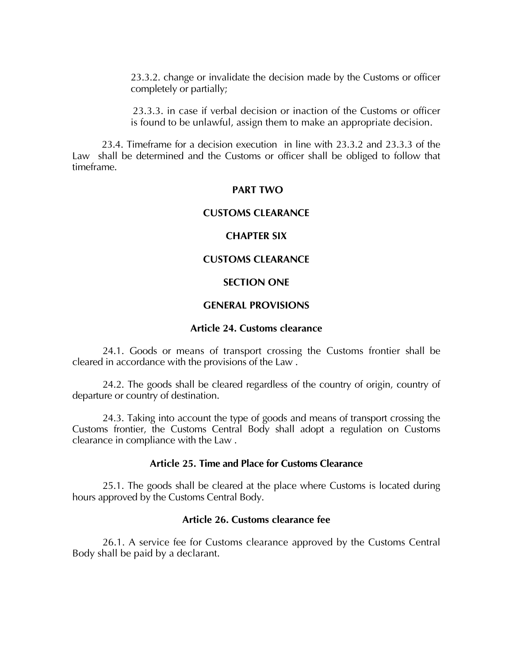23.3.2. change or invalidate the decision made by the Customs or officer completely or partially;

23.3.3. in case if verbal decision or inaction of the Customs or officer is found to be unlawful, assign them to make an appropriate decision.

 23.4. Timeframe for a decision execution in line with 23.3.2 and 23.3.3 of the Law shall be determined and the Customs or officer shall be obliged to follow that timeframe.

# **PART TWO**

## **CUSTOMS CLEARANCE**

# **CHAPTER SIX**

# **CUSTOMS CLEARANCE**

# **SECTION ONE**

#### **GENERAL PROVISIONS**

## **Article 24. Customs clearance**

24.1. Goods or means of transport crossing the Customs frontier shall be cleared in accordance with the provisions of the Law .

24.2. The goods shall be cleared regardless of the country of origin, country of departure or country of destination.

24.3. Taking into account the type of goods and means of transport crossing the Customs frontier, the Customs Central Body shall adopt a regulation on Customs clearance in compliance with the Law .

## **Article 25. Time and Place for Customs Clearance**

25.1. The goods shall be cleared at the place where Customs is located during hours approved by the Customs Central Body.

#### **Article 26. Customs clearance fee**

26.1. A service fee for Customs clearance approved by the Customs Central Body shall be paid by a declarant.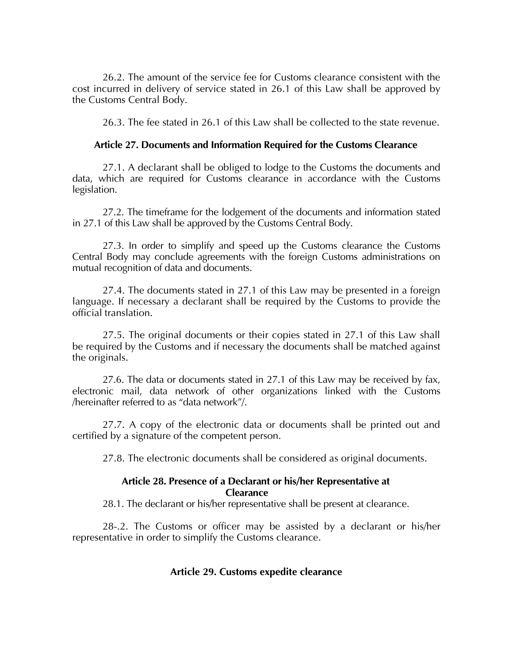26.2. The amount of the service fee for Customs clearance consistent with the cost incurred in delivery of service stated in 26.1 of this Law shall be approved by the Customs Central Body.

26.3. The fee stated in 26.1 of this Law shall be collected to the state revenue.

## **Article 27. Documents and Information Required for the Customs Clearance**

27.1. A declarant shall be obliged to lodge to the Customs the documents and data, which are required for Customs clearance in accordance with the Customs legislation.

27.2. The timeframe for the lodgement of the documents and information stated in 27.1 of this Law shall be approved by the Customs Central Body.

27.3. In order to simplify and speed up the Customs clearance the Customs Central Body may conclude agreements with the foreign Customs administrations on mutual recognition of data and documents.

27.4. The documents stated in 27.1 of this Law may be presented in a foreign language. If necessary a declarant shall be required by the Customs to provide the official translation.

27.5. The original documents or their copies stated in 27.1 of this Law shall be required by the Customs and if necessary the documents shall be matched against the originals.

27.6. The data or documents stated in 27.1 of this Law may be received by fax, electronic mail, data network of other organizations linked with the Customs /hereinafter referred to as 'data network'/.

27.7. A copy of the electronic data or documents shall be printed out and certified by a signature of the competent person.

27.8. The electronic documents shall be considered as original documents.

# **Article 28. Presence of a Declarant or his/her Representative at Clearance**

28.1. The declarant or his/her representative shall be present at clearance.

28-.2. The Customs or officer may be assisted by a declarant or his/her representative in order to simplify the Customs clearance.

## **Article 29. Customs expedite clearance**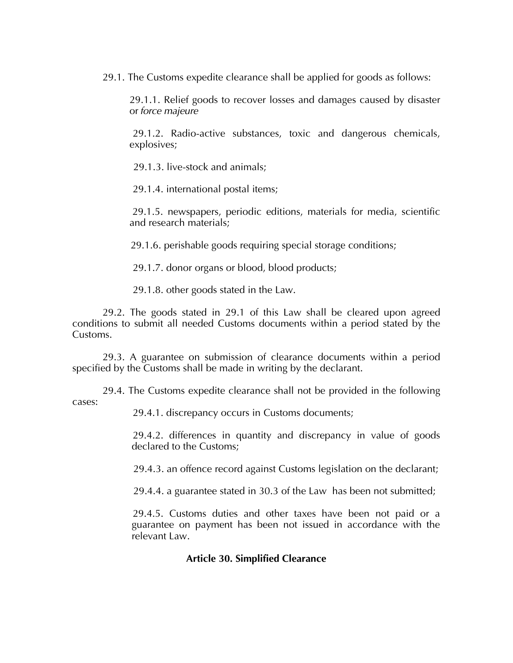29.1. The Customs expedite clearance shall be applied for goods as follows:

29.1.1. Relief goods to recover losses and damages caused by disaster or *force majeure*

29.1.2. Radio-active substances, toxic and dangerous chemicals, explosives;

29.1.3. live-stock and animals;

29.1.4. international postal items;

29.1.5. newspapers, periodic editions, materials for media, scientific and research materials;

29.1.6. perishable goods requiring special storage conditions;

29.1.7. donor organs or blood, blood products;

29.1.8. other goods stated in the Law.

29.2. The goods stated in 29.1 of this Law shall be cleared upon agreed conditions to submit all needed Customs documents within a period stated by the Customs.

29.3. A guarantee on submission of clearance documents within a period specified by the Customs shall be made in writing by the declarant.

29.4. The Customs expedite clearance shall not be provided in the following cases:

29.4.1. discrepancy occurs in Customs documents;

29.4.2. differences in quantity and discrepancy in value of goods declared to the Customs;

29.4.3. an offence record against Customs legislation on the declarant;

29.4.4. a guarantee stated in 30.3 of the Law has been not submitted;

29.4.5. Customs duties and other taxes have been not paid or a guarantee on payment has been not issued in accordance with the relevant Law.

# **Article 30. Simplified Clearance**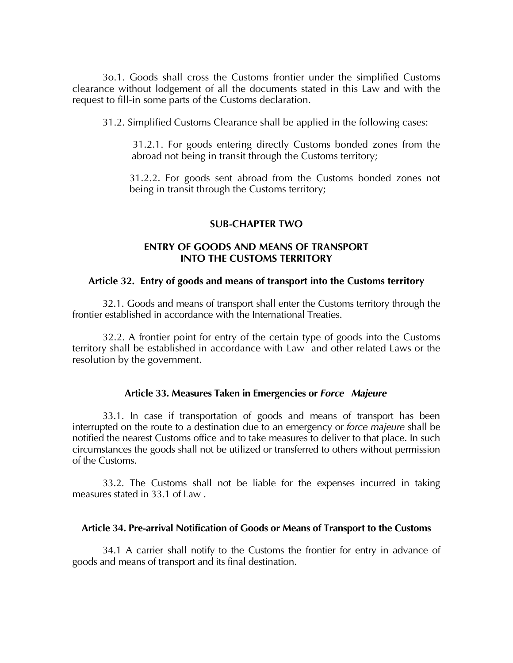3o.1. Goods shall cross the Customs frontier under the simplified Customs clearance without lodgement of all the documents stated in this Law and with the request to fill-in some parts of the Customs declaration.

31.2. Simplified Customs Clearance shall be applied in the following cases:

31.2.1. For goods entering directly Customs bonded zones from the abroad not being in transit through the Customs territory;

31.2.2. For goods sent abroad from the Customs bonded zones not being in transit through the Customs territory;

# **SUB-CHAPTER TWO**

### **ENTRY OF GOODS AND MEANS OF TRANSPORT INTO THE CUSTOMS TERRITORY**

#### **Article 32. Entry of goods and means of transport into the Customs territory**

32.1. Goods and means of transport shall enter the Customs territory through the frontier established in accordance with the International Treaties.

32.2. A frontier point for entry of the certain type of goods into the Customs territory shall be established in accordance with Law and other related Laws or the resolution by the government.

### **Article 33. Measures Taken in Emergencies or** *Force Majeure*

33.1. In case if transportation of goods and means of transport has been interrupted on the route to a destination due to an emergency or *force majeure* shall be notified the nearest Customs office and to take measures to deliver to that place. In such circumstances the goods shall not be utilized or transferred to others without permission of the Customs.

33.2. The Customs shall not be liable for the expenses incurred in taking measures stated in 33.1 of Law .

#### **Article 34. Pre-arrival Notification of Goods or Means of Transport to the Customs**

34.1 A carrier shall notify to the Customs the frontier for entry in advance of goods and means of transport and its final destination.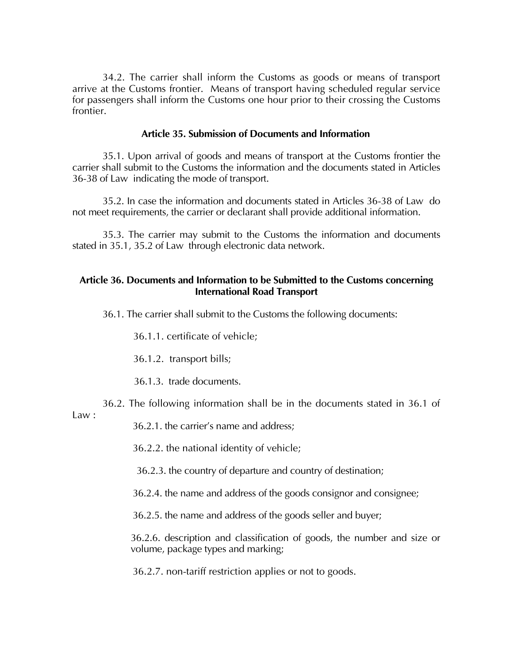34.2. The carrier shall inform the Customs as goods or means of transport arrive at the Customs frontier. Means of transport having scheduled regular service for passengers shall inform the Customs one hour prior to their crossing the Customs frontier.

## **Article 35. Submission of Documents and Information**

35.1. Upon arrival of goods and means of transport at the Customs frontier the carrier shall submit to the Customs the information and the documents stated in Articles 36-38 of Law indicating the mode of transport.

35.2. In case the information and documents stated in Articles 36-38 of Law do not meet requirements, the carrier or declarant shall provide additional information.

35.3. The carrier may submit to the Customs the information and documents stated in 35.1, 35.2 of Law through electronic data network.

## **Article 36. Documents and Information to be Submitted to the Customs concerning International Road Transport**

36.1. The carrier shall submit to the Customs the following documents:

36.1.1. certificate of vehicle;

36.1.2. transport bills;

36.1.3. trade documents.

36.2. The following information shall be in the documents stated in 36.1 of

Law :

36.2.1. the carrier's name and address;

36.2.2. the national identity of vehicle;

36.2.3. the country of departure and country of destination;

36.2.4. the name and address of the goods consignor and consignee;

36.2.5. the name and address of the goods seller and buyer;

36.2.6. description and classification of goods, the number and size or volume, package types and marking;

36.2.7. non-tariff restriction applies or not to goods.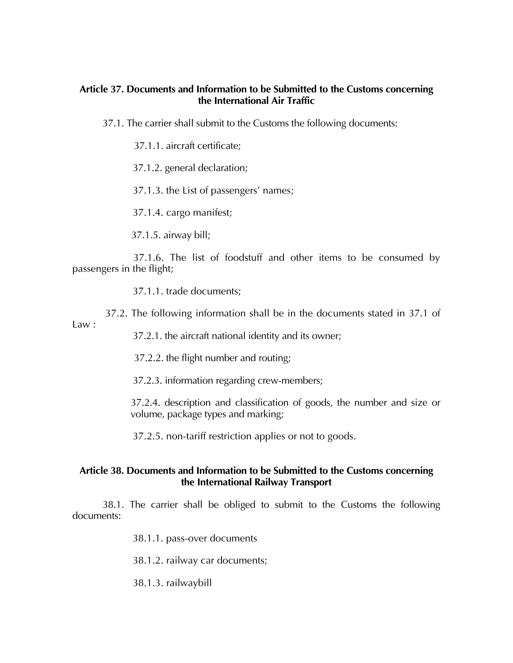# **Article 37. Documents and Information to be Submitted to the Customs concerning the International Air Traffic**

37.1. The carrier shall submit to the Customs the following documents:

37.1.1. aircraft certificate;

37.1.2. general declaration;

37.1.3. the List of passengers' names;

37.1.4. cargo manifest;

37.1.5. airway bill;

 37.1.6. The list of foodstuff and other items to be consumed by passengers in the flight;

37.1.1. trade documents;

37.2. The following information shall be in the documents stated in 37.1 of Law :

37.2.1. the aircraft national identity and its owner;

37.2.2. the flight number and routing;

37.2.3. information regarding crew-members;

37.2.4. description and classification of goods, the number and size or volume, package types and marking;

37.2.5. non-tariff restriction applies or not to goods.

# **Article 38. Documents and Information to be Submitted to the Customs concerning the International Railway Transport**

38.1. The carrier shall be obliged to submit to the Customs the following documents:

38.1.1. pass-over documents

38.1.2. railway car documents;

38.1.3. railwaybill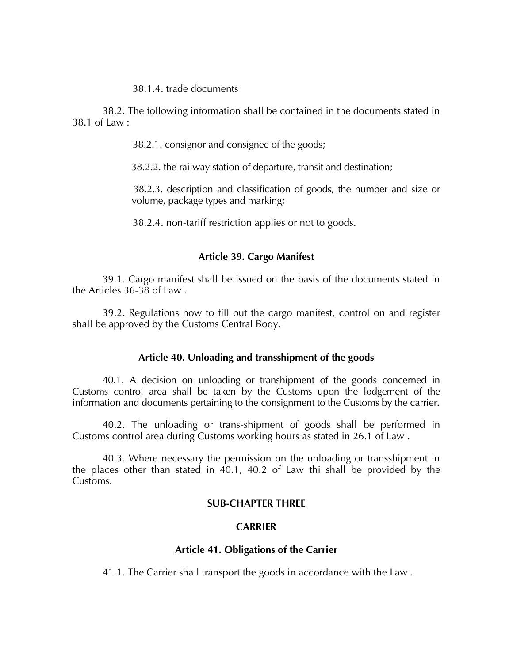## 38.1.4. trade documents

38.2. The following information shall be contained in the documents stated in 38.1 of Law :

38.2.1. consignor and consignee of the goods;

38.2.2. the railway station of departure, transit and destination;

38.2.3. description and classification of goods, the number and size or volume, package types and marking;

38.2.4. non-tariff restriction applies or not to goods.

# **Article 39. Cargo Manifest**

39.1. Cargo manifest shall be issued on the basis of the documents stated in the Articles 36-38 of Law .

39.2. Regulations how to fill out the cargo manifest, control on and register shall be approved by the Customs Central Body.

# **Article 40. Unloading and transshipment of the goods**

40.1. A decision on unloading or transhipment of the goods concerned in Customs control area shall be taken by the Customs upon the lodgement of the information and documents pertaining to the consignment to the Customs by the carrier.

40.2. The unloading or trans-shipment of goods shall be performed in Customs control area during Customs working hours as stated in 26.1 of Law .

40.3. Where necessary the permission on the unloading or transshipment in the places other than stated in 40.1, 40.2 of Law thi shall be provided by the Customs.

# **SUB-CHAPTER THREE**

# **CARRIER**

# **Article 41. Obligations of the Carrier**

41.1. The Carrier shall transport the goods in accordance with the Law .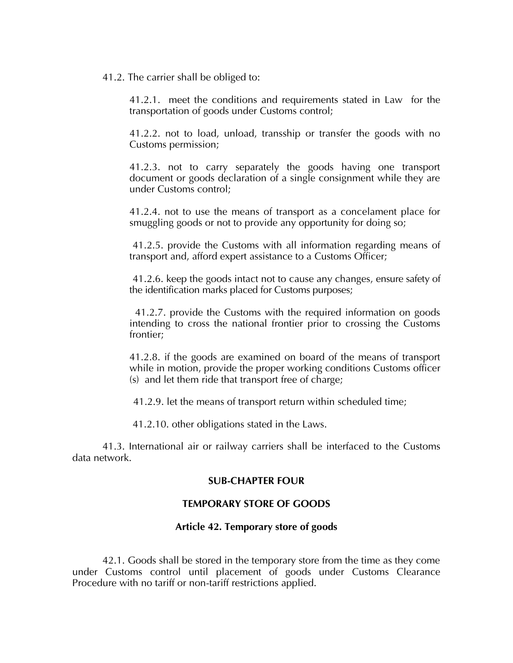41.2. The carrier shall be obliged to:

41.2.1. meet the conditions and requirements stated in Law for the transportation of goods under Customs control;

41.2.2. not to load, unload, transship or transfer the goods with no Customs permission;

41.2.3. not to carry separately the goods having one transport document or goods declaration of a single consignment while they are under Customs control;

41.2.4. not to use the means of transport as a concelament place for smuggling goods or not to provide any opportunity for doing so;

41.2.5. provide the Customs with all information regarding means of transport and, afford expert assistance to a Customs Officer;

41.2.6. keep the goods intact not to cause any changes, ensure safety of the identification marks placed for Customs purposes;

41.2.7. provide the Customs with the required information on goods intending to cross the national frontier prior to crossing the Customs frontier;

41.2.8. if the goods are examined on board of the means of transport while in motion, provide the proper working conditions Customs officer (s) and let them ride that transport free of charge;

41.2.9. let the means of transport return within scheduled time;

41.2.10. other obligations stated in the Laws.

41.3. International air or railway carriers shall be interfaced to the Customs data network.

# **SUB-CHAPTER FOUR**

# **TEMPORARY STORE OF GOODS**

# **Article 42. Temporary store of goods**

42.1. Goods shall be stored in the temporary store from the time as they come under Customs control until placement of goods under Customs Clearance Procedure with no tariff or non-tariff restrictions applied.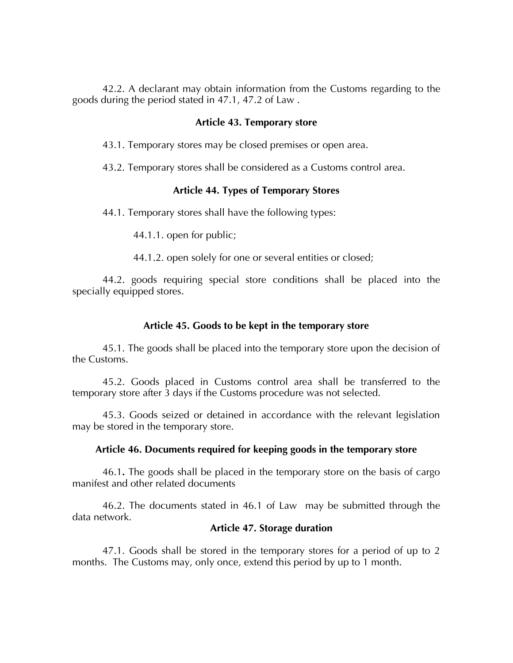42.2. A declarant may obtain information from the Customs regarding to the goods during the period stated in 47.1, 47.2 of Law .

## **Article 43. Temporary store**

43.1. Temporary stores may be closed premises or open area.

43.2. Temporary stores shall be considered as a Customs control area.

## **Article 44. Types of Temporary Stores**

44.1. Temporary stores shall have the following types:

44.1.1. open for public;

44.1.2. open solely for one or several entities or closed;

44.2. goods requiring special store conditions shall be placed into the specially equipped stores.

## **Article 45. Goods to be kept in the temporary store**

45.1. The goods shall be placed into the temporary store upon the decision of the Customs.

45.2. Goods placed in Customs control area shall be transferred to the temporary store after 3 days if the Customs procedure was not selected.

45.3. Goods seized or detained in accordance with the relevant legislation may be stored in the temporary store.

### **Article 46. Documents required for keeping goods in the temporary store**

46.1**.** The goods shall be placed in the temporary store on the basis of cargo manifest and other related documents

46.2. The documents stated in 46.1 of Law may be submitted through the data network.

## **Article 47. Storage duration**

47.1. Goods shall be stored in the temporary stores for a period of up to 2 months. The Customs may, only once, extend this period by up to 1 month.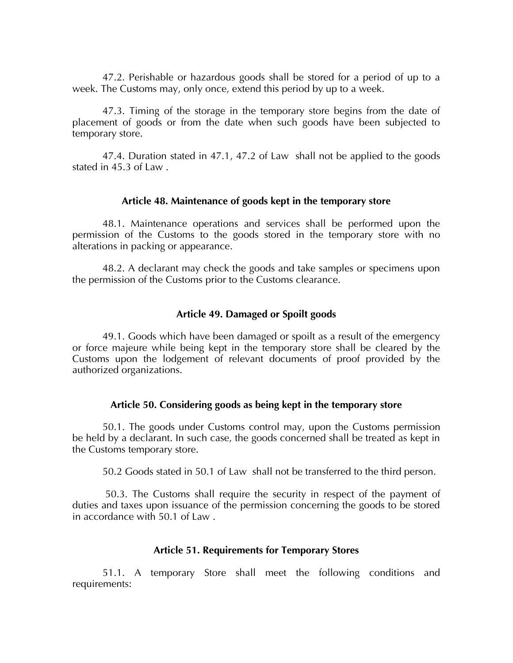47.2. Perishable or hazardous goods shall be stored for a period of up to a week. The Customs may, only once, extend this period by up to a week.

47.3. Timing of the storage in the temporary store begins from the date of placement of goods or from the date when such goods have been subjected to temporary store.

47.4. Duration stated in 47.1, 47.2 of Law shall not be applied to the goods stated in 45.3 of Law .

#### **Article 48. Maintenance of goods kept in the temporary store**

48.1. Maintenance operations and services shall be performed upon the permission of the Customs to the goods stored in the temporary store with no alterations in packing or appearance.

48.2. A declarant may check the goods and take samples or specimens upon the permission of the Customs prior to the Customs clearance.

## **Article 49. Damaged or Spoilt goods**

49.1. Goods which have been damaged or spoilt as a result of the emergency or force majeure while being kept in the temporary store shall be cleared by the Customs upon the lodgement of relevant documents of proof provided by the authorized organizations.

#### **Article 50. Considering goods as being kept in the temporary store**

50.1. The goods under Customs control may, upon the Customs permission be held by a declarant. In such case, the goods concerned shall be treated as kept in the Customs temporary store.

50.2 Goods stated in 50.1 of Law shall not be transferred to the third person.

50.3. The Customs shall require the security in respect of the payment of duties and taxes upon issuance of the permission concerning the goods to be stored in accordance with 50.1 of Law .

#### **Article 51. Requirements for Temporary Stores**

51.1. A temporary Store shall meet the following conditions and requirements: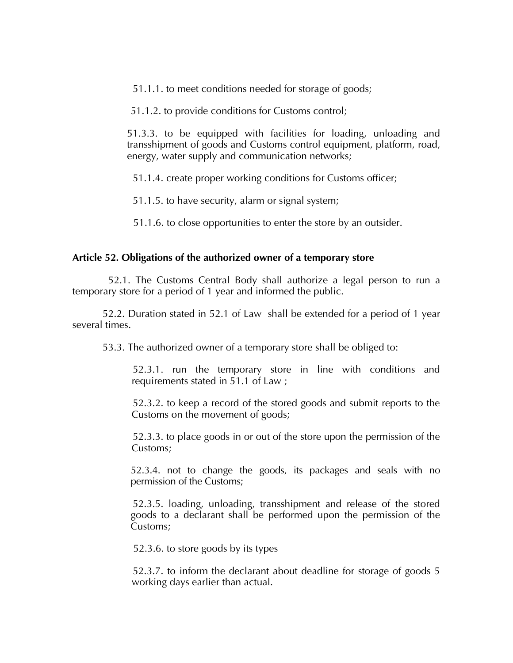51.1.1. to meet conditions needed for storage of goods;

51.1.2. to provide conditions for Customs control;

51.3.3. to be equipped with facilities for loading, unloading and transshipment of goods and Customs control equipment, platform, road, energy, water supply and communication networks;

51.1.4. create proper working conditions for Customs officer;

51.1.5. to have security, alarm or signal system;

51.1.6. to close opportunities to enter the store by an outsider.

# **Article 52. Obligations of the authorized owner of a temporary store**

 52.1. The Customs Central Body shall authorize a legal person to run a temporary store for a period of 1 year and informed the public.

52.2. Duration stated in 52.1 of Law shall be extended for a period of 1 year several times.

53.3. The authorized owner of a temporary store shall be obliged to:

52.3.1. run the temporary store in line with conditions and requirements stated in 51.1 of Law ;

52.3.2. to keep a record of the stored goods and submit reports to the Customs on the movement of goods;

52.3.3. to place goods in or out of the store upon the permission of the Customs;

52.3.4. not to change the goods, its packages and seals with no permission of the Customs;

52.3.5. loading, unloading, transshipment and release of the stored goods to a declarant shall be performed upon the permission of the Customs;

52.3.6. to store goods by its types

52.3.7. to inform the declarant about deadline for storage of goods 5 working days earlier than actual.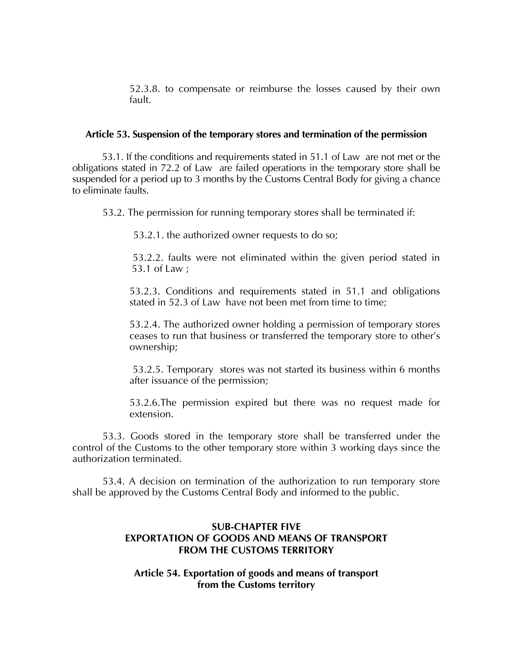52.3.8. to compensate or reimburse the losses caused by their own fault.

## **Article 53. Suspension of the temporary stores and termination of the permission**

53.1. If the conditions and requirements stated in 51.1 of Law are not met or the obligations stated in 72.2 of Law are failed operations in the temporary store shall be suspended for a period up to 3 months by the Customs Central Body for giving a chance to eliminate faults.

53.2. The permission for running temporary stores shall be terminated if:

53.2.1. the authorized owner requests to do so;

53.2.2. faults were not eliminated within the given period stated in 53.1 of Law ;

53.2.3. Conditions and requirements stated in 51.1 and obligations stated in 52.3 of Law have not been met from time to time;

53.2.4. The authorized owner holding a permission of temporary stores ceases to run that business or transferred the temporary store to other's ownership;

53.2.5. Temporary stores was not started its business within 6 months after issuance of the permission;

53.2.6.The permission expired but there was no request made for extension.

53.3. Goods stored in the temporary store shall be transferred under the control of the Customs to the other temporary store within 3 working days since the authorization terminated.

53.4. A decision on termination of the authorization to run temporary store shall be approved by the Customs Central Body and informed to the public.

# **SUB-CHAPTER FIVE EXPORTATION OF GOODS AND MEANS OF TRANSPORT FROM THE CUSTOMS TERRITORY**

# **Article 54. Exportation of goods and means of transport from the Customs territory**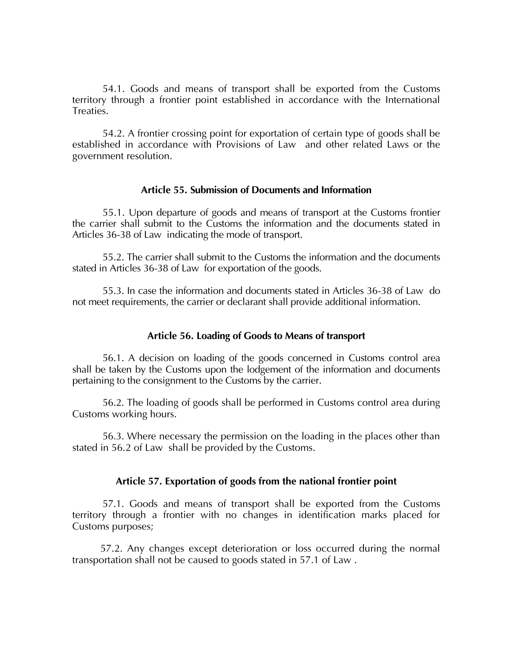54.1. Goods and means of transport shall be exported from the Customs territory through a frontier point established in accordance with the International Treaties.

54.2. A frontier crossing point for exportation of certain type of goods shall be established in accordance with Provisions of Law and other related Laws or the government resolution.

## **Article 55. Submission of Documents and Information**

55.1. Upon departure of goods and means of transport at the Customs frontier the carrier shall submit to the Customs the information and the documents stated in Articles 36-38 of Law indicating the mode of transport.

55.2. The carrier shall submit to the Customs the information and the documents stated in Articles 36-38 of Law for exportation of the goods.

55.3. In case the information and documents stated in Articles 36-38 of Law do not meet requirements, the carrier or declarant shall provide additional information.

### **Article 56. Loading of Goods to Means of transport**

56.1. A decision on loading of the goods concerned in Customs control area shall be taken by the Customs upon the lodgement of the information and documents pertaining to the consignment to the Customs by the carrier.

56.2. The loading of goods shall be performed in Customs control area during Customs working hours.

56.3. Where necessary the permission on the loading in the places other than stated in 56.2 of Law shall be provided by the Customs.

### **Article 57. Exportation of goods from the national frontier point**

57.1. Goods and means of transport shall be exported from the Customs territory through a frontier with no changes in identification marks placed for Customs purposes;

 57.2. Any changes except deterioration or loss occurred during the normal transportation shall not be caused to goods stated in 57.1 of Law .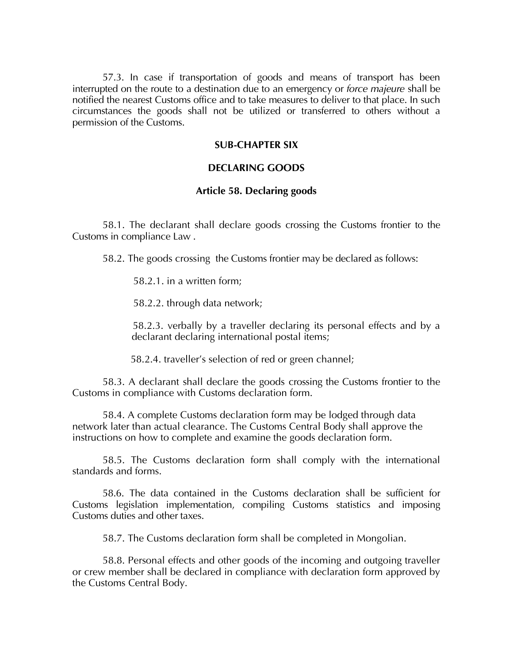57.3. In case if transportation of goods and means of transport has been interrupted on the route to a destination due to an emergency or *force majeure* shall be notified the nearest Customs office and to take measures to deliver to that place. In such circumstances the goods shall not be utilized or transferred to others without a permission of the Customs.

## **SUB-CHAPTER SIX**

# **DECLARING GOODS**

## **Article 58. Declaring goods**

58.1. The declarant shall declare goods crossing the Customs frontier to the Customs in compliance Law .

58.2. The goods crossing the Customs frontier may be declared as follows:

58.2.1. in a written form;

58.2.2. through data network;

58.2.3. verbally by a traveller declaring its personal effects and by a declarant declaring international postal items;

58.2.4. traveller's selection of red or green channel;

58.3. A declarant shall declare the goods crossing the Customs frontier to the Customs in compliance with Customs declaration form.

58.4. A complete Customs declaration form may be lodged through data network later than actual clearance. The Customs Central Body shall approve the instructions on how to complete and examine the goods declaration form.

58.5. The Customs declaration form shall comply with the international standards and forms.

58.6. The data contained in the Customs declaration shall be sufficient for Customs legislation implementation, compiling Customs statistics and imposing Customs duties and other taxes.

58.7. The Customs declaration form shall be completed in Mongolian.

58.8. Personal effects and other goods of the incoming and outgoing traveller or crew member shall be declared in compliance with declaration form approved by the Customs Central Body.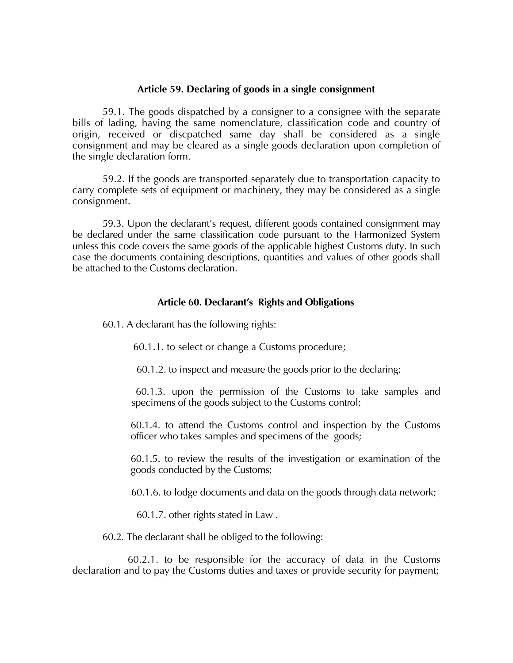## **Article 59. Declaring of goods in a single consignment**

59.1. The goods dispatched by a consigner to a consignee with the separate bills of lading, having the same nomenclature, classification code and country of origin, received or discpatched same day shall be considered as a single consignment and may be cleared as a single goods declaration upon completion of the single declaration form.

59.2. If the goods are transported separately due to transportation capacity to carry complete sets of equipment or machinery, they may be considered as a single consignment.

59.3. Upon the declarant's request, different goods contained consignment may be declared under the same classification code pursuant to the Harmonized System unless this code covers the same goods of the applicable highest Customs duty. In such case the documents containing descriptions, quantities and values of other goods shall be attached to the Customs declaration.

# **Article 60. Declarant's Rights and Obligations**

60.1. A declarant has the following rights:

60.1.1. to select or change a Customs procedure;

60.1.2. to inspect and measure the goods prior to the declaring;

60.1.3. upon the permission of the Customs to take samples and specimens of the goods subject to the Customs control;

60.1.4. to attend the Customs control and inspection by the Customs officer who takes samples and specimens of the goods;

60.1.5. to review the results of the investigation or examination of the goods conducted by the Customs;

60.1.6. to lodge documents and data on the goods through data network;

60.1.7. other rights stated in Law .

60.2. The declarant shall be obliged to the following:

 60.2.1. to be responsible for the accuracy of data in the Customs declaration and to pay the Customs duties and taxes or provide security for payment;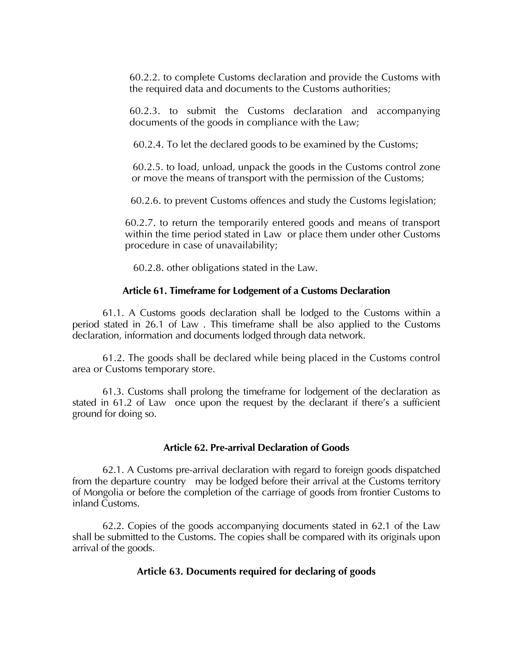60.2.2. to complete Customs declaration and provide the Customs with the required data and documents to the Customs authorities;

60.2.3. to submit the Customs declaration and accompanying documents of the goods in compliance with the Law;

60.2.4. To let the declared goods to be examined by the Customs;

60.2.5. to load, unload, unpack the goods in the Customs control zone or move the means of transport with the permission of the Customs;

60.2.6. to prevent Customs offences and study the Customs legislation;

60.2.7. to return the temporarily entered goods and means of transport within the time period stated in Law or place them under other Customs procedure in case of unavailability;

60.2.8. other obligations stated in the Law.

## **Article 61. Timeframe for Lodgement of a Customs Declaration**

61.1. A Customs goods declaration shall be lodged to the Customs within a period stated in 26.1 of Law . This timeframe shall be also applied to the Customs declaration, information and documents lodged through data network.

61.2. The goods shall be declared while being placed in the Customs control area or Customs temporary store.

61.3. Customs shall prolong the timeframe for lodgement of the declaration as stated in 61.2 of Law once upon the request by the declarant if there's a sufficient ground for doing so.

### **Article 62. Pre-arrival Declaration of Goods**

62.1. A Customs pre-arrival declaration with regard to foreign goods dispatched from the departure country may be lodged before their arrival at the Customs territory of Mongolia or before the completion of the carriage of goods from frontier Customs to inland Customs.

62.2. Copies of the goods accompanying documents stated in 62.1 of the Law shall be submitted to the Customs. The copies shall be compared with its originals upon arrival of the goods.

# **Article 63. Documents required for declaring of goods**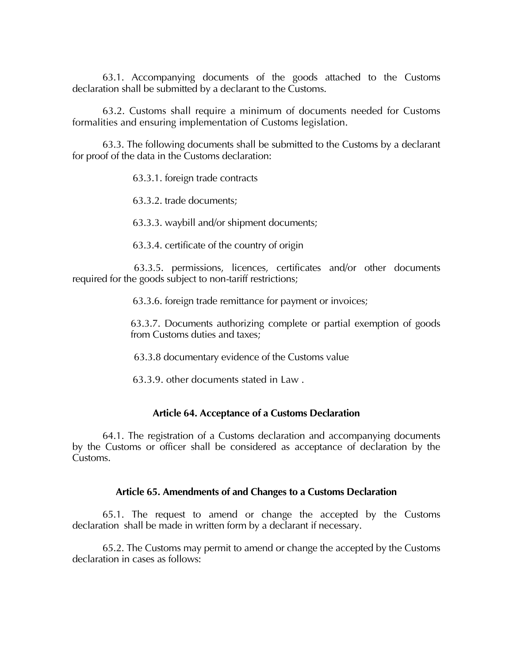63.1. Accompanying documents of the goods attached to the Customs declaration shall be submitted by a declarant to the Customs.

63.2. Customs shall require a minimum of documents needed for Customs formalities and ensuring implementation of Customs legislation.

63.3. The following documents shall be submitted to the Customs by a declarant for proof of the data in the Customs declaration:

63.3.1. foreign trade contracts

63.3.2. trade documents;

63.3.3. waybill and/or shipment documents;

63.3.4. certificate of the country of origin

 63.3.5. permissions, licences, certificates and/or other documents required for the goods subject to non-tariff restrictions;

63.3.6. foreign trade remittance for payment or invoices;

63.3.7. Documents authorizing complete or partial exemption of goods from Customs duties and taxes;

63.3.8 documentary evidence of the Customs value

63.3.9. other documents stated in Law .

# **Article 64. Acceptance of a Customs Declaration**

64.1. The registration of a Customs declaration and accompanying documents by the Customs or officer shall be considered as acceptance of declaration by the Customs.

# **Article 65. Amendments of and Changes to a Customs Declaration**

65.1. The request to amend or change the accepted by the Customs declaration shall be made in written form by a declarant if necessary.

65.2. The Customs may permit to amend or change the accepted by the Customs declaration in cases as follows: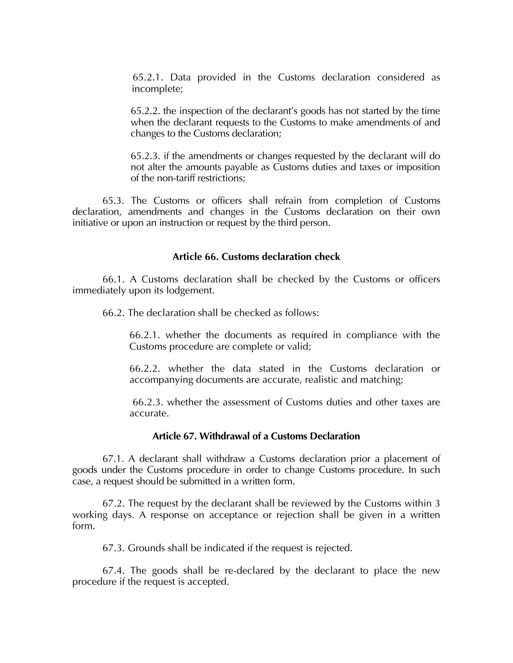65.2.1. Data provided in the Customs declaration considered as incomplete;

65.2.2. the inspection of the declarant's goods has not started by the time when the declarant requests to the Customs to make amendments of and changes to the Customs declaration;

65.2.3. if the amendments or changes requested by the declarant will do not alter the amounts payable as Customs duties and taxes or imposition of the non-tariff restrictions;

65.3. The Customs or officers shall refrain from completion of Customs declaration, amendments and changes in the Customs declaration on their own initiative or upon an instruction or request by the third person.

## **Article 66. Customs declaration check**

66.1. A Customs declaration shall be checked by the Customs or officers immediately upon its lodgement.

66.2. The declaration shall be checked as follows:

66.2.1. whether the documents as required in compliance with the Customs procedure are complete or valid;

66.2.2. whether the data stated in the Customs declaration or accompanying documents are accurate, realistic and matching;

66.2.3. whether the assessment of Customs duties and other taxes are accurate.

# **Article 67. Withdrawal of a Customs Declaration**

67.1. A declarant shall withdraw a Customs declaration prior a placement of goods under the Customs procedure in order to change Customs procedure. In such case, a request should be submitted in a written form.

67.2. The request by the declarant shall be reviewed by the Customs within 3 working days. A response on acceptance or rejection shall be given in a written form.

67.3. Grounds shall be indicated if the request is rejected.

67.4. The goods shall be re-declared by the declarant to place the new procedure if the request is accepted.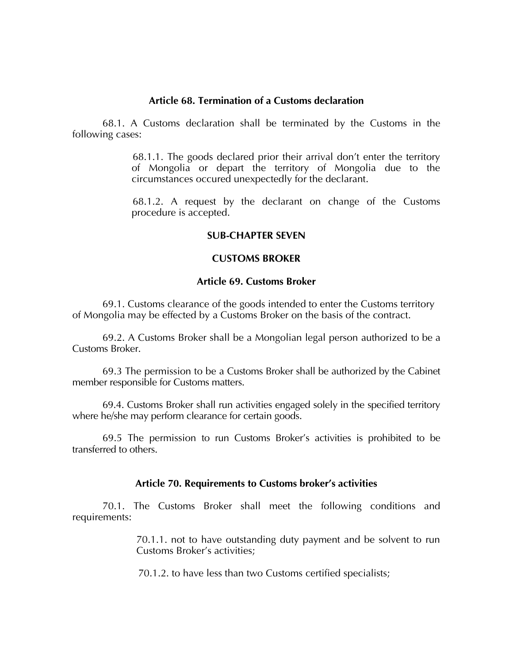# **Article 68. Termination of a Customs declaration**

68.1. A Customs declaration shall be terminated by the Customs in the following cases:

> 68.1.1. The goods declared prior their arrival don't enter the territory of Mongolia or depart the territory of Mongolia due to the circumstances occured unexpectedly for the declarant.

> 68.1.2. A request by the declarant on change of the Customs procedure is accepted.

### **SUB-CHAPTER SEVEN**

### **CUSTOMS BROKER**

# **Article 69. Customs Broker**

69.1. Customs clearance of the goods intended to enter the Customs territory of Mongolia may be effected by a Customs Broker on the basis of the contract.

69.2. A Customs Broker shall be a Mongolian legal person authorized to be a Customs Broker.

69.3 The permission to be a Customs Broker shall be authorized by the Cabinet member responsible for Customs matters.

69.4. Customs Broker shall run activities engaged solely in the specified territory where he/she may perform clearance for certain goods.

69.5 The permission to run Customs Broker's activities is prohibited to be transferred to others.

# **Article 70. Requirements to Customs broker's activities**

70.1. The Customs Broker shall meet the following conditions and requirements:

> 70.1.1. not to have outstanding duty payment and be solvent to run Customs Broker's activities;

70.1.2. to have less than two Customs certified specialists;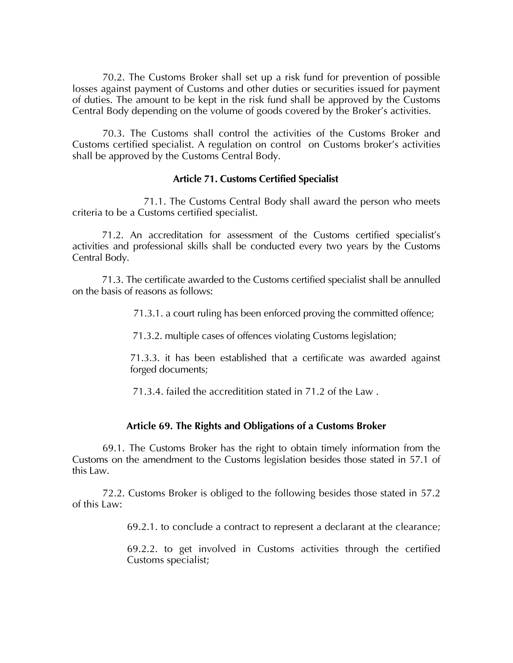70.2. The Customs Broker shall set up a risk fund for prevention of possible losses against payment of Customs and other duties or securities issued for payment of duties. The amount to be kept in the risk fund shall be approved by the Customs Central Body depending on the volume of goods covered by the Broker's activities.

70.3. The Customs shall control the activities of the Customs Broker and Customs certified specialist. A regulation on control on Customs broker's activities shall be approved by the Customs Central Body.

## **Article 71. Customs Certified Specialist**

71.1. The Customs Central Body shall award the person who meets criteria to be a Customs certified specialist.

71.2. An accreditation for assessment of the Customs certified specialist's activities and professional skills shall be conducted every two years by the Customs Central Body.

71.3. The certificate awarded to the Customs certified specialist shall be annulled on the basis of reasons as follows:

71.3.1. a court ruling has been enforced proving the committed offence;

71.3.2. multiple cases of offences violating Customs legislation;

71.3.3. it has been established that a certificate was awarded against forged documents;

71.3.4. failed the accreditition stated in 71.2 of the Law .

# **Article 69. The Rights and Obligations of a Customs Broker**

69.1. The Customs Broker has the right to obtain timely information from the Customs on the amendment to the Customs legislation besides those stated in 57.1 of this Law.

72.2. Customs Broker is obliged to the following besides those stated in 57.2 of this Law:

69.2.1. to conclude a contract to represent a declarant at the clearance;

69.2.2. to get involved in Customs activities through the certified Customs specialist;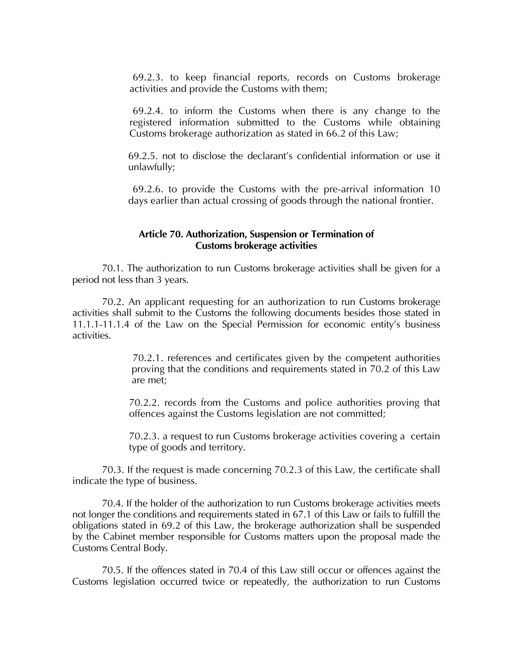69.2.3. to keep financial reports, records on Customs brokerage activities and provide the Customs with them;

69.2.4. to inform the Customs when there is any change to the registered information submitted to the Customs while obtaining Customs brokerage authorization as stated in 66.2 of this Law;

69.2.5. not to disclose the declarant's confidential information or use it unlawfully;

69.2.6. to provide the Customs with the pre-arrival information 10 days earlier than actual crossing of goods through the national frontier.

# **Article 70. Authorization, Suspension or Termination of Customs brokerage activities**

70.1. The authorization to run Customs brokerage activities shall be given for a period not less than 3 years.

70.2. An applicant requesting for an authorization to run Customs brokerage activities shall submit to the Customs the following documents besides those stated in 11.1.1-11.1.4 of the Law on the Special Permission for economic entity's business activities.

> 70.2.1. references and certificates given by the competent authorities proving that the conditions and requirements stated in 70.2 of this Law are met;

> 70.2.2. records from the Customs and police authorities proving that offences against the Customs legislation are not committed;

> 70.2.3. a request to run Customs brokerage activities covering a certain type of goods and territory.

70.3. If the request is made concerning 70.2.3 of this Law, the certificate shall indicate the type of business.

70.4. If the holder of the authorization to run Customs brokerage activities meets not longer the conditions and requirements stated in 67.1 of this Law or fails to fulfill the obligations stated in 69.2 of this Law, the brokerage authorization shall be suspended by the Cabinet member responsible for Customs matters upon the proposal made the Customs Central Body.

70.5. If the offences stated in 70.4 of this Law still occur or offences against the Customs legislation occurred twice or repeatedly, the authorization to run Customs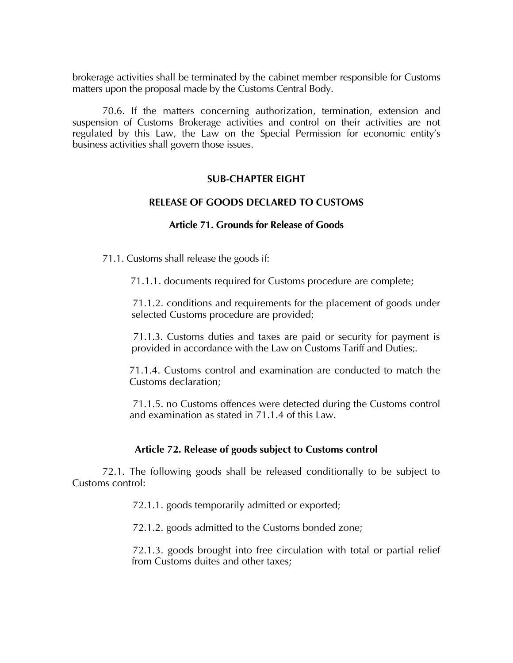brokerage activities shall be terminated by the cabinet member responsible for Customs matters upon the proposal made by the Customs Central Body.

70.6. If the matters concerning authorization, termination, extension and suspension of Customs Brokerage activities and control on their activities are not regulated by this Law, the Law on the Special Permission for economic entity's business activities shall govern those issues.

# **SUB-CHAPTER EIGHT**

# **RELEASE OF GOODS DECLARED TO CUSTOMS**

# **Article 71. Grounds for Release of Goods**

71.1. Customs shall release the goods if:

71.1.1. documents required for Customs procedure are complete;

71.1.2. conditions and requirements for the placement of goods under selected Customs procedure are provided;

71.1.3. Customs duties and taxes are paid or security for payment is provided in accordance with the Law on Customs Tariff and Duties;.

71.1.4. Customs control and examination are conducted to match the Customs declaration;

71.1.5. no Customs offences were detected during the Customs control and examination as stated in 71.1.4 of this Law.

# **Article 72. Release of goods subject to Customs control**

72.1. The following goods shall be released conditionally to be subject to Customs control:

72.1.1. goods temporarily admitted or exported;

72.1.2. goods admitted to the Customs bonded zone;

72.1.3. goods brought into free circulation with total or partial relief from Customs duites and other taxes;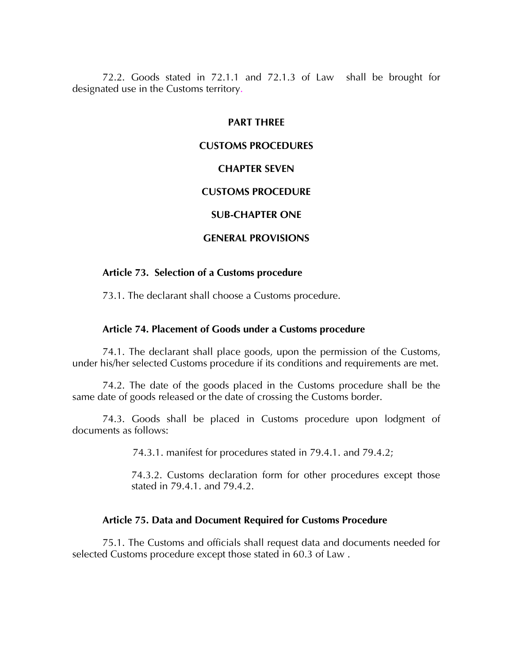72.2. Goods stated in 72.1.1 and 72.1.3 of Law shall be brought for designated use in the Customs territory.

#### **PART THREE**

# **CUSTOMS PROCEDURES**

#### **CHAPTER SEVEN**

#### **CUSTOMS PROCEDURE**

### **SUB-CHAPTER ONE**

### **GENERAL PROVISIONS**

## **Article 73. Selection of a Customs procedure**

73.1. The declarant shall choose a Customs procedure.

#### **Article 74. Placement of Goods under a Customs procedure**

74.1. The declarant shall place goods, upon the permission of the Customs, under his/her selected Customs procedure if its conditions and requirements are met.

74.2. The date of the goods placed in the Customs procedure shall be the same date of goods released or the date of crossing the Customs border.

74.3. Goods shall be placed in Customs procedure upon lodgment of documents as follows:

74.3.1. manifest for procedures stated in 79.4.1. and 79.4.2;

74.3.2. Customs declaration form for other procedures except those stated in 79.4.1. and 79.4.2.

# **Article 75. Data and Document Required for Customs Procedure**

75.1. The Customs and officials shall request data and documents needed for selected Customs procedure except those stated in 60.3 of Law .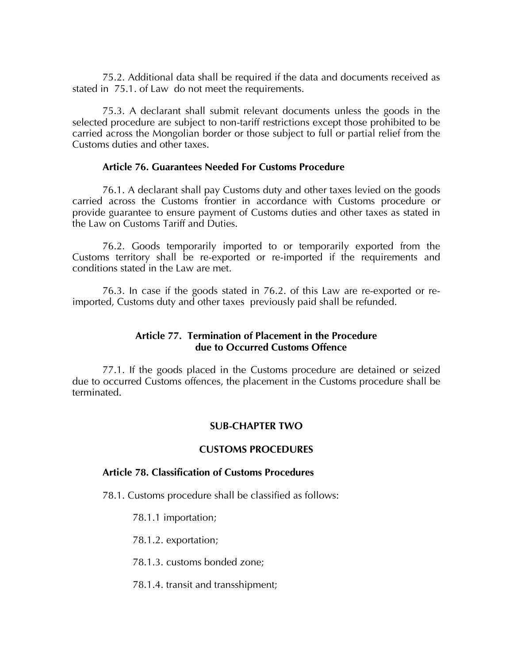75.2. Additional data shall be required if the data and documents received as stated in 75.1. of Law do not meet the requirements.

75.3. A declarant shall submit relevant documents unless the goods in the selected procedure are subject to non-tariff restrictions except those prohibited to be carried across the Mongolian border or those subject to full or partial relief from the Customs duties and other taxes.

# **Article 76. Guarantees Needed For Customs Procedure**

76.1. A declarant shall pay Customs duty and other taxes levied on the goods carried across the Customs frontier in accordance with Customs procedure or provide guarantee to ensure payment of Customs duties and other taxes as stated in the Law on Customs Tariff and Duties.

76.2. Goods temporarily imported to or temporarily exported from the Customs territory shall be re-exported or re-imported if the requirements and conditions stated in the Law are met.

76.3. In case if the goods stated in 76.2. of this Law are re-exported or reimported, Customs duty and other taxes previously paid shall be refunded.

# **Article 77. Termination of Placement in the Procedure due to Occurred Customs Offence**

77.1. If the goods placed in the Customs procedure are detained or seized due to occurred Customs offences, the placement in the Customs procedure shall be terminated.

# **SUB-CHAPTER TWO**

### **CUSTOMS PROCEDURES**

### **Article 78. Classification of Customs Procedures**

- 78.1. Customs procedure shall be classified as follows:
	- 78.1.1 importation;
	- 78.1.2. exportation;
	- 78.1.3. customs bonded zone;
	- 78.1.4. transit and transshipment;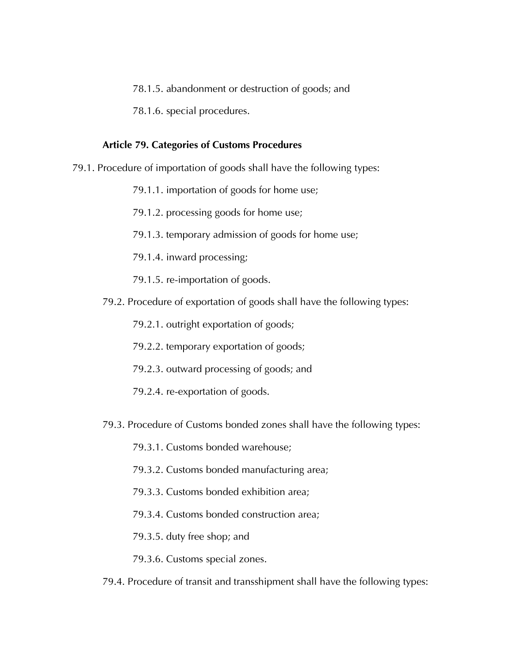- 78.1.5. abandonment or destruction of goods; and
- 78.1.6. special procedures.

# **Article 79. Categories of Customs Procedures**

- 79.1. Procedure of importation of goods shall have the following types:
	- 79.1.1. importation of goods for home use;
	- 79.1.2. processing goods for home use;
	- 79.1.3. temporary admission of goods for home use;
	- 79.1.4. inward processing;
	- 79.1.5. re-importation of goods.
	- 79.2. Procedure of exportation of goods shall have the following types:
		- 79.2.1. outright exportation of goods;
		- 79.2.2. temporary exportation of goods;
		- 79.2.3. outward processing of goods; and
		- 79.2.4. re-exportation of goods.
	- 79.3. Procedure of Customs bonded zones shall have the following types:
		- 79.3.1. Customs bonded warehouse;
		- 79.3.2. Customs bonded manufacturing area;
		- 79.3.3. Customs bonded exhibition area;
		- 79.3.4. Customs bonded construction area;
		- 79.3.5. duty free shop; and
		- 79.3.6. Customs special zones.
	- 79.4. Procedure of transit and transshipment shall have the following types: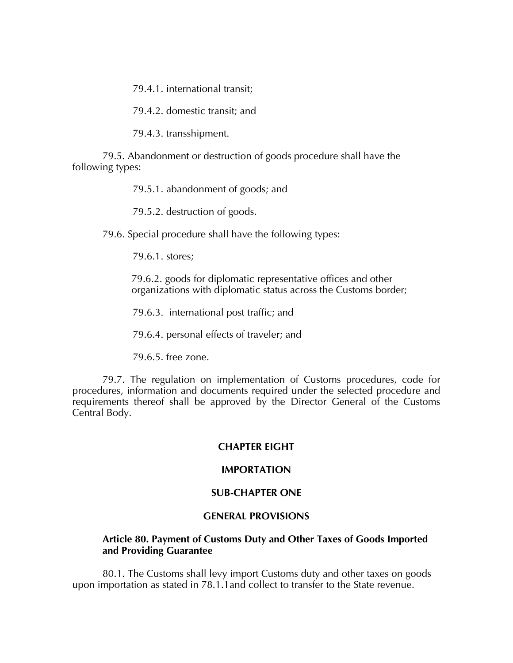79.4.1. international transit;

79.4.2. domestic transit; and

79.4.3. transshipment.

79.5. Abandonment or destruction of goods procedure shall have the following types:

79.5.1. abandonment of goods; and

79.5.2. destruction of goods.

79.6. Special procedure shall have the following types:

79.6.1. stores;

79.6.2. goods for diplomatic representative offices and other organizations with diplomatic status across the Customs border;

79.6.3. international post traffic; and

79.6.4. personal effects of traveler; and

79.6.5. free zone.

79.7. The regulation on implementation of Customs procedures, code for procedures, information and documents required under the selected procedure and requirements thereof shall be approved by the Director General of the Customs Central Body.

# **CHAPTER EIGHT**

# **IMPORTATION**

### **SUB-CHAPTER ONE**

# **GENERAL PROVISIONS**

# **Article 80. Payment of Customs Duty and Other Taxes of Goods Imported and Providing Guarantee**

80.1. The Customs shall levy import Customs duty and other taxes on goods upon importation as stated in 78.1.1and collect to transfer to the State revenue.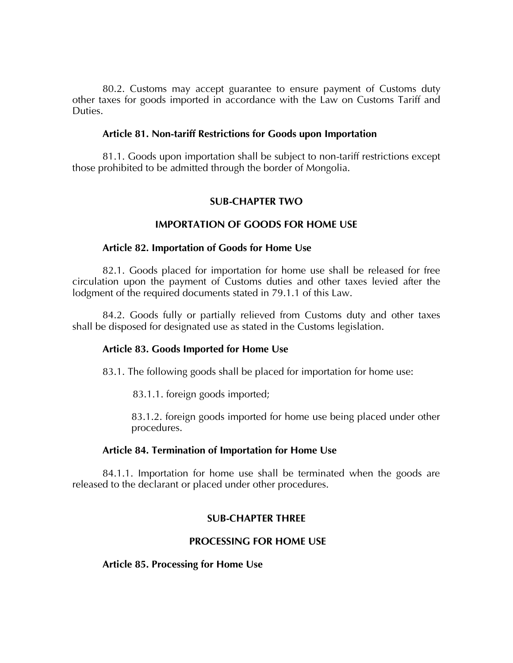80.2. Customs may accept guarantee to ensure payment of Customs duty other taxes for goods imported in accordance with the Law on Customs Tariff and Duties.

### **Article 81. Non-tariff Restrictions for Goods upon Importation**

81.1. Goods upon importation shall be subject to non-tariff restrictions except those prohibited to be admitted through the border of Mongolia.

# **SUB-CHAPTER TWO**

# **IMPORTATION OF GOODS FOR HOME USE**

### **Article 82. Importation of Goods for Home Use**

82.1. Goods placed for importation for home use shall be released for free circulation upon the payment of Customs duties and other taxes levied after the lodgment of the required documents stated in 79.1.1 of this Law.

84.2. Goods fully or partially relieved from Customs duty and other taxes shall be disposed for designated use as stated in the Customs legislation.

## **Article 83. Goods Imported for Home Use**

83.1. The following goods shall be placed for importation for home use:

83.1.1. foreign goods imported;

83.1.2. foreign goods imported for home use being placed under other procedures.

#### **Article 84. Termination of Importation for Home Use**

84.1.1. Importation for home use shall be terminated when the goods are released to the declarant or placed under other procedures.

## **SUB-CHAPTER THREE**

#### **PROCESSING FOR HOME USE**

**Article 85. Processing for Home Use**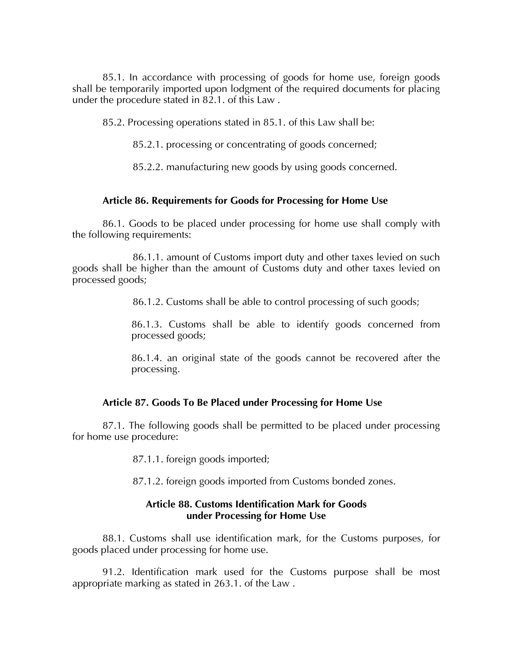85.1. In accordance with processing of goods for home use, foreign goods shall be temporarily imported upon lodgment of the required documents for placing under the procedure stated in 82.1. of this Law .

85.2. Processing operations stated in 85.1. of this Law shall be:

85.2.1. processing or concentrating of goods concerned;

85.2.2. manufacturing new goods by using goods concerned.

### **Article 86. Requirements for Goods for Processing for Home Use**

86.1. Goods to be placed under processing for home use shall comply with the following requirements:

86.1.1. amount of Customs import duty and other taxes levied on such goods shall be higher than the amount of Customs duty and other taxes levied on processed goods;

86.1.2. Customs shall be able to control processing of such goods;

86.1.3. Customs shall be able to identify goods concerned from processed goods;

86.1.4. an original state of the goods cannot be recovered after the processing.

### **Article 87. Goods To Be Placed under Processing for Home Use**

87.1. The following goods shall be permitted to be placed under processing for home use procedure:

87.1.1. foreign goods imported;

87.1.2. foreign goods imported from Customs bonded zones.

# **Article 88. Customs Identification Mark for Goods under Processing for Home Use**

88.1. Customs shall use identification mark, for the Customs purposes, for goods placed under processing for home use.

91.2. Identification mark used for the Customs purpose shall be most appropriate marking as stated in 263.1. of the Law .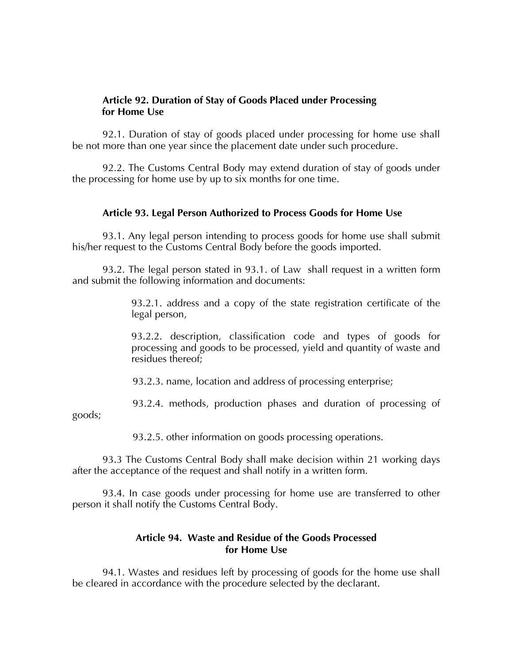### **Article 92. Duration of Stay of Goods Placed under Processing for Home Use**

92.1. Duration of stay of goods placed under processing for home use shall be not more than one year since the placement date under such procedure.

92.2. The Customs Central Body may extend duration of stay of goods under the processing for home use by up to six months for one time.

### **Article 93. Legal Person Authorized to Process Goods for Home Use**

93.1. Any legal person intending to process goods for home use shall submit his/her request to the Customs Central Body before the goods imported.

93.2. The legal person stated in 93.1. of Law shall request in a written form and submit the following information and documents:

> 93.2.1. address and a copy of the state registration certificate of the legal person,

> 93.2.2. description, classification code and types of goods for processing and goods to be processed, yield and quantity of waste and residues thereof;

93.2.3. name, location and address of processing enterprise;

93.2.4. methods, production phases and duration of processing of goods;

93.2.5. other information on goods processing operations.

93.3 The Customs Central Body shall make decision within 21 working days after the acceptance of the request and shall notify in a written form.

93.4. In case goods under processing for home use are transferred to other person it shall notify the Customs Central Body.

## **Article 94. Waste and Residue of the Goods Processed for Home Use**

94.1. Wastes and residues left by processing of goods for the home use shall be cleared in accordance with the procedure selected by the declarant.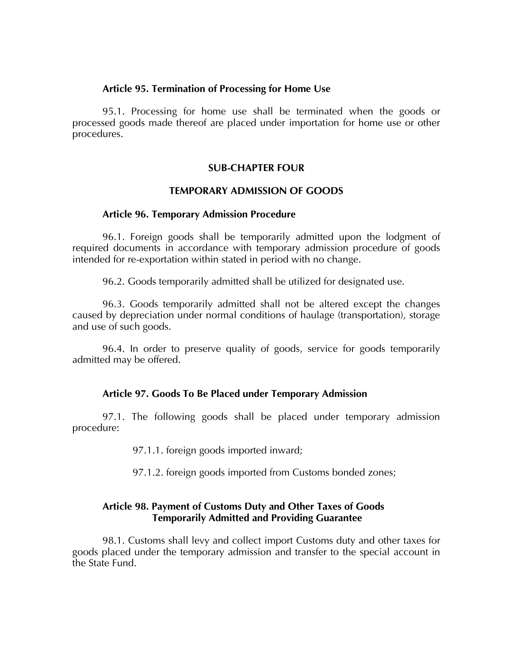#### **Article 95. Termination of Processing for Home Use**

95.1. Processing for home use shall be terminated when the goods or processed goods made thereof are placed under importation for home use or other procedures.

#### **SUB-CHAPTER FOUR**

#### **TEMPORARY ADMISSION OF GOODS**

#### **Article 96. Temporary Admission Procedure**

96.1. Foreign goods shall be temporarily admitted upon the lodgment of required documents in accordance with temporary admission procedure of goods intended for re-exportation within stated in period with no change.

96.2. Goods temporarily admitted shall be utilized for designated use.

96.3. Goods temporarily admitted shall not be altered except the changes caused by depreciation under normal conditions of haulage (transportation), storage and use of such goods.

96.4. In order to preserve quality of goods, service for goods temporarily admitted may be offered.

#### **Article 97. Goods To Be Placed under Temporary Admission**

97.1. The following goods shall be placed under temporary admission procedure:

97.1.1. foreign goods imported inward;

97.1.2. foreign goods imported from Customs bonded zones;

### **Article 98. Payment of Customs Duty and Other Taxes of Goods Temporarily Admitted and Providing Guarantee**

98.1. Customs shall levy and collect import Customs duty and other taxes for goods placed under the temporary admission and transfer to the special account in the State Fund.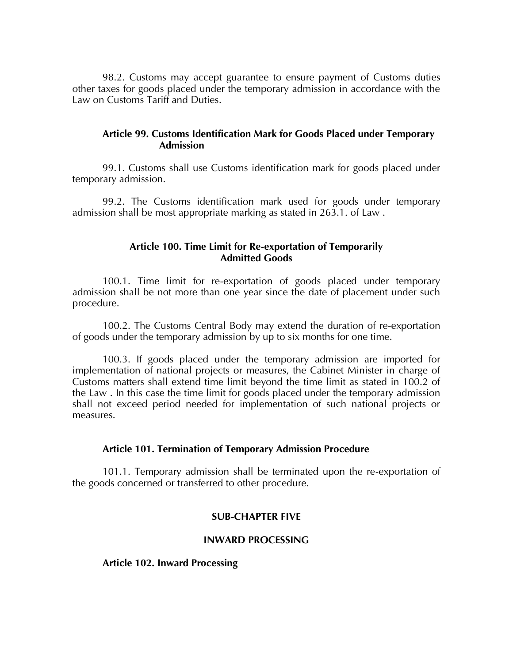98.2. Customs may accept guarantee to ensure payment of Customs duties other taxes for goods placed under the temporary admission in accordance with the Law on Customs Tariff and Duties.

# **Article 99. Customs Identification Mark for Goods Placed under Temporary Admission**

99.1. Customs shall use Customs identification mark for goods placed under temporary admission.

99.2. The Customs identification mark used for goods under temporary admission shall be most appropriate marking as stated in 263.1. of Law .

## **Article 100. Time Limit for Re-exportation of Temporarily Admitted Goods**

100.1. Time limit for re-exportation of goods placed under temporary admission shall be not more than one year since the date of placement under such procedure.

100.2. The Customs Central Body may extend the duration of re-exportation of goods under the temporary admission by up to six months for one time.

100.3. If goods placed under the temporary admission are imported for implementation of national projects or measures, the Cabinet Minister in charge of Customs matters shall extend time limit beyond the time limit as stated in 100.2 of the Law . In this case the time limit for goods placed under the temporary admission shall not exceed period needed for implementation of such national projects or measures.

## **Article 101. Termination of Temporary Admission Procedure**

101.1. Temporary admission shall be terminated upon the re-exportation of the goods concerned or transferred to other procedure.

# **SUB-CHAPTER FIVE**

## **INWARD PROCESSING**

**Article 102. Inward Processing**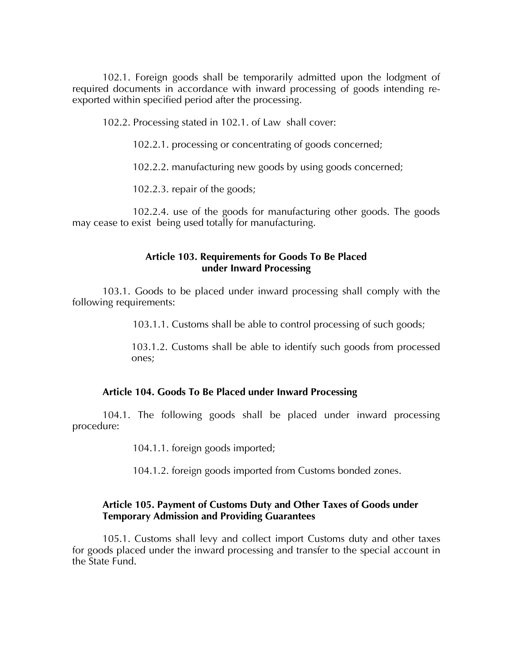102.1. Foreign goods shall be temporarily admitted upon the lodgment of required documents in accordance with inward processing of goods intending reexported within specified period after the processing.

102.2. Processing stated in 102.1. of Law shall cover:

102.2.1. processing or concentrating of goods concerned;

102.2.2. manufacturing new goods by using goods concerned;

102.2.3. repair of the goods;

102.2.4. use of the goods for manufacturing other goods. The goods may cease to exist being used totally for manufacturing.

## **Article 103. Requirements for Goods To Be Placed under Inward Processing**

103.1. Goods to be placed under inward processing shall comply with the following requirements:

103.1.1. Customs shall be able to control processing of such goods;

103.1.2. Customs shall be able to identify such goods from processed ones;

## **Article 104. Goods To Be Placed under Inward Processing**

104.1. The following goods shall be placed under inward processing procedure:

104.1.1. foreign goods imported;

104.1.2. foreign goods imported from Customs bonded zones.

## **Article 105. Payment of Customs Duty and Other Taxes of Goods under Temporary Admission and Providing Guarantees**

105.1. Customs shall levy and collect import Customs duty and other taxes for goods placed under the inward processing and transfer to the special account in the State Fund.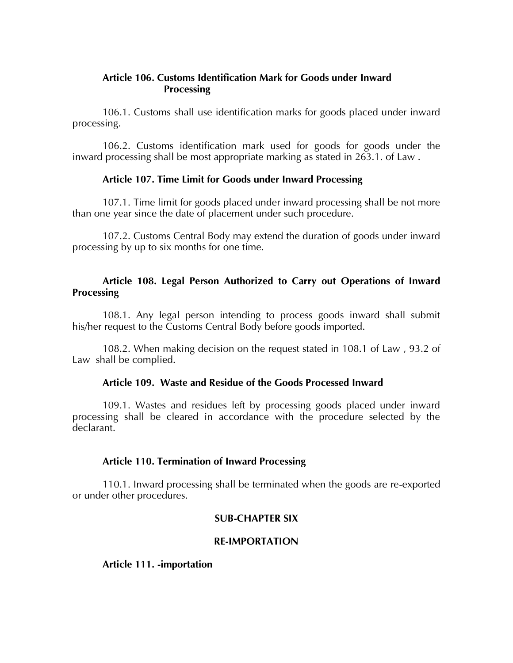# **Article 106. Customs Identification Mark for Goods under Inward Processing**

106.1. Customs shall use identification marks for goods placed under inward processing.

106.2. Customs identification mark used for goods for goods under the inward processing shall be most appropriate marking as stated in 263.1. of Law .

# **Article 107. Time Limit for Goods under Inward Processing**

107.1. Time limit for goods placed under inward processing shall be not more than one year since the date of placement under such procedure.

107.2. Customs Central Body may extend the duration of goods under inward processing by up to six months for one time.

# **Article 108. Legal Person Authorized to Carry out Operations of Inward Processing**

108.1. Any legal person intending to process goods inward shall submit his/her request to the Customs Central Body before goods imported.

108.2. When making decision on the request stated in 108.1 of Law , 93.2 of Law shall be complied.

# **Article 109. Waste and Residue of the Goods Processed Inward**

109.1. Wastes and residues left by processing goods placed under inward processing shall be cleared in accordance with the procedure selected by the declarant.

# **Article 110. Termination of Inward Processing**

110.1. Inward processing shall be terminated when the goods are re-exported or under other procedures.

# **SUB-CHAPTER SIX**

## **RE-IMPORTATION**

**Article 111. -importation**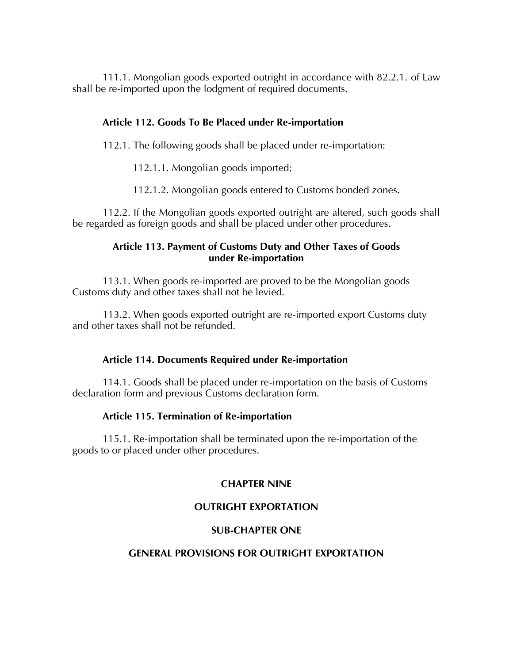111.1. Mongolian goods exported outright in accordance with 82.2.1. of Law shall be re-imported upon the lodgment of required documents.

# **Article 112. Goods To Be Placed under Re-importation**

112.1. The following goods shall be placed under re-importation:

112.1.1. Mongolian goods imported;

112.1.2. Mongolian goods entered to Customs bonded zones.

112.2. If the Mongolian goods exported outright are altered, such goods shall be regarded as foreign goods and shall be placed under other procedures.

# **Article 113. Payment of Customs Duty and Other Taxes of Goods under Re-importation**

113.1. When goods re-imported are proved to be the Mongolian goods Customs duty and other taxes shall not be levied.

113.2. When goods exported outright are re-imported export Customs duty and other taxes shall not be refunded.

# **Article 114. Documents Required under Re-importation**

114.1. Goods shall be placed under re-importation on the basis of Customs declaration form and previous Customs declaration form.

# **Article 115. Termination of Re-importation**

115.1. Re-importation shall be terminated upon the re-importation of the goods to or placed under other procedures.

# **CHAPTER NINE**

# **OUTRIGHT EXPORTATION**

# **SUB-CHAPTER ONE**

# **GENERAL PROVISIONS FOR OUTRIGHT EXPORTATION**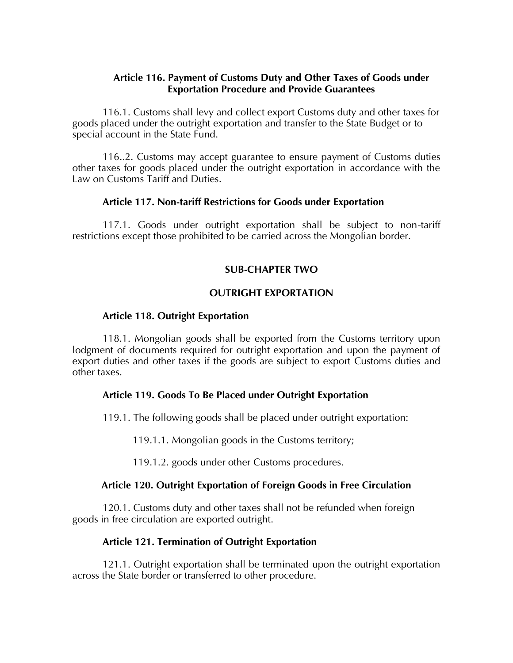# **Article 116. Payment of Customs Duty and Other Taxes of Goods under Exportation Procedure and Provide Guarantees**

116.1. Customs shall levy and collect export Customs duty and other taxes for goods placed under the outright exportation and transfer to the State Budget or to special account in the State Fund.

116..2. Customs may accept guarantee to ensure payment of Customs duties other taxes for goods placed under the outright exportation in accordance with the Law on Customs Tariff and Duties.

## **Article 117. Non-tariff Restrictions for Goods under Exportation**

117.1. Goods under outright exportation shall be subject to non-tariff restrictions except those prohibited to be carried across the Mongolian border.

# **SUB-CHAPTER TWO**

# **OUTRIGHT EXPORTATION**

# **Article 118. Outright Exportation**

118.1. Mongolian goods shall be exported from the Customs territory upon lodgment of documents required for outright exportation and upon the payment of export duties and other taxes if the goods are subject to export Customs duties and other taxes.

# **Article 119. Goods To Be Placed under Outright Exportation**

119.1. The following goods shall be placed under outright exportation:

119.1.1. Mongolian goods in the Customs territory;

119.1.2. goods under other Customs procedures.

# **Article 120. Outright Exportation of Foreign Goods in Free Circulation**

120.1. Customs duty and other taxes shall not be refunded when foreign goods in free circulation are exported outright.

# **Article 121. Termination of Outright Exportation**

121.1. Outright exportation shall be terminated upon the outright exportation across the State border or transferred to other procedure.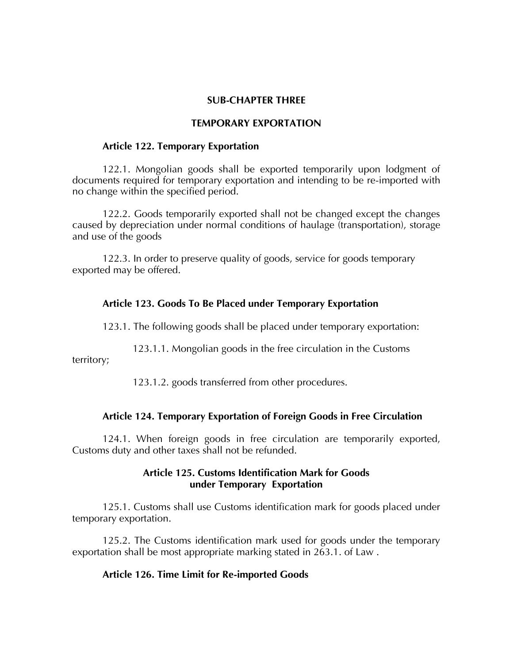## **SUB-CHAPTER THREE**

### **TEMPORARY EXPORTATION**

### **Article 122. Temporary Exportation**

122.1. Mongolian goods shall be exported temporarily upon lodgment of documents required for temporary exportation and intending to be re-imported with no change within the specified period.

122.2. Goods temporarily exported shall not be changed except the changes caused by depreciation under normal conditions of haulage (transportation), storage and use of the goods

122.3. In order to preserve quality of goods, service for goods temporary exported may be offered.

## **Article 123. Goods To Be Placed under Temporary Exportation**

123.1. The following goods shall be placed under temporary exportation:

123.1.1. Mongolian goods in the free circulation in the Customs

territory;

123.1.2. goods transferred from other procedures.

## **Article 124. Temporary Exportation of Foreign Goods in Free Circulation**

124.1. When foreign goods in free circulation are temporarily exported, Customs duty and other taxes shall not be refunded.

## **Article 125. Customs Identification Mark for Goods under Temporary Exportation**

125.1. Customs shall use Customs identification mark for goods placed under temporary exportation.

125.2. The Customs identification mark used for goods under the temporary exportation shall be most appropriate marking stated in 263.1. of Law .

## **Article 126. Time Limit for Re-imported Goods**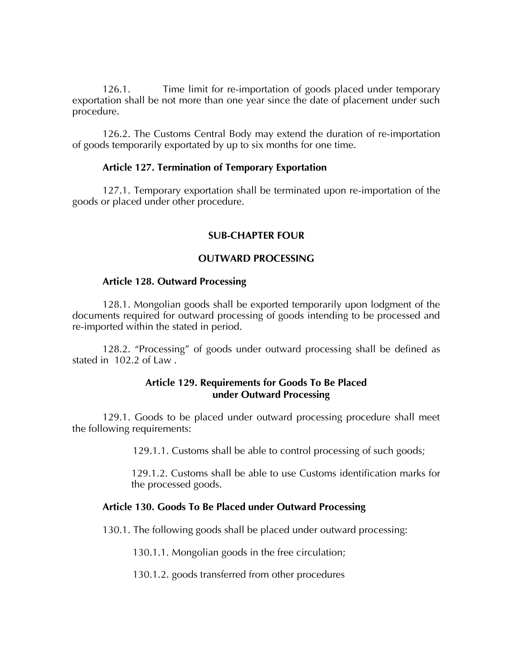126.1. Time limit for re-importation of goods placed under temporary exportation shall be not more than one year since the date of placement under such procedure.

126.2. The Customs Central Body may extend the duration of re-importation of goods temporarily exportated by up to six months for one time.

# **Article 127. Termination of Temporary Exportation**

127.1. Temporary exportation shall be terminated upon re-importation of the goods or placed under other procedure.

# **SUB-CHAPTER FOUR**

# **OUTWARD PROCESSING**

## **Article 128. Outward Processing**

128.1. Mongolian goods shall be exported temporarily upon lodgment of the documents required for outward processing of goods intending to be processed and re-imported within the stated in period.

128.2. 'Processing' of goods under outward processing shall be defined as stated in 102.2 of Law .

# **Article 129. Requirements for Goods To Be Placed under Outward Processing**

129.1. Goods to be placed under outward processing procedure shall meet the following requirements:

129.1.1. Customs shall be able to control processing of such goods;

129.1.2. Customs shall be able to use Customs identification marks for the processed goods.

# **Article 130. Goods To Be Placed under Outward Processing**

130.1. The following goods shall be placed under outward processing:

130.1.1. Mongolian goods in the free circulation;

130.1.2. goods transferred from other procedures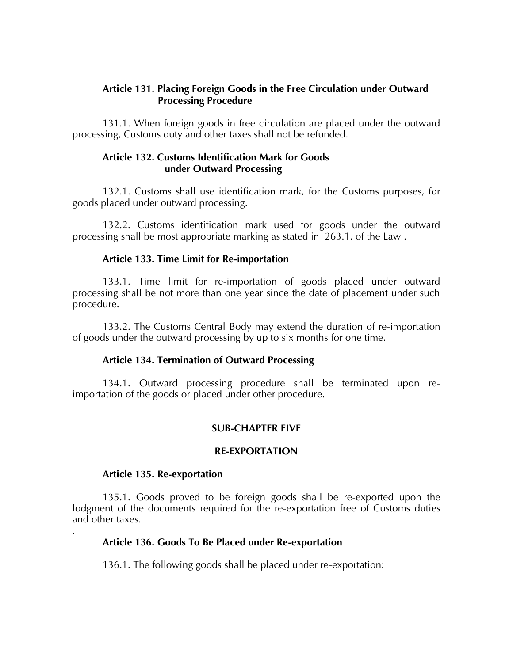# **Article 131. Placing Foreign Goods in the Free Circulation under Outward Processing Procedure**

131.1. When foreign goods in free circulation are placed under the outward processing, Customs duty and other taxes shall not be refunded.

## **Article 132. Customs Identification Mark for Goods under Outward Processing**

132.1. Customs shall use identification mark, for the Customs purposes, for goods placed under outward processing.

132.2. Customs identification mark used for goods under the outward processing shall be most appropriate marking as stated in 263.1. of the Law .

## **Article 133. Time Limit for Re-importation**

133.1. Time limit for re-importation of goods placed under outward processing shall be not more than one year since the date of placement under such procedure.

133.2. The Customs Central Body may extend the duration of re-importation of goods under the outward processing by up to six months for one time.

#### **Article 134. Termination of Outward Processing**

134.1. Outward processing procedure shall be terminated upon reimportation of the goods or placed under other procedure.

## **SUB-CHAPTER FIVE**

#### **RE-EXPORTATION**

### **Article 135. Re-exportation**

.

135.1. Goods proved to be foreign goods shall be re-exported upon the lodgment of the documents required for the re-exportation free of Customs duties and other taxes.

#### **Article 136. Goods To Be Placed under Re-exportation**

136.1. The following goods shall be placed under re-exportation: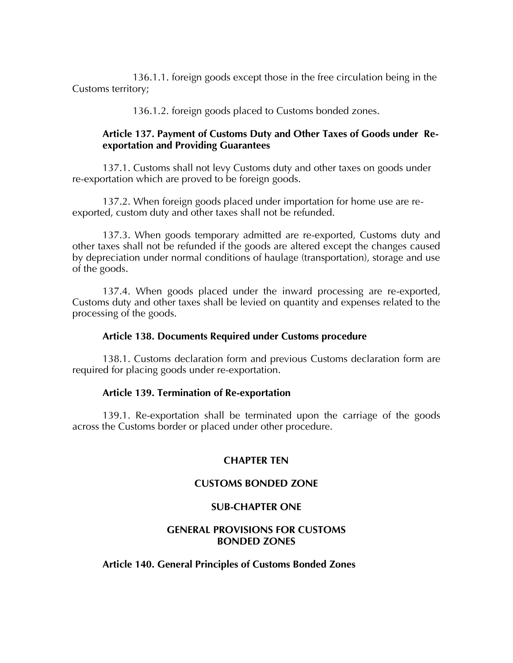136.1.1. foreign goods except those in the free circulation being in the Customs territory;

136.1.2. foreign goods placed to Customs bonded zones.

# **Article 137. Payment of Customs Duty and Other Taxes of Goods under Reexportation and Providing Guarantees**

137.1. Customs shall not levy Customs duty and other taxes on goods under re-exportation which are proved to be foreign goods.

137.2. When foreign goods placed under importation for home use are reexported, custom duty and other taxes shall not be refunded.

137.3. When goods temporary admitted are re-exported, Customs duty and other taxes shall not be refunded if the goods are altered except the changes caused by depreciation under normal conditions of haulage (transportation), storage and use of the goods.

137.4. When goods placed under the inward processing are re-exported, Customs duty and other taxes shall be levied on quantity and expenses related to the processing of the goods.

## **Article 138. Documents Required under Customs procedure**

138.1. Customs declaration form and previous Customs declaration form are required for placing goods under re-exportation.

#### **Article 139. Termination of Re-exportation**

139.1. Re-exportation shall be terminated upon the carriage of the goods across the Customs border or placed under other procedure.

## **CHAPTER TEN**

## **CUSTOMS BONDED ZONE**

## **SUB-CHAPTER ONE**

# **GENERAL PROVISIONS FOR CUSTOMS BONDED ZONES**

#### **Article 140. General Principles of Customs Bonded Zones**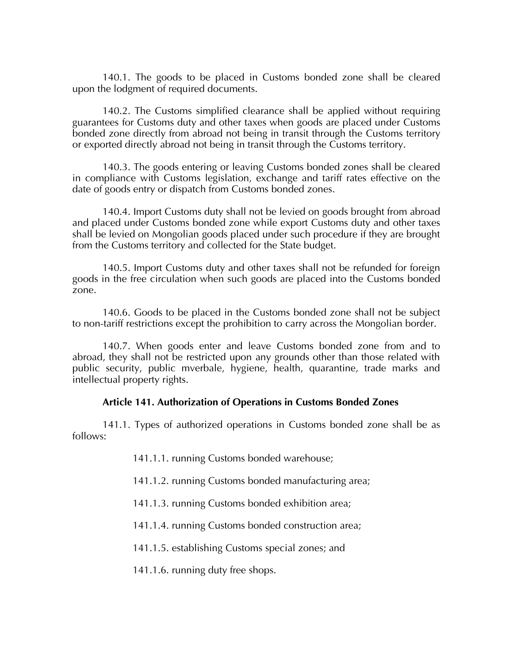140.1. The goods to be placed in Customs bonded zone shall be cleared upon the lodgment of required documents.

140.2. The Customs simplified clearance shall be applied without requiring guarantees for Customs duty and other taxes when goods are placed under Customs bonded zone directly from abroad not being in transit through the Customs territory or exported directly abroad not being in transit through the Customs territory.

140.3. The goods entering or leaving Customs bonded zones shall be cleared in compliance with Customs legislation, exchange and tariff rates effective on the date of goods entry or dispatch from Customs bonded zones.

140.4. Import Customs duty shall not be levied on goods brought from abroad and placed under Customs bonded zone while export Customs duty and other taxes shall be levied on Mongolian goods placed under such procedure if they are brought from the Customs territory and collected for the State budget.

140.5. Import Customs duty and other taxes shall not be refunded for foreign goods in the free circulation when such goods are placed into the Customs bonded zone.

140.6. Goods to be placed in the Customs bonded zone shall not be subject to non-tariff restrictions except the prohibition to carry across the Mongolian border.

140.7. When goods enter and leave Customs bonded zone from and to abroad, they shall not be restricted upon any grounds other than those related with public security, public mverbale, hygiene, health, quarantine, trade marks and intellectual property rights.

## **Article 141. Authorization of Operations in Customs Bonded Zones**

141.1. Types of authorized operations in Customs bonded zone shall be as follows:

141.1.1. running Customs bonded warehouse;

141.1.2. running Customs bonded manufacturing area;

141.1.3. running Customs bonded exhibition area;

141.1.4. running Customs bonded construction area;

141.1.5. establishing Customs special zones; and

141.1.6. running duty free shops.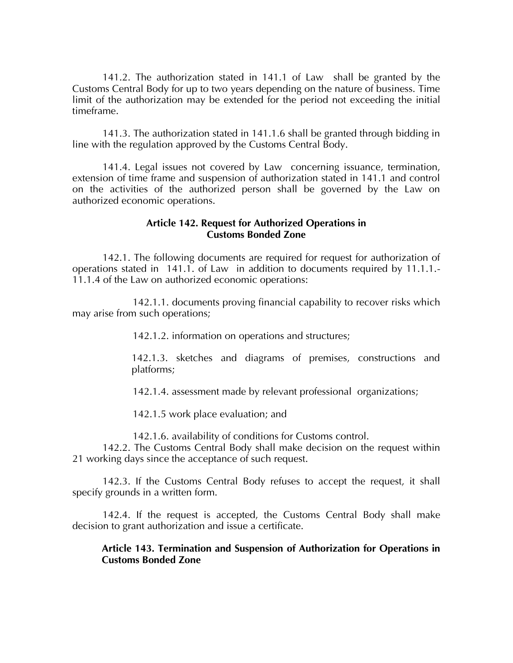141.2. The authorization stated in 141.1 of Law shall be granted by the Customs Central Body for up to two years depending on the nature of business. Time limit of the authorization may be extended for the period not exceeding the initial timeframe.

141.3. The authorization stated in 141.1.6 shall be granted through bidding in line with the regulation approved by the Customs Central Body.

141.4. Legal issues not covered by Law concerning issuance, termination, extension of time frame and suspension of authorization stated in 141.1 and control on the activities of the authorized person shall be governed by the Law on authorized economic operations.

### **Article 142. Request for Authorized Operations in Customs Bonded Zone**

142.1. The following documents are required for request for authorization of operations stated in 141.1. of Law in addition to documents required by 11.1.1.- 11.1.4 of the Law on authorized economic operations:

142.1.1. documents proving financial capability to recover risks which may arise from such operations;

142.1.2. information on operations and structures;

142.1.3. sketches and diagrams of premises, constructions and platforms;

142.1.4. assessment made by relevant professional organizations;

142.1.5 work place evaluation; and

142.1.6. availability of conditions for Customs control.

142.2. The Customs Central Body shall make decision on the request within 21 working days since the acceptance of such request.

142.3. If the Customs Central Body refuses to accept the request, it shall specify grounds in a written form.

142.4. If the request is accepted, the Customs Central Body shall make decision to grant authorization and issue a certificate.

### **Article 143. Termination and Suspension of Authorization for Operations in Customs Bonded Zone**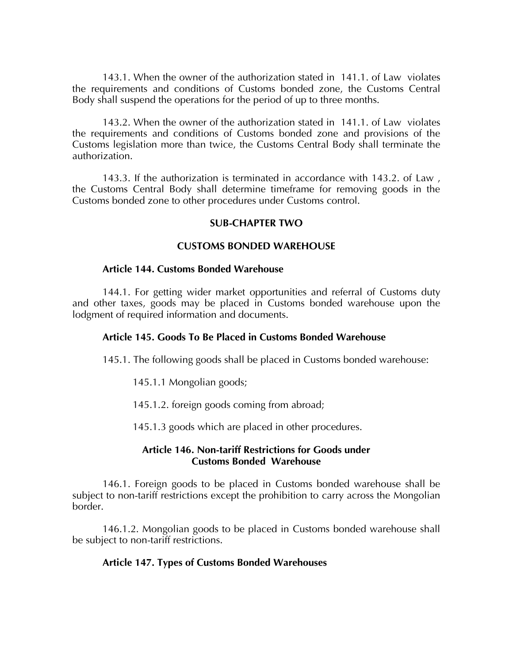143.1. When the owner of the authorization stated in 141.1. of Law violates the requirements and conditions of Customs bonded zone, the Customs Central Body shall suspend the operations for the period of up to three months.

143.2. When the owner of the authorization stated in 141.1. of Law violates the requirements and conditions of Customs bonded zone and provisions of the Customs legislation more than twice, the Customs Central Body shall terminate the authorization.

143.3. If the authorization is terminated in accordance with 143.2. of Law , the Customs Central Body shall determine timeframe for removing goods in the Customs bonded zone to other procedures under Customs control.

### **SUB-CHAPTER TWO**

#### **CUSTOMS BONDED WAREHOUSE**

### **Article 144. Customs Bonded Warehouse**

144.1. For getting wider market opportunities and referral of Customs duty and other taxes, goods may be placed in Customs bonded warehouse upon the lodgment of required information and documents.

### **Article 145. Goods To Be Placed in Customs Bonded Warehouse**

145.1. The following goods shall be placed in Customs bonded warehouse:

- 145.1.1 Mongolian goods;
- 145.1.2. foreign goods coming from abroad;
- 145.1.3 goods which are placed in other procedures.

### **Article 146. Non-tariff Restrictions for Goods under Customs Bonded Warehouse**

146.1. Foreign goods to be placed in Customs bonded warehouse shall be subject to non-tariff restrictions except the prohibition to carry across the Mongolian border.

146.1.2. Mongolian goods to be placed in Customs bonded warehouse shall be subject to non-tariff restrictions.

## **Article 147. Types of Customs Bonded Warehouses**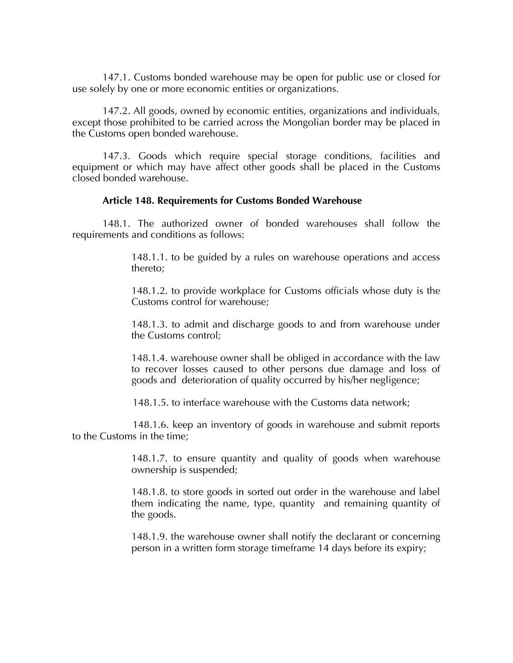147.1. Customs bonded warehouse may be open for public use or closed for use solely by one or more economic entities or organizations.

147.2. All goods, owned by economic entities, organizations and individuals, except those prohibited to be carried across the Mongolian border may be placed in the Customs open bonded warehouse.

147.3. Goods which require special storage conditions, facilities and equipment or which may have affect other goods shall be placed in the Customs closed bonded warehouse.

### **Article 148. Requirements for Customs Bonded Warehouse**

148.1. The authorized owner of bonded warehouses shall follow the requirements and conditions as follows:

> 148.1.1. to be guided by a rules on warehouse operations and access thereto;

> 148.1.2. to provide workplace for Customs officials whose duty is the Customs control for warehouse;

> 148.1.3. to admit and discharge goods to and from warehouse under the Customs control;

> 148.1.4. warehouse owner shall be obliged in accordance with the law to recover losses caused to other persons due damage and loss of goods and deterioration of quality occurred by his/her negligence;

148.1.5. to interface warehouse with the Customs data network;

148.1.6. keep an inventory of goods in warehouse and submit reports to the Customs in the time;

> 148.1.7. to ensure quantity and quality of goods when warehouse ownership is suspended;

> 148.1.8. to store goods in sorted out order in the warehouse and label them indicating the name, type, quantity and remaining quantity of the goods.

> 148.1.9. the warehouse owner shall notify the declarant or concerning person in a written form storage timeframe 14 days before its expiry;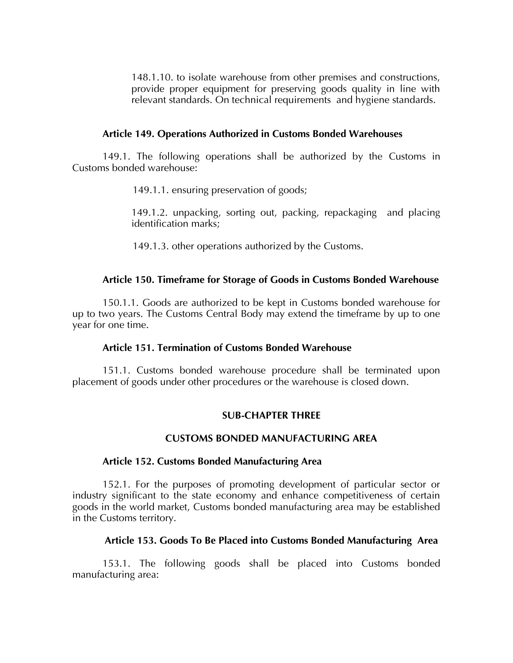148.1.10. to isolate warehouse from other premises and constructions, provide proper equipment for preserving goods quality in line with relevant standards. On technical requirements and hygiene standards.

### **Article 149. Operations Authorized in Customs Bonded Warehouses**

149.1. The following operations shall be authorized by the Customs in Customs bonded warehouse:

149.1.1. ensuring preservation of goods;

149.1.2. unpacking, sorting out, packing, repackaging and placing identification marks;

149.1.3. other operations authorized by the Customs.

### **Article 150. Timeframe for Storage of Goods in Customs Bonded Warehouse**

150.1.1. Goods are authorized to be kept in Customs bonded warehouse for up to two years. The Customs Central Body may extend the timeframe by up to one year for one time.

### **Article 151. Termination of Customs Bonded Warehouse**

151.1. Customs bonded warehouse procedure shall be terminated upon placement of goods under other procedures or the warehouse is closed down.

#### **SUB-CHAPTER THREE**

### **CUSTOMS BONDED MANUFACTURING AREA**

#### **Article 152. Customs Bonded Manufacturing Area**

152.1. For the purposes of promoting development of particular sector or industry significant to the state economy and enhance competitiveness of certain goods in the world market, Customs bonded manufacturing area may be established in the Customs territory.

## **Article 153. Goods To Be Placed into Customs Bonded Manufacturing Area**

153.1. The following goods shall be placed into Customs bonded manufacturing area: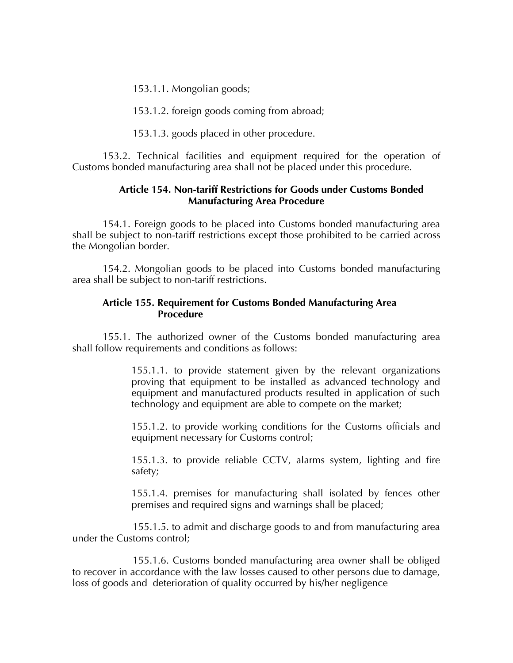153.1.1. Mongolian goods;

153.1.2. foreign goods coming from abroad;

153.1.3. goods placed in other procedure.

153.2. Technical facilities and equipment required for the operation of Customs bonded manufacturing area shall not be placed under this procedure.

# **Article 154. Non-tariff Restrictions for Goods under Customs Bonded Manufacturing Area Procedure**

154.1. Foreign goods to be placed into Customs bonded manufacturing area shall be subject to non-tariff restrictions except those prohibited to be carried across the Mongolian border.

154.2. Mongolian goods to be placed into Customs bonded manufacturing area shall be subject to non-tariff restrictions.

# **Article 155. Requirement for Customs Bonded Manufacturing Area Procedure**

155.1. The authorized owner of the Customs bonded manufacturing area shall follow requirements and conditions as follows:

> 155.1.1. to provide statement given by the relevant organizations proving that equipment to be installed as advanced technology and equipment and manufactured products resulted in application of such technology and equipment are able to compete on the market;

> 155.1.2. to provide working conditions for the Customs officials and equipment necessary for Customs control;

> 155.1.3. to provide reliable CCTV, alarms system, lighting and fire safety;

> 155.1.4. premises for manufacturing shall isolated by fences other premises and required signs and warnings shall be placed;

155.1.5. to admit and discharge goods to and from manufacturing area under the Customs control;

155.1.6. Customs bonded manufacturing area owner shall be obliged to recover in accordance with the law losses caused to other persons due to damage, loss of goods and deterioration of quality occurred by his/her negligence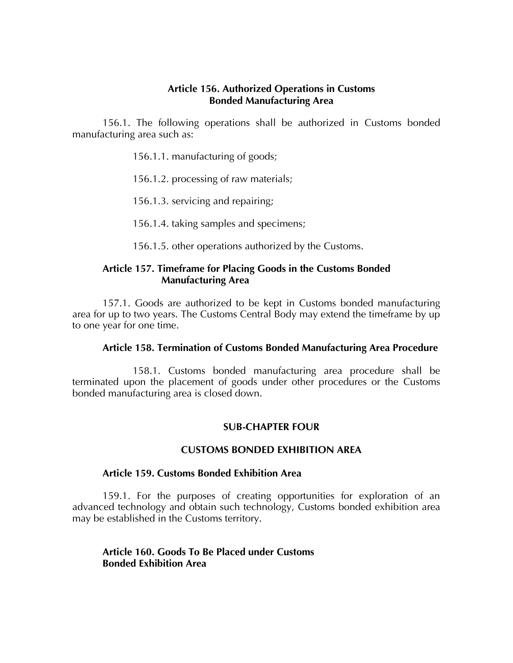# **Article 156. Authorized Operations in Customs Bonded Manufacturing Area**

156.1. The following operations shall be authorized in Customs bonded manufacturing area such as:

156.1.1. manufacturing of goods;

156.1.2. processing of raw materials;

156.1.3. servicing and repairing;

156.1.4. taking samples and specimens;

156.1.5. other operations authorized by the Customs.

## **Article 157. Timeframe for Placing Goods in the Customs Bonded Manufacturing Area**

157.1. Goods are authorized to be kept in Customs bonded manufacturing area for up to two years. The Customs Central Body may extend the timeframe by up to one year for one time.

# **Article 158. Termination of Customs Bonded Manufacturing Area Procedure**

158.1. Customs bonded manufacturing area procedure shall be terminated upon the placement of goods under other procedures or the Customs bonded manufacturing area is closed down.

## **SUB-CHAPTER FOUR**

#### **CUSTOMS BONDED EXHIBITION AREA**

#### **Article 159. Customs Bonded Exhibition Area**

159.1. For the purposes of creating opportunities for exploration of an advanced technology and obtain such technology, Customs bonded exhibition area may be established in the Customs territory.

## **Article 160. Goods To Be Placed under Customs Bonded Exhibition Area**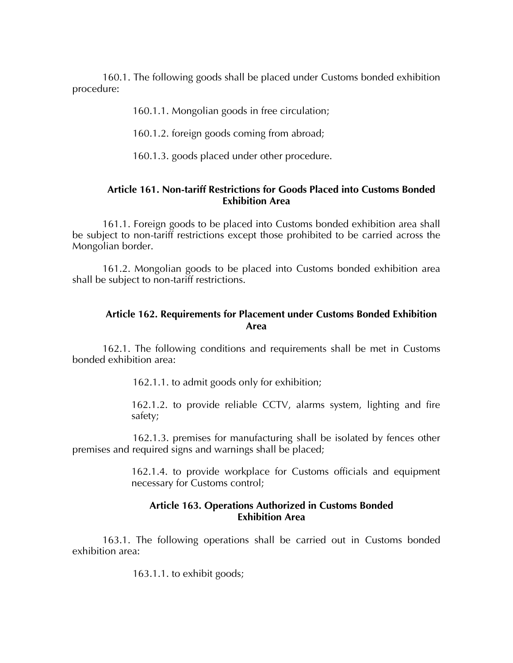160.1. The following goods shall be placed under Customs bonded exhibition procedure:

160.1.1. Mongolian goods in free circulation;

160.1.2. foreign goods coming from abroad;

160.1.3. goods placed under other procedure.

# **Article 161. Non-tariff Restrictions for Goods Placed into Customs Bonded Exhibition Area**

161.1. Foreign goods to be placed into Customs bonded exhibition area shall be subject to non-tariff restrictions except those prohibited to be carried across the Mongolian border.

161.2. Mongolian goods to be placed into Customs bonded exhibition area shall be subject to non-tariff restrictions.

# **Article 162. Requirements for Placement under Customs Bonded Exhibition Area**

162.1. The following conditions and requirements shall be met in Customs bonded exhibition area:

162.1.1. to admit goods only for exhibition;

162.1.2. to provide reliable CCTV, alarms system, lighting and fire safety;

162.1.3. premises for manufacturing shall be isolated by fences other premises and required signs and warnings shall be placed;

> 162.1.4. to provide workplace for Customs officials and equipment necessary for Customs control;

# **Article 163. Operations Authorized in Customs Bonded Exhibition Area**

163.1. The following operations shall be carried out in Customs bonded exhibition area:

163.1.1. to exhibit goods;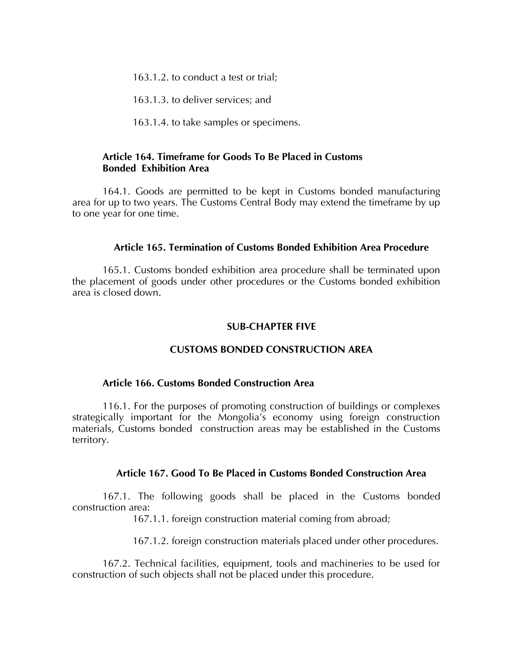163.1.2. to conduct a test or trial;

163.1.3. to deliver services; and

163.1.4. to take samples or specimens.

# **Article 164. Timeframe for Goods To Be Placed in Customs Bonded Exhibition Area**

164.1. Goods are permitted to be kept in Customs bonded manufacturing area for up to two years. The Customs Central Body may extend the timeframe by up to one year for one time.

#### **Article 165. Termination of Customs Bonded Exhibition Area Procedure**

165.1. Customs bonded exhibition area procedure shall be terminated upon the placement of goods under other procedures or the Customs bonded exhibition area is closed down.

#### **SUB-CHAPTER FIVE**

## **CUSTOMS BONDED CONSTRUCTION AREA**

### **Article 166. Customs Bonded Construction Area**

116.1. For the purposes of promoting construction of buildings or complexes strategically important for the Mongolia's economy using foreign construction materials, Customs bonded construction areas may be established in the Customs territory.

#### **Article 167. Good To Be Placed in Customs Bonded Construction Area**

167.1. The following goods shall be placed in the Customs bonded construction area:

167.1.1. foreign construction material coming from abroad;

167.1.2. foreign construction materials placed under other procedures.

167.2. Technical facilities, equipment, tools and machineries to be used for construction of such objects shall not be placed under this procedure.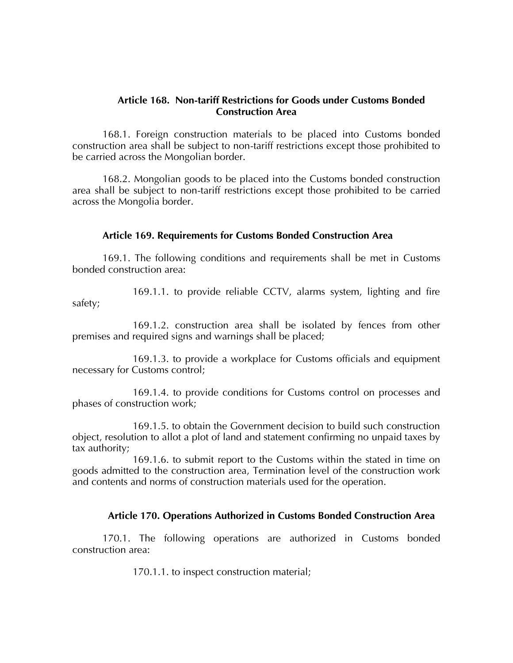## **Article 168. Non-tariff Restrictions for Goods under Customs Bonded Construction Area**

168.1. Foreign construction materials to be placed into Customs bonded construction area shall be subject to non-tariff restrictions except those prohibited to be carried across the Mongolian border.

168.2. Mongolian goods to be placed into the Customs bonded construction area shall be subject to non-tariff restrictions except those prohibited to be carried across the Mongolia border.

### **Article 169. Requirements for Customs Bonded Construction Area**

169.1. The following conditions and requirements shall be met in Customs bonded construction area:

169.1.1. to provide reliable CCTV, alarms system, lighting and fire safety;

169.1.2. construction area shall be isolated by fences from other premises and required signs and warnings shall be placed;

169.1.3. to provide a workplace for Customs officials and equipment necessary for Customs control;

169.1.4. to provide conditions for Customs control on processes and phases of construction work;

169.1.5. to obtain the Government decision to build such construction object, resolution to allot a plot of land and statement confirming no unpaid taxes by tax authority;

169.1.6. to submit report to the Customs within the stated in time on goods admitted to the construction area, Termination level of the construction work and contents and norms of construction materials used for the operation.

## **Article 170. Operations Authorized in Customs Bonded Construction Area**

170.1. The following operations are authorized in Customs bonded construction area:

170.1.1. to inspect construction material;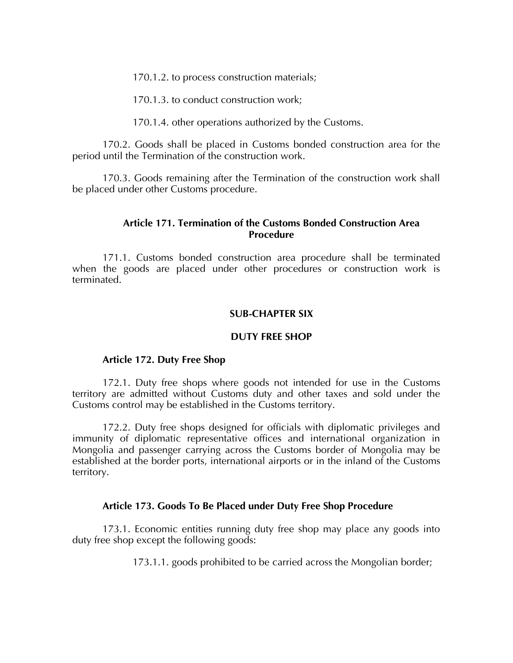170.1.2. to process construction materials;

170.1.3. to conduct construction work;

170.1.4. other operations authorized by the Customs.

170.2. Goods shall be placed in Customs bonded construction area for the period until the Termination of the construction work.

170.3. Goods remaining after the Termination of the construction work shall be placed under other Customs procedure.

## **Article 171. Termination of the Customs Bonded Construction Area Procedure**

171.1. Customs bonded construction area procedure shall be terminated when the goods are placed under other procedures or construction work is terminated.

#### **SUB-CHAPTER SIX**

#### **DUTY FREE SHOP**

#### **Article 172. Duty Free Shop**

172.1. Duty free shops where goods not intended for use in the Customs territory are admitted without Customs duty and other taxes and sold under the Customs control may be established in the Customs territory.

172.2. Duty free shops designed for officials with diplomatic privileges and immunity of diplomatic representative offices and international organization in Mongolia and passenger carrying across the Customs border of Mongolia may be established at the border ports, international airports or in the inland of the Customs territory.

#### **Article 173. Goods To Be Placed under Duty Free Shop Procedure**

173.1. Economic entities running duty free shop may place any goods into duty free shop except the following goods:

173.1.1. goods prohibited to be carried across the Mongolian border;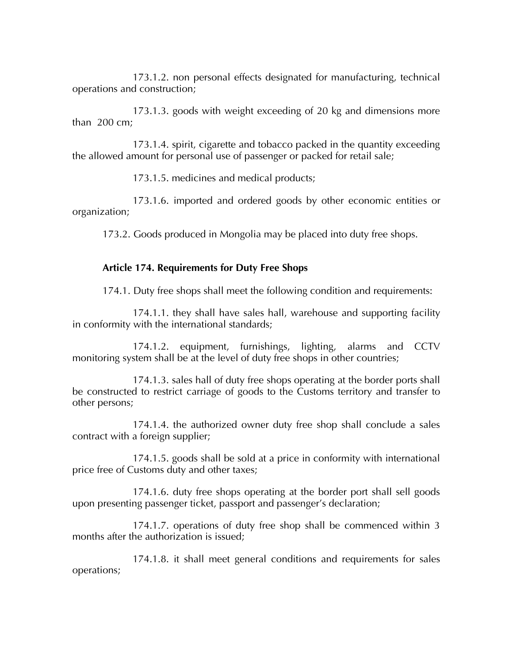173.1.2. non personal effects designated for manufacturing, technical operations and construction;

173.1.3. goods with weight exceeding of 20 kg and dimensions more than 200 cm;

173.1.4. spirit, cigarette and tobacco packed in the quantity exceeding the allowed amount for personal use of passenger or packed for retail sale;

173.1.5. medicines and medical products;

173.1.6. imported and ordered goods by other economic entities or organization;

173.2. Goods produced in Mongolia may be placed into duty free shops.

# **Article 174. Requirements for Duty Free Shops**

174.1. Duty free shops shall meet the following condition and requirements:

174.1.1. they shall have sales hall, warehouse and supporting facility in conformity with the international standards;

174.1.2. equipment, furnishings, lighting, alarms and CCTV monitoring system shall be at the level of duty free shops in other countries;

174.1.3. sales hall of duty free shops operating at the border ports shall be constructed to restrict carriage of goods to the Customs territory and transfer to other persons;

174.1.4. the authorized owner duty free shop shall conclude a sales contract with a foreign supplier;

174.1.5. goods shall be sold at a price in conformity with international price free of Customs duty and other taxes;

174.1.6. duty free shops operating at the border port shall sell goods upon presenting passenger ticket, passport and passenger's declaration;

174.1.7. operations of duty free shop shall be commenced within 3 months after the authorization is issued;

174.1.8. it shall meet general conditions and requirements for sales operations;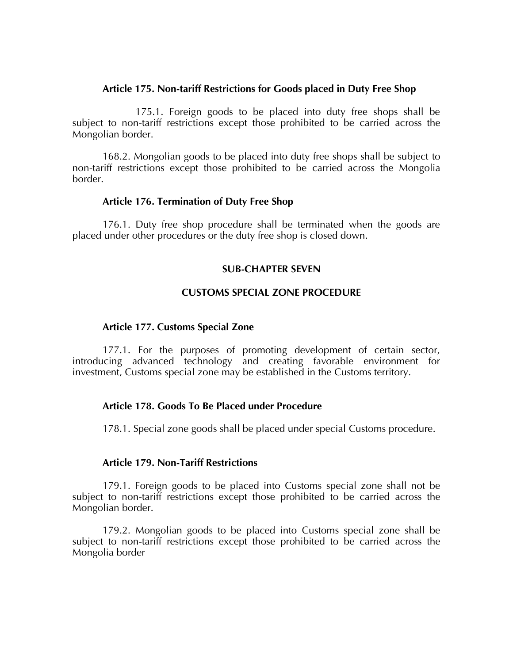### **Article 175. Non-tariff Restrictions for Goods placed in Duty Free Shop**

175.1. Foreign goods to be placed into duty free shops shall be subject to non-tariff restrictions except those prohibited to be carried across the Mongolian border.

168.2. Mongolian goods to be placed into duty free shops shall be subject to non-tariff restrictions except those prohibited to be carried across the Mongolia border.

#### **Article 176. Termination of Duty Free Shop**

176.1. Duty free shop procedure shall be terminated when the goods are placed under other procedures or the duty free shop is closed down.

### **SUB-CHAPTER SEVEN**

## **CUSTOMS SPECIAL ZONE PROCEDURE**

### **Article 177. Customs Special Zone**

177.1. For the purposes of promoting development of certain sector, introducing advanced technology and creating favorable environment for investment, Customs special zone may be established in the Customs territory.

## **Article 178. Goods To Be Placed under Procedure**

178.1. Special zone goods shall be placed under special Customs procedure.

#### **Article 179. Non-Tariff Restrictions**

179.1. Foreign goods to be placed into Customs special zone shall not be subject to non-tariff restrictions except those prohibited to be carried across the Mongolian border.

179.2. Mongolian goods to be placed into Customs special zone shall be subject to non-tariff restrictions except those prohibited to be carried across the Mongolia border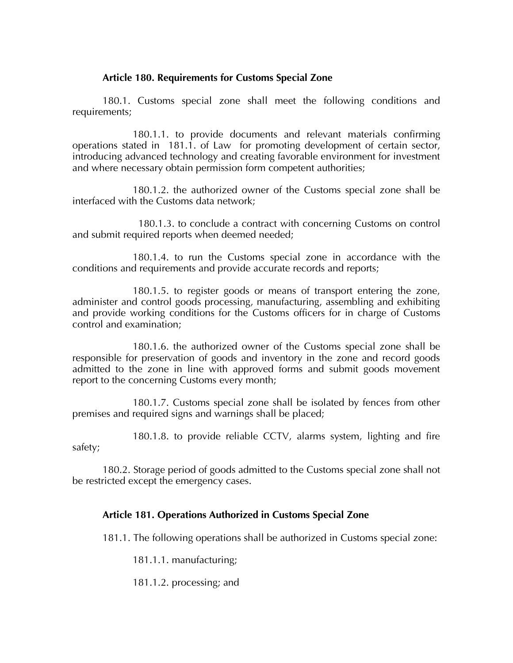# **Article 180. Requirements for Customs Special Zone**

180.1. Customs special zone shall meet the following conditions and requirements;

180.1.1. to provide documents and relevant materials confirming operations stated in 181.1. of Law for promoting development of certain sector, introducing advanced technology and creating favorable environment for investment and where necessary obtain permission form competent authorities;

180.1.2. the authorized owner of the Customs special zone shall be interfaced with the Customs data network;

 180.1.3. to conclude a contract with concerning Customs on control and submit required reports when deemed needed;

180.1.4. to run the Customs special zone in accordance with the conditions and requirements and provide accurate records and reports;

180.1.5. to register goods or means of transport entering the zone, administer and control goods processing, manufacturing, assembling and exhibiting and provide working conditions for the Customs officers for in charge of Customs control and examination;

180.1.6. the authorized owner of the Customs special zone shall be responsible for preservation of goods and inventory in the zone and record goods admitted to the zone in line with approved forms and submit goods movement report to the concerning Customs every month;

180.1.7. Customs special zone shall be isolated by fences from other premises and required signs and warnings shall be placed;

180.1.8. to provide reliable CCTV, alarms system, lighting and fire safety;

180.2. Storage period of goods admitted to the Customs special zone shall not be restricted except the emergency cases.

# **Article 181. Operations Authorized in Customs Special Zone**

181.1. The following operations shall be authorized in Customs special zone:

181.1.1. manufacturing;

181.1.2. processing; and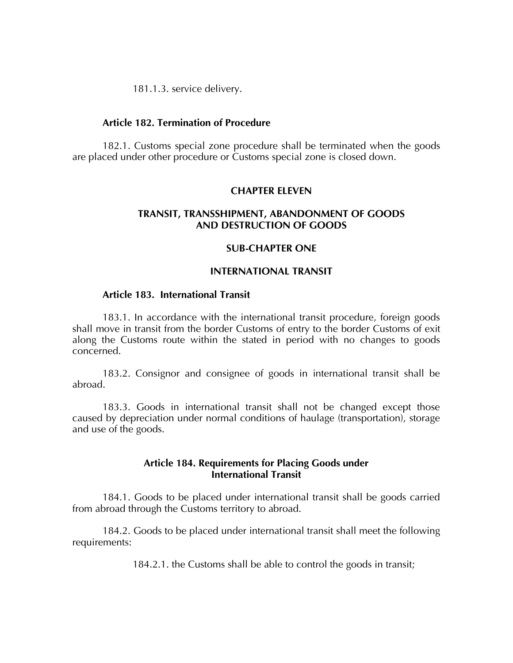181.1.3. service delivery.

### **Article 182. Termination of Procedure**

182.1. Customs special zone procedure shall be terminated when the goods are placed under other procedure or Customs special zone is closed down.

### **CHAPTER ELEVEN**

## **TRANSIT, TRANSSHIPMENT, ABANDONMENT OF GOODS AND DESTRUCTION OF GOODS**

## **SUB-CHAPTER ONE**

### **INTERNATIONAL TRANSIT**

## **Article 183. International Transit**

183.1. In accordance with the international transit procedure, foreign goods shall move in transit from the border Customs of entry to the border Customs of exit along the Customs route within the stated in period with no changes to goods concerned.

183.2. Consignor and consignee of goods in international transit shall be abroad.

183.3. Goods in international transit shall not be changed except those caused by depreciation under normal conditions of haulage (transportation), storage and use of the goods.

### **Article 184. Requirements for Placing Goods under International Transit**

184.1. Goods to be placed under international transit shall be goods carried from abroad through the Customs territory to abroad.

184.2. Goods to be placed under international transit shall meet the following requirements:

184.2.1. the Customs shall be able to control the goods in transit;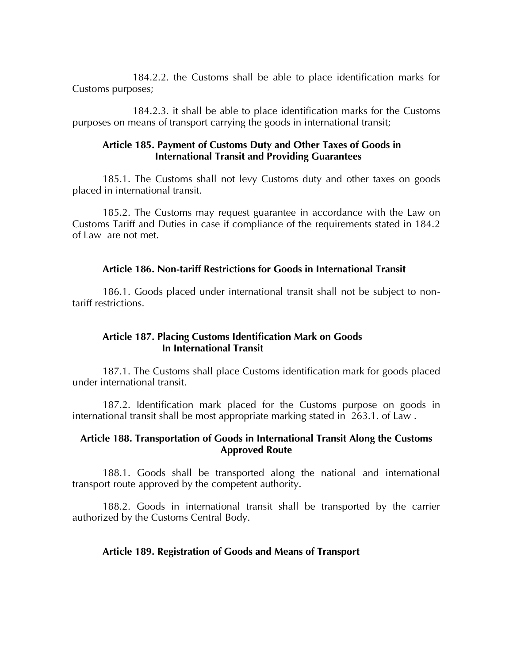184.2.2. the Customs shall be able to place identification marks for Customs purposes;

184.2.3. it shall be able to place identification marks for the Customs purposes on means of transport carrying the goods in international transit;

# **Article 185. Payment of Customs Duty and Other Taxes of Goods in International Transit and Providing Guarantees**

185.1. The Customs shall not levy Customs duty and other taxes on goods placed in international transit.

185.2. The Customs may request guarantee in accordance with the Law on Customs Tariff and Duties in case if compliance of the requirements stated in 184.2 of Law are not met.

# **Article 186. Non-tariff Restrictions for Goods in International Transit**

186.1. Goods placed under international transit shall not be subject to nontariff restrictions.

# **Article 187. Placing Customs Identification Mark on Goods In International Transit**

187.1. The Customs shall place Customs identification mark for goods placed under international transit.

187.2. Identification mark placed for the Customs purpose on goods in international transit shall be most appropriate marking stated in 263.1. of Law .

# **Article 188. Transportation of Goods in International Transit Along the Customs Approved Route**

188.1. Goods shall be transported along the national and international transport route approved by the competent authority.

188.2. Goods in international transit shall be transported by the carrier authorized by the Customs Central Body.

# **Article 189. Registration of Goods and Means of Transport**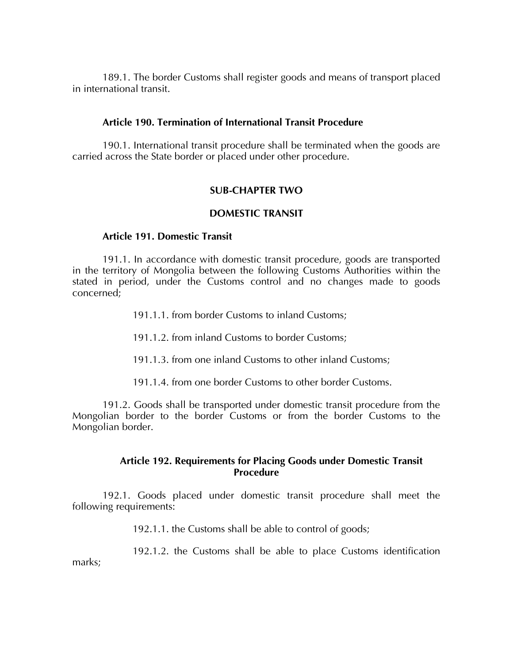189.1. The border Customs shall register goods and means of transport placed in international transit.

### **Article 190. Termination of International Transit Procedure**

190.1. International transit procedure shall be terminated when the goods are carried across the State border or placed under other procedure.

# **SUB-CHAPTER TWO**

## **DOMESTIC TRANSIT**

## **Article 191. Domestic Transit**

191.1. In accordance with domestic transit procedure, goods are transported in the territory of Mongolia between the following Customs Authorities within the stated in period, under the Customs control and no changes made to goods concerned;

- 191.1.1. from border Customs to inland Customs;
- 191.1.2. from inland Customs to border Customs;
- 191.1.3. from one inland Customs to other inland Customs;
- 191.1.4. from one border Customs to other border Customs.

191.2. Goods shall be transported under domestic transit procedure from the Mongolian border to the border Customs or from the border Customs to the Mongolian border.

# **Article 192. Requirements for Placing Goods under Domestic Transit Procedure**

192.1. Goods placed under domestic transit procedure shall meet the following requirements:

192.1.1. the Customs shall be able to control of goods;

192.1.2. the Customs shall be able to place Customs identification

marks;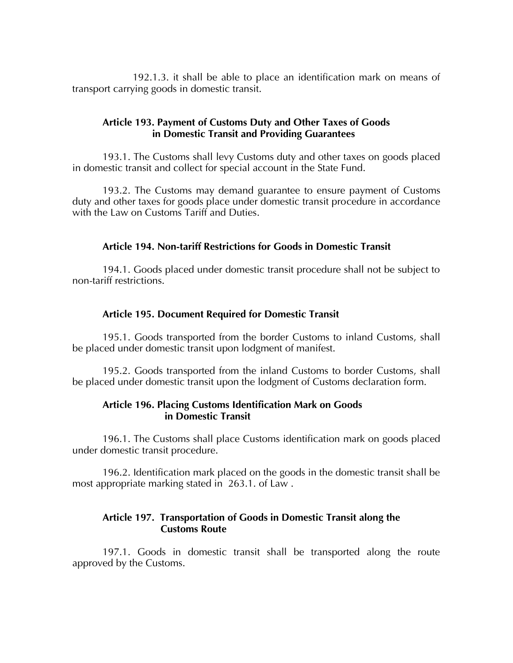192.1.3. it shall be able to place an identification mark on means of transport carrying goods in domestic transit.

# **Article 193. Payment of Customs Duty and Other Taxes of Goods in Domestic Transit and Providing Guarantees**

193.1. The Customs shall levy Customs duty and other taxes on goods placed in domestic transit and collect for special account in the State Fund.

193.2. The Customs may demand guarantee to ensure payment of Customs duty and other taxes for goods place under domestic transit procedure in accordance with the Law on Customs Tariff and Duties.

# **Article 194. Non-tariff Restrictions for Goods in Domestic Transit**

194.1. Goods placed under domestic transit procedure shall not be subject to non-tariff restrictions.

# **Article 195. Document Required for Domestic Transit**

195.1. Goods transported from the border Customs to inland Customs, shall be placed under domestic transit upon lodgment of manifest.

195.2. Goods transported from the inland Customs to border Customs, shall be placed under domestic transit upon the lodgment of Customs declaration form.

## **Article 196. Placing Customs Identification Mark on Goods in Domestic Transit**

196.1. The Customs shall place Customs identification mark on goods placed under domestic transit procedure.

196.2. Identification mark placed on the goods in the domestic transit shall be most appropriate marking stated in 263.1. of Law .

# **Article 197. Transportation of Goods in Domestic Transit along the Customs Route**

197.1. Goods in domestic transit shall be transported along the route approved by the Customs.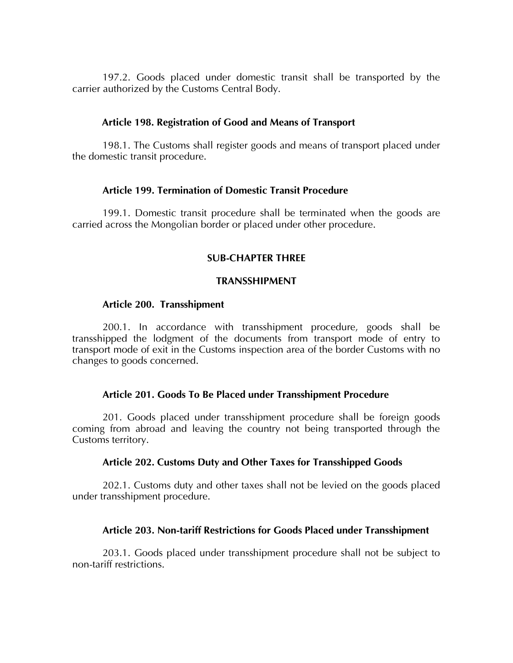197.2. Goods placed under domestic transit shall be transported by the carrier authorized by the Customs Central Body.

### **Article 198. Registration of Good and Means of Transport**

198.1. The Customs shall register goods and means of transport placed under the domestic transit procedure.

## **Article 199. Termination of Domestic Transit Procedure**

199.1. Domestic transit procedure shall be terminated when the goods are carried across the Mongolian border or placed under other procedure.

## **SUB-CHAPTER THREE**

### **TRANSSHIPMENT**

### **Article 200. Transshipment**

200.1. In accordance with transshipment procedure, goods shall be transshipped the lodgment of the documents from transport mode of entry to transport mode of exit in the Customs inspection area of the border Customs with no changes to goods concerned.

## **Article 201. Goods To Be Placed under Transshipment Procedure**

201. Goods placed under transshipment procedure shall be foreign goods coming from abroad and leaving the country not being transported through the Customs territory.

#### **Article 202. Customs Duty and Other Taxes for Transshipped Goods**

202.1. Customs duty and other taxes shall not be levied on the goods placed under transshipment procedure.

## **Article 203. Non-tariff Restrictions for Goods Placed under Transshipment**

203.1. Goods placed under transshipment procedure shall not be subject to non-tariff restrictions.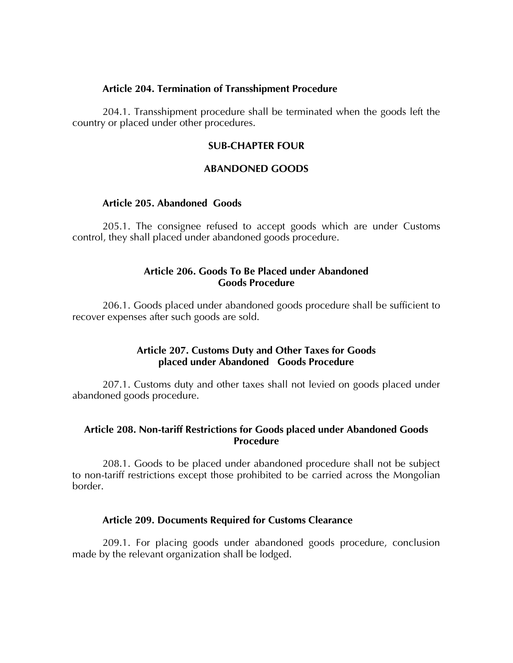### **Article 204. Termination of Transshipment Procedure**

204.1. Transshipment procedure shall be terminated when the goods left the country or placed under other procedures.

### **SUB-CHAPTER FOUR**

### **ABANDONED GOODS**

# **Article 205. Abandoned Goods**

205.1. The consignee refused to accept goods which are under Customs control, they shall placed under abandoned goods procedure.

## **Article 206. Goods To Be Placed under Abandoned Goods Procedure**

206.1. Goods placed under abandoned goods procedure shall be sufficient to recover expenses after such goods are sold.

## **Article 207. Customs Duty and Other Taxes for Goods placed under Abandoned Goods Procedure**

207.1. Customs duty and other taxes shall not levied on goods placed under abandoned goods procedure.

## **Article 208. Non-tariff Restrictions for Goods placed under Abandoned Goods Procedure**

208.1. Goods to be placed under abandoned procedure shall not be subject to non-tariff restrictions except those prohibited to be carried across the Mongolian border.

## **Article 209. Documents Required for Customs Clearance**

209.1. For placing goods under abandoned goods procedure, conclusion made by the relevant organization shall be lodged.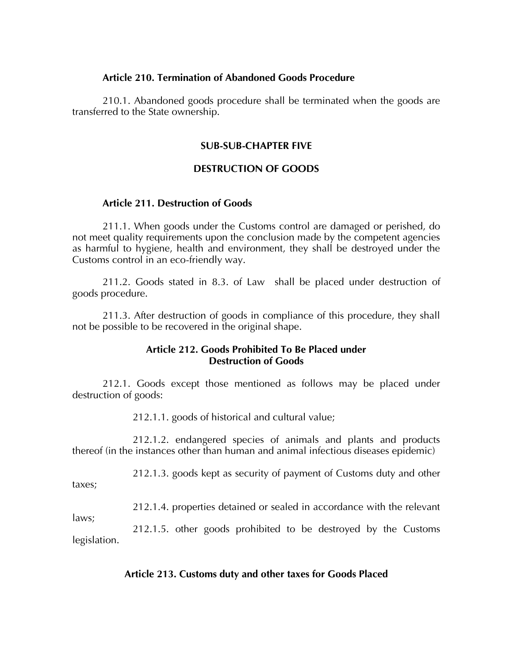### **Article 210. Termination of Abandoned Goods Procedure**

210.1. Abandoned goods procedure shall be terminated when the goods are transferred to the State ownership.

### **SUB-SUB-CHAPTER FIVE**

### **DESTRUCTION OF GOODS**

#### **Article 211. Destruction of Goods**

211.1. When goods under the Customs control are damaged or perished, do not meet quality requirements upon the conclusion made by the competent agencies as harmful to hygiene, health and environment, they shall be destroyed under the Customs control in an eco-friendly way.

211.2. Goods stated in 8.3. of Law shall be placed under destruction of goods procedure.

211.3. After destruction of goods in compliance of this procedure, they shall not be possible to be recovered in the original shape.

## **Article 212. Goods Prohibited To Be Placed under Destruction of Goods**

212.1. Goods except those mentioned as follows may be placed under destruction of goods:

212.1.1. goods of historical and cultural value;

212.1.2. endangered species of animals and plants and products thereof (in the instances other than human and animal infectious diseases epidemic)

212.1.3. goods kept as security of payment of Customs duty and other taxes;

212.1.4. properties detained or sealed in accordance with the relevant

laws;

212.1.5. other goods prohibited to be destroyed by the Customs legislation.

## **Article 213. Customs duty and other taxes for Goods Placed**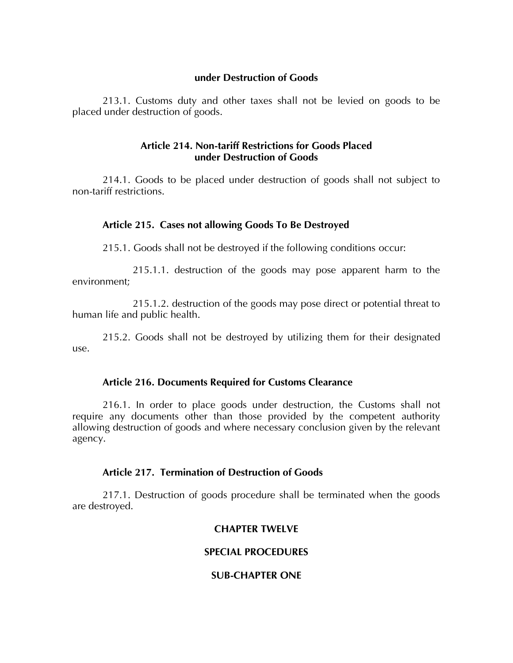### **under Destruction of Goods**

213.1. Customs duty and other taxes shall not be levied on goods to be placed under destruction of goods.

# **Article 214. Non-tariff Restrictions for Goods Placed under Destruction of Goods**

214.1. Goods to be placed under destruction of goods shall not subject to non-tariff restrictions.

## **Article 215. Cases not allowing Goods To Be Destroyed**

215.1. Goods shall not be destroyed if the following conditions occur:

215.1.1. destruction of the goods may pose apparent harm to the environment;

215.1.2. destruction of the goods may pose direct or potential threat to human life and public health.

215.2. Goods shall not be destroyed by utilizing them for their designated use.

### **Article 216. Documents Required for Customs Clearance**

216.1. In order to place goods under destruction, the Customs shall not require any documents other than those provided by the competent authority allowing destruction of goods and where necessary conclusion given by the relevant agency.

#### **Article 217. Termination of Destruction of Goods**

217.1. Destruction of goods procedure shall be terminated when the goods are destroyed.

## **CHAPTER TWELVE**

# **SPECIAL PROCEDURES**

### **SUB-CHAPTER ONE**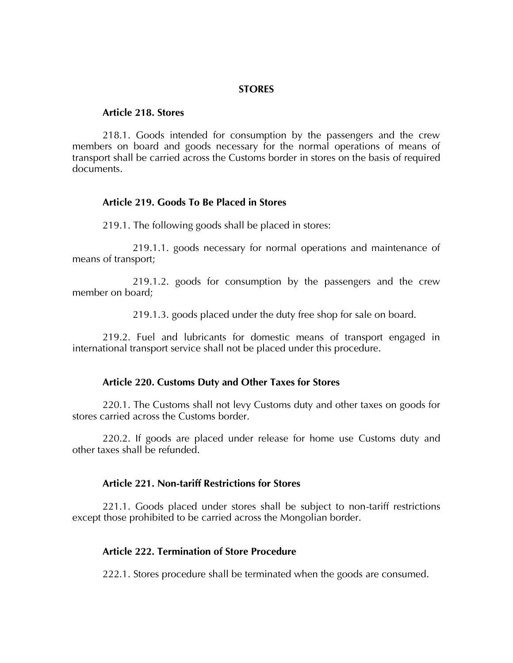### **STORES**

#### **Article 218. Stores**

218.1. Goods intended for consumption by the passengers and the crew members on board and goods necessary for the normal operations of means of transport shall be carried across the Customs border in stores on the basis of required documents.

### **Article 219. Goods To Be Placed in Stores**

219.1. The following goods shall be placed in stores:

219.1.1. goods necessary for normal operations and maintenance of means of transport;

219.1.2. goods for consumption by the passengers and the crew member on board;

219.1.3. goods placed under the duty free shop for sale on board.

219.2. Fuel and lubricants for domestic means of transport engaged in international transport service shall not be placed under this procedure.

#### **Article 220. Customs Duty and Other Taxes for Stores**

220.1. The Customs shall not levy Customs duty and other taxes on goods for stores carried across the Customs border.

220.2. If goods are placed under release for home use Customs duty and other taxes shall be refunded.

## **Article 221. Non-tariff Restrictions for Stores**

221.1. Goods placed under stores shall be subject to non-tariff restrictions except those prohibited to be carried across the Mongolian border.

## **Article 222. Termination of Store Procedure**

222.1. Stores procedure shall be terminated when the goods are consumed.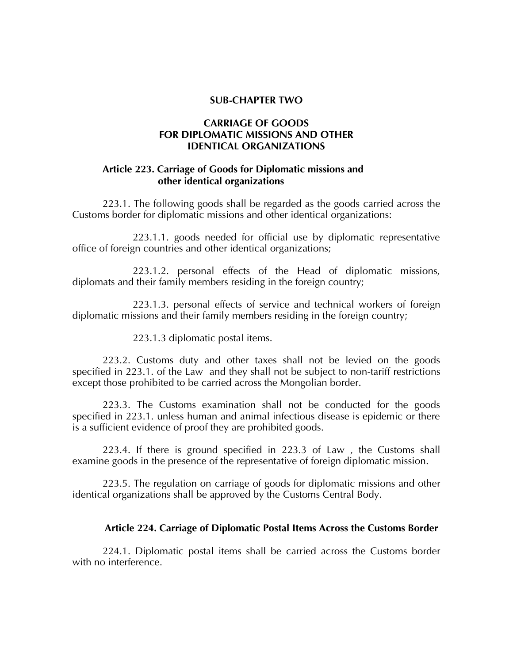#### **SUB-CHAPTER TWO**

## **CARRIAGE OF GOODS FOR DIPLOMATIC MISSIONS AND OTHER IDENTICAL ORGANIZATIONS**

## **Article 223. Carriage of Goods for Diplomatic missions and other identical organizations**

223.1. The following goods shall be regarded as the goods carried across the Customs border for diplomatic missions and other identical organizations:

223.1.1. goods needed for official use by diplomatic representative office of foreign countries and other identical organizations;

223.1.2. personal effects of the Head of diplomatic missions, diplomats and their family members residing in the foreign country;

223.1.3. personal effects of service and technical workers of foreign diplomatic missions and their family members residing in the foreign country;

223.1.3 diplomatic postal items.

223.2. Customs duty and other taxes shall not be levied on the goods specified in 223.1. of the Law and they shall not be subject to non-tariff restrictions except those prohibited to be carried across the Mongolian border.

223.3. The Customs examination shall not be conducted for the goods specified in 223.1. unless human and animal infectious disease is epidemic or there is a sufficient evidence of proof they are prohibited goods.

223.4. If there is ground specified in 223.3 of Law , the Customs shall examine goods in the presence of the representative of foreign diplomatic mission.

223.5. The regulation on carriage of goods for diplomatic missions and other identical organizations shall be approved by the Customs Central Body.

## **Article 224. Carriage of Diplomatic Postal Items Across the Customs Border**

224.1. Diplomatic postal items shall be carried across the Customs border with no interference.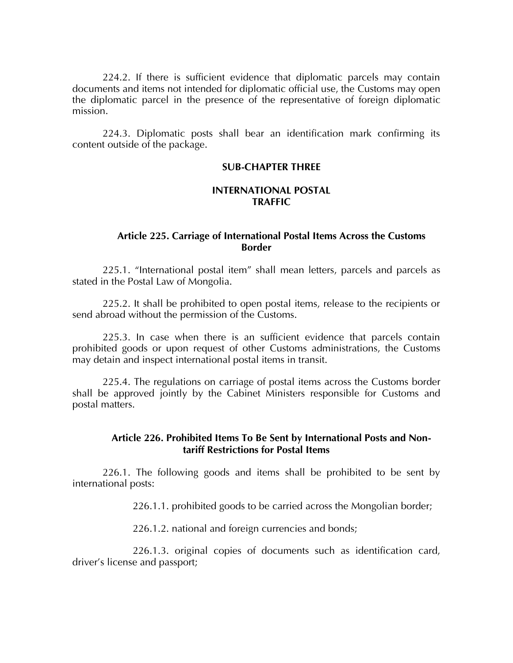224.2. If there is sufficient evidence that diplomatic parcels may contain documents and items not intended for diplomatic official use, the Customs may open the diplomatic parcel in the presence of the representative of foreign diplomatic mission.

224.3. Diplomatic posts shall bear an identification mark confirming its content outside of the package.

#### **SUB-CHAPTER THREE**

## **INTERNATIONAL POSTAL TRAFFIC**

## **Article 225. Carriage of International Postal Items Across the Customs Border**

225.1. 'International postal item' shall mean letters, parcels and parcels as stated in the Postal Law of Mongolia.

225.2. It shall be prohibited to open postal items, release to the recipients or send abroad without the permission of the Customs.

225.3. In case when there is an sufficient evidence that parcels contain prohibited goods or upon request of other Customs administrations, the Customs may detain and inspect international postal items in transit.

225.4. The regulations on carriage of postal items across the Customs border shall be approved jointly by the Cabinet Ministers responsible for Customs and postal matters.

# **Article 226. Prohibited Items To Be Sent by International Posts and Nontariff Restrictions for Postal Items**

226.1. The following goods and items shall be prohibited to be sent by international posts:

226.1.1. prohibited goods to be carried across the Mongolian border;

226.1.2. national and foreign currencies and bonds;

226.1.3. original copies of documents such as identification card, driver's license and passport;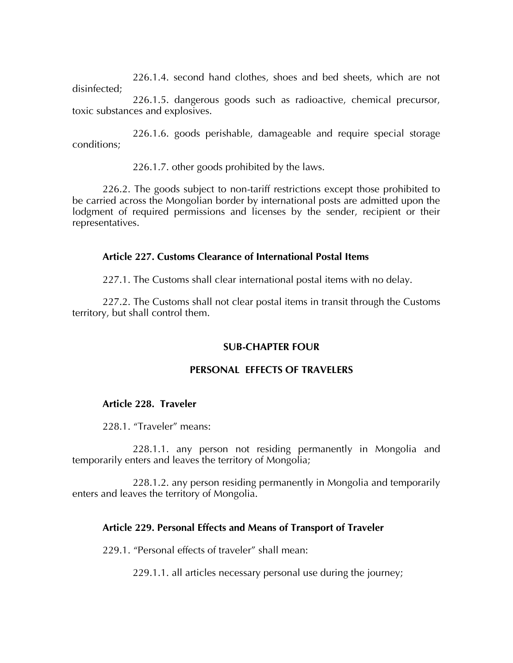226.1.4. second hand clothes, shoes and bed sheets, which are not disinfected;

226.1.5. dangerous goods such as radioactive, chemical precursor, toxic substances and explosives.

226.1.6. goods perishable, damageable and require special storage conditions;

226.1.7. other goods prohibited by the laws.

226.2. The goods subject to non-tariff restrictions except those prohibited to be carried across the Mongolian border by international posts are admitted upon the lodgment of required permissions and licenses by the sender, recipient or their representatives.

# **Article 227. Customs Clearance of International Postal Items**

227.1. The Customs shall clear international postal items with no delay.

227.2. The Customs shall not clear postal items in transit through the Customs territory, but shall control them.

# **SUB-CHAPTER FOUR**

# **PERSONAL EFFECTS OF TRAVELERS**

## **Article 228. Traveler**

228.1. 'Traveler' means:

228.1.1. any person not residing permanently in Mongolia and temporarily enters and leaves the territory of Mongolia;

228.1.2. any person residing permanently in Mongolia and temporarily enters and leaves the territory of Mongolia.

## **Article 229. Personal Effects and Means of Transport of Traveler**

229.1. 'Personal effects of traveler' shall mean:

229.1.1. all articles necessary personal use during the journey;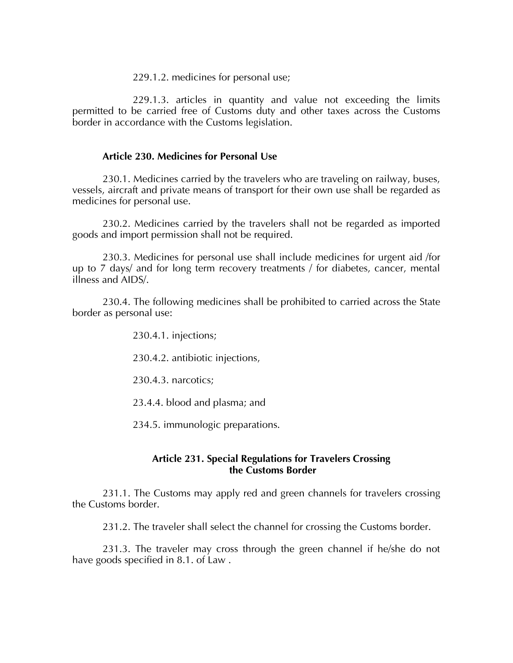229.1.2. medicines for personal use;

229.1.3. articles in quantity and value not exceeding the limits permitted to be carried free of Customs duty and other taxes across the Customs border in accordance with the Customs legislation.

#### **Article 230. Medicines for Personal Use**

230.1. Medicines carried by the travelers who are traveling on railway, buses, vessels, aircraft and private means of transport for their own use shall be regarded as medicines for personal use.

230.2. Medicines carried by the travelers shall not be regarded as imported goods and import permission shall not be required.

230.3. Medicines for personal use shall include medicines for urgent aid /for up to 7 days/ and for long term recovery treatments / for diabetes, cancer, mental illness and AIDS/.

230.4. The following medicines shall be prohibited to carried across the State border as personal use:

230.4.1. injections;

230.4.2. antibiotic injections,

230.4.3. narcotics;

23.4.4. blood and plasma; and

234.5. immunologic preparations.

## **Article 231. Special Regulations for Travelers Crossing the Customs Border**

231.1. The Customs may apply red and green channels for travelers crossing the Customs border.

231.2. The traveler shall select the channel for crossing the Customs border.

231.3. The traveler may cross through the green channel if he/she do not have goods specified in 8.1. of Law .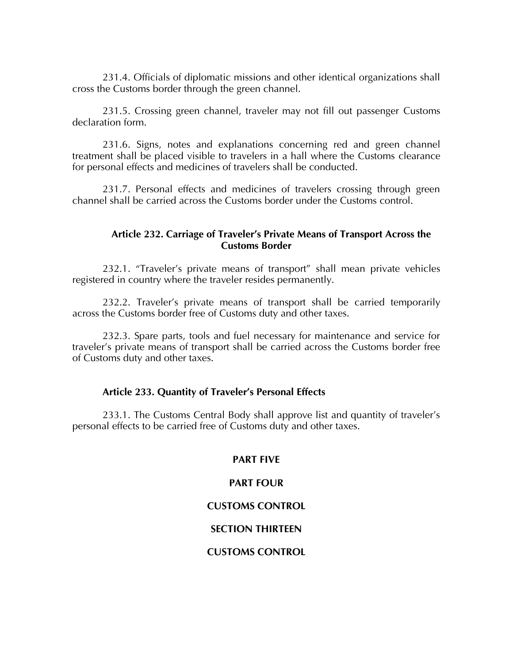231.4. Officials of diplomatic missions and other identical organizations shall cross the Customs border through the green channel.

231.5. Crossing green channel, traveler may not fill out passenger Customs declaration form.

231.6. Signs, notes and explanations concerning red and green channel treatment shall be placed visible to travelers in a hall where the Customs clearance for personal effects and medicines of travelers shall be conducted.

231.7. Personal effects and medicines of travelers crossing through green channel shall be carried across the Customs border under the Customs control.

## **Article 232. Carriage of Traveler's Private Means of Transport Across the Customs Border**

232.1. "Traveler's private means of transport" shall mean private vehicles registered in country where the traveler resides permanently.

232.2. Traveler's private means of transport shall be carried temporarily across the Customs border free of Customs duty and other taxes.

232.3. Spare parts, tools and fuel necessary for maintenance and service for traveler's private means of transport shall be carried across the Customs border free of Customs duty and other taxes.

## **Article 233. Quantity of Traveler's Personal Effects**

233.1. The Customs Central Body shall approve list and quantity of traveler's personal effects to be carried free of Customs duty and other taxes.

# **PART FIVE PART FOUR CUSTOMS CONTROL SECTION THIRTEEN CUSTOMS CONTROL**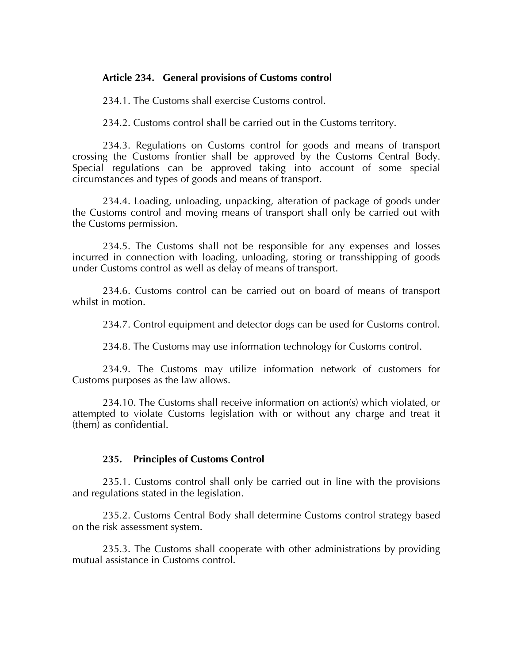## **Article 234. General provisions of Customs control**

234.1. The Customs shall exercise Customs control.

234.2. Customs control shall be carried out in the Customs territory.

234.3. Regulations on Customs control for goods and means of transport crossing the Customs frontier shall be approved by the Customs Central Body. Special regulations can be approved taking into account of some special circumstances and types of goods and means of transport.

234.4. Loading, unloading, unpacking, alteration of package of goods under the Customs control and moving means of transport shall only be carried out with the Customs permission.

234.5. The Customs shall not be responsible for any expenses and losses incurred in connection with loading, unloading, storing or transshipping of goods under Customs control as well as delay of means of transport.

234.6. Customs control can be carried out on board of means of transport whilst in motion.

234.7. Control equipment and detector dogs can be used for Customs control.

234.8. The Customs may use information technology for Customs control.

234.9. The Customs may utilize information network of customers for Customs purposes as the law allows.

234.10. The Customs shall receive information on action(s) which violated, or attempted to violate Customs legislation with or without any charge and treat it (them) as confidential.

## **235. Principles of Customs Control**

235.1. Customs control shall only be carried out in line with the provisions and regulations stated in the legislation.

235.2. Customs Central Body shall determine Customs control strategy based on the risk assessment system.

235.3. The Customs shall cooperate with other administrations by providing mutual assistance in Customs control.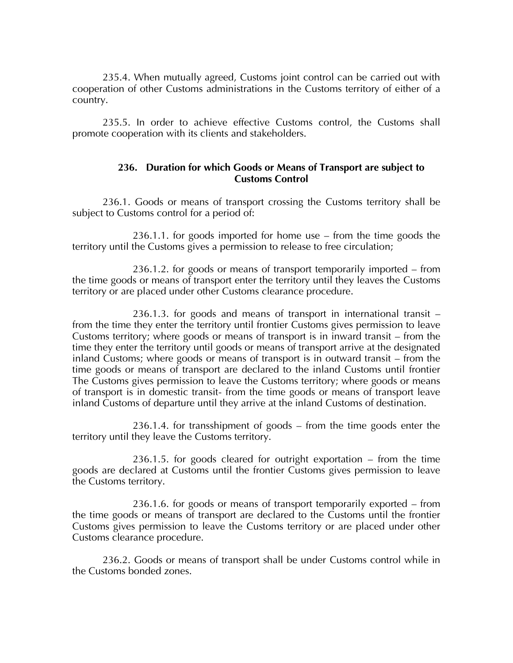235.4. When mutually agreed, Customs joint control can be carried out with cooperation of other Customs administrations in the Customs territory of either of a country.

235.5. In order to achieve effective Customs control, the Customs shall promote cooperation with its clients and stakeholders.

# **236. Duration for which Goods or Means of Transport are subject to Customs Control**

236.1. Goods or means of transport crossing the Customs territory shall be subject to Customs control for a period of:

236.1.1. for goods imported for home use – from the time goods the territory until the Customs gives a permission to release to free circulation;

236.1.2. for goods or means of transport temporarily imported – from the time goods or means of transport enter the territory until they leaves the Customs territory or are placed under other Customs clearance procedure.

236.1.3. for goods and means of transport in international transit – from the time they enter the territory until frontier Customs gives permission to leave Customs territory; where goods or means of transport is in inward transit – from the time they enter the territory until goods or means of transport arrive at the designated inland Customs; where goods or means of transport is in outward transit – from the time goods or means of transport are declared to the inland Customs until frontier The Customs gives permission to leave the Customs territory; where goods or means of transport is in domestic transit- from the time goods or means of transport leave inland Customs of departure until they arrive at the inland Customs of destination.

236.1.4. for transshipment of goods – from the time goods enter the territory until they leave the Customs territory.

236.1.5. for goods cleared for outright exportation – from the time goods are declared at Customs until the frontier Customs gives permission to leave the Customs territory.

236.1.6. for goods or means of transport temporarily exported – from the time goods or means of transport are declared to the Customs until the frontier Customs gives permission to leave the Customs territory or are placed under other Customs clearance procedure.

236.2. Goods or means of transport shall be under Customs control while in the Customs bonded zones.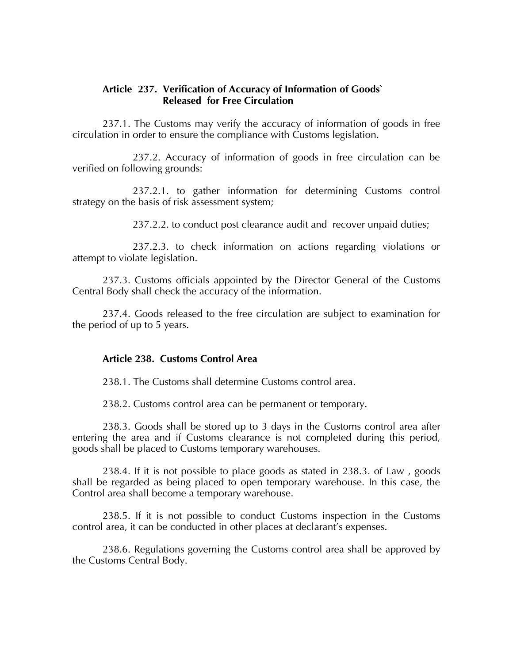## **Article 237. Verification of Accuracy of Information of Goods` Released for Free Circulation**

237.1. The Customs may verify the accuracy of information of goods in free circulation in order to ensure the compliance with Customs legislation.

237.2. Accuracy of information of goods in free circulation can be verified on following grounds:

237.2.1. to gather information for determining Customs control strategy on the basis of risk assessment system;

237.2.2. to conduct post clearance audit and recover unpaid duties;

237.2.3. to check information on actions regarding violations or attempt to violate legislation.

237.3. Customs officials appointed by the Director General of the Customs Central Body shall check the accuracy of the information.

237.4. Goods released to the free circulation are subject to examination for the period of up to 5 years.

#### **Article 238. Customs Control Area**

238.1. The Customs shall determine Customs control area.

238.2. Customs control area can be permanent or temporary.

238.3. Goods shall be stored up to 3 days in the Customs control area after entering the area and if Customs clearance is not completed during this period, goods shall be placed to Customs temporary warehouses.

238.4. If it is not possible to place goods as stated in 238.3. of Law , goods shall be regarded as being placed to open temporary warehouse. In this case, the Control area shall become a temporary warehouse.

238.5. If it is not possible to conduct Customs inspection in the Customs control area, it can be conducted in other places at declarant's expenses.

238.6. Regulations governing the Customs control area shall be approved by the Customs Central Body.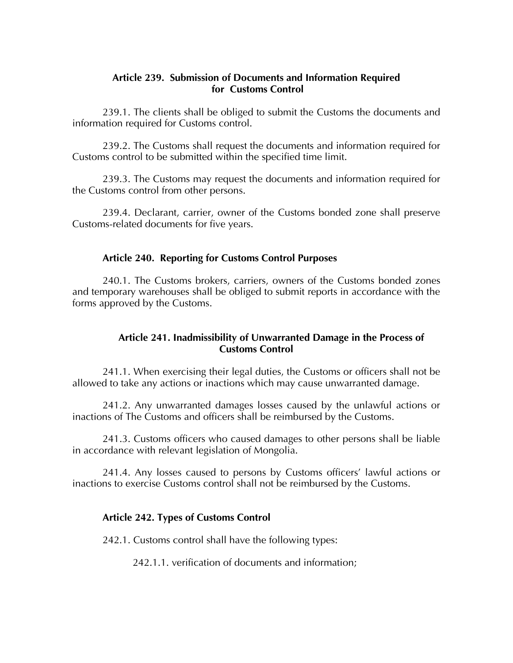# **Article 239. Submission of Documents and Information Required for Customs Control**

239.1. The clients shall be obliged to submit the Customs the documents and information required for Customs control.

239.2. The Customs shall request the documents and information required for Customs control to be submitted within the specified time limit.

239.3. The Customs may request the documents and information required for the Customs control from other persons.

239.4. Declarant, carrier, owner of the Customs bonded zone shall preserve Customs-related documents for five years.

# **Article 240. Reporting for Customs Control Purposes**

240.1. The Customs brokers, carriers, owners of the Customs bonded zones and temporary warehouses shall be obliged to submit reports in accordance with the forms approved by the Customs.

# **Article 241. Inadmissibility of Unwarranted Damage in the Process of Customs Control**

241.1. When exercising their legal duties, the Customs or officers shall not be allowed to take any actions or inactions which may cause unwarranted damage.

241.2. Any unwarranted damages losses caused by the unlawful actions or inactions of The Customs and officers shall be reimbursed by the Customs.

241.3. Customs officers who caused damages to other persons shall be liable in accordance with relevant legislation of Mongolia.

241.4. Any losses caused to persons by Customs officers' lawful actions or inactions to exercise Customs control shall not be reimbursed by the Customs.

# **Article 242. Types of Customs Control**

242.1. Customs control shall have the following types:

242.1.1. verification of documents and information;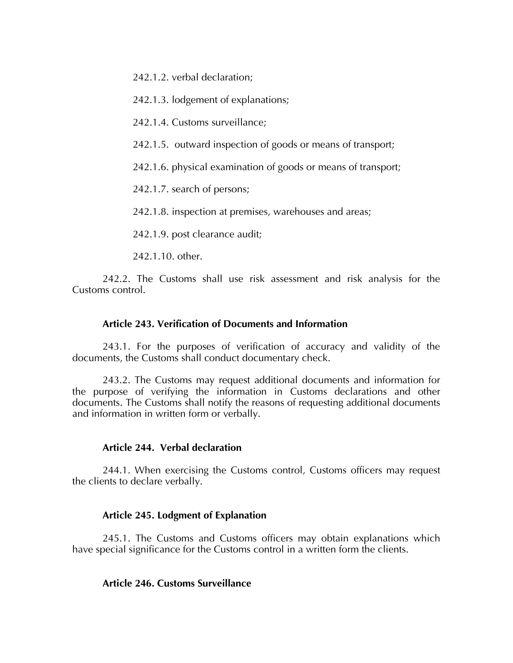242.1.2. verbal declaration;

242.1.3. lodgement of explanations;

242.1.4. Customs surveillance;

242.1.5. outward inspection of goods or means of transport;

242.1.6. physical examination of goods or means of transport;

242.1.7. search of persons;

242.1.8. inspection at premises, warehouses and areas;

242.1.9. post clearance audit;

242.1.10. other.

242.2. The Customs shall use risk assessment and risk analysis for the Customs control.

# **Article 243. Verification of Documents and Information**

243.1. For the purposes of verification of accuracy and validity of the documents, the Customs shall conduct documentary check.

243.2. The Customs may request additional documents and information for the purpose of verifying the information in Customs declarations and other documents. The Customs shall notify the reasons of requesting additional documents and information in written form or verbally.

## **Article 244. Verbal declaration**

244.1. When exercising the Customs control, Customs officers may request the clients to declare verbally.

# **Article 245. Lodgment of Explanation**

245.1. The Customs and Customs officers may obtain explanations which have special significance for the Customs control in a written form the clients.

## **Article 246. Customs Surveillance**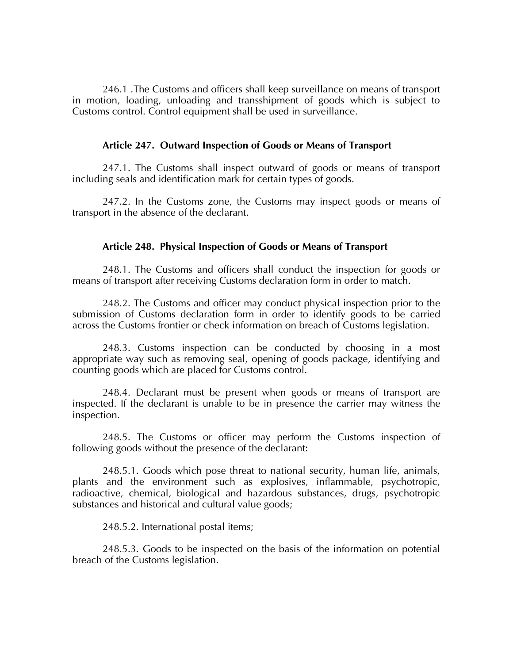246.1 .The Customs and officers shall keep surveillance on means of transport in motion, loading, unloading and transshipment of goods which is subject to Customs control. Control equipment shall be used in surveillance.

#### **Article 247. Outward Inspection of Goods or Means of Transport**

247.1. The Customs shall inspect outward of goods or means of transport including seals and identification mark for certain types of goods.

247.2. In the Customs zone, the Customs may inspect goods or means of transport in the absence of the declarant.

#### **Article 248. Physical Inspection of Goods or Means of Transport**

248.1. The Customs and officers shall conduct the inspection for goods or means of transport after receiving Customs declaration form in order to match.

248.2. The Customs and officer may conduct physical inspection prior to the submission of Customs declaration form in order to identify goods to be carried across the Customs frontier or check information on breach of Customs legislation.

248.3. Customs inspection can be conducted by choosing in a most appropriate way such as removing seal, opening of goods package, identifying and counting goods which are placed for Customs control.

248.4. Declarant must be present when goods or means of transport are inspected. If the declarant is unable to be in presence the carrier may witness the inspection.

248.5. The Customs or officer may perform the Customs inspection of following goods without the presence of the declarant:

248.5.1. Goods which pose threat to national security, human life, animals, plants and the environment such as explosives, inflammable, psychotropic, radioactive, chemical, biological and hazardous substances, drugs, psychotropic substances and historical and cultural value goods;

248.5.2. International postal items;

248.5.3. Goods to be inspected on the basis of the information on potential breach of the Customs legislation.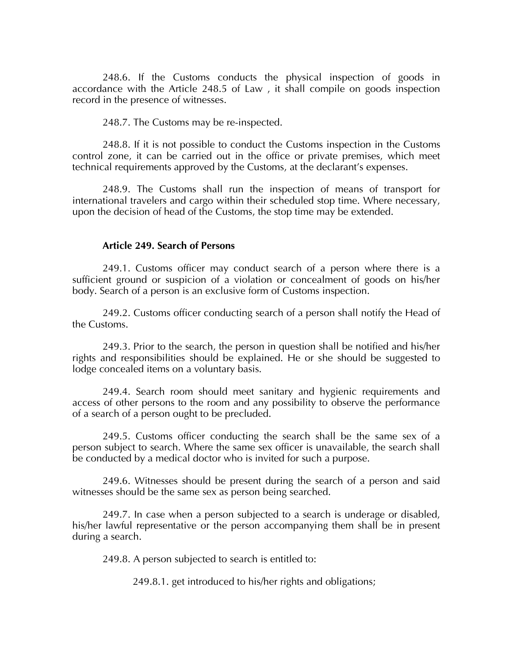248.6. If the Customs conducts the physical inspection of goods in accordance with the Article 248.5 of Law , it shall compile on goods inspection record in the presence of witnesses.

248.7. The Customs may be re-inspected.

248.8. If it is not possible to conduct the Customs inspection in the Customs control zone, it can be carried out in the office or private premises, which meet technical requirements approved by the Customs, at the declarant's expenses.

248.9. The Customs shall run the inspection of means of transport for international travelers and cargo within their scheduled stop time. Where necessary, upon the decision of head of the Customs, the stop time may be extended.

#### **Article 249. Search of Persons**

249.1. Customs officer may conduct search of a person where there is a sufficient ground or suspicion of a violation or concealment of goods on his/her body. Search of a person is an exclusive form of Customs inspection.

249.2. Customs officer conducting search of a person shall notify the Head of the Customs.

249.3. Prior to the search, the person in question shall be notified and his/her rights and responsibilities should be explained. He or she should be suggested to lodge concealed items on a voluntary basis.

249.4. Search room should meet sanitary and hygienic requirements and access of other persons to the room and any possibility to observe the performance of a search of a person ought to be precluded.

249.5. Customs officer conducting the search shall be the same sex of a person subject to search. Where the same sex officer is unavailable, the search shall be conducted by a medical doctor who is invited for such a purpose.

249.6. Witnesses should be present during the search of a person and said witnesses should be the same sex as person being searched.

249.7. In case when a person subjected to a search is underage or disabled, his/her lawful representative or the person accompanying them shall be in present during a search.

249.8. A person subjected to search is entitled to:

249.8.1. get introduced to his/her rights and obligations;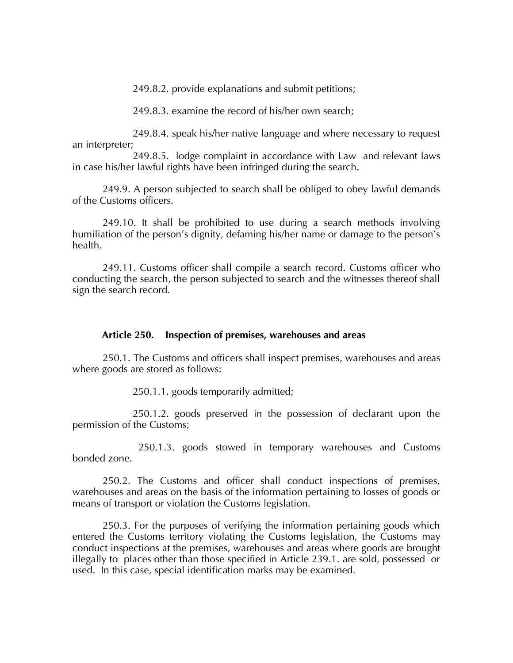249.8.2. provide explanations and submit petitions;

249.8.3. examine the record of his/her own search;

249.8.4. speak his/her native language and where necessary to request an interpreter;

249.8.5. lodge complaint in accordance with Law and relevant laws in case his/her lawful rights have been infringed during the search.

249.9. A person subjected to search shall be obliged to obey lawful demands of the Customs officers.

249.10. It shall be prohibited to use during a search methods involving humiliation of the person's dignity, defaming his/her name or damage to the person's health.

249.11. Customs officer shall compile a search record. Customs officer who conducting the search, the person subjected to search and the witnesses thereof shall sign the search record.

### **Article 250. Inspection of premises, warehouses and areas**

250.1. The Customs and officers shall inspect premises, warehouses and areas where goods are stored as follows:

250.1.1. goods temporarily admitted;

250.1.2. goods preserved in the possession of declarant upon the permission of the Customs;

 250.1.3. goods stowed in temporary warehouses and Customs bonded zone.

250.2. The Customs and officer shall conduct inspections of premises, warehouses and areas on the basis of the information pertaining to losses of goods or means of transport or violation the Customs legislation.

250.3. For the purposes of verifying the information pertaining goods which entered the Customs territory violating the Customs legislation, the Customs may conduct inspections at the premises, warehouses and areas where goods are brought illegally to places other than those specified in Article 239.1. are sold, possessed or used. In this case, special identification marks may be examined.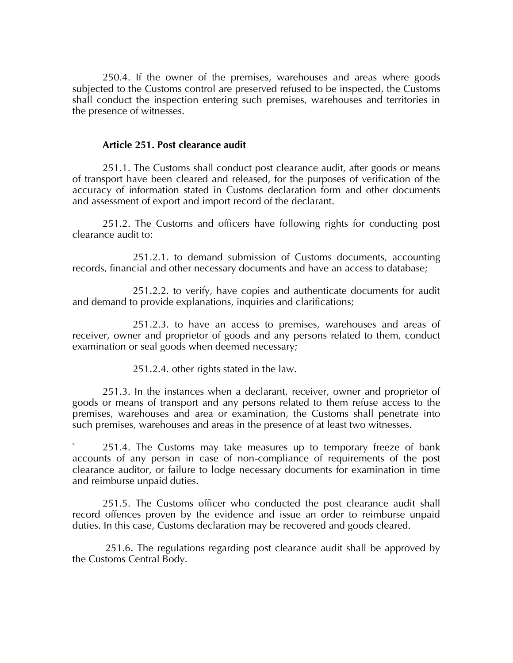250.4. If the owner of the premises, warehouses and areas where goods subjected to the Customs control are preserved refused to be inspected, the Customs shall conduct the inspection entering such premises, warehouses and territories in the presence of witnesses.

#### **Article 251. Post clearance audit**

 251.1. The Customs shall conduct post clearance audit, after goods or means of transport have been cleared and released, for the purposes of verification of the accuracy of information stated in Customs declaration form and other documents and assessment of export and import record of the declarant.

251.2. The Customs and officers have following rights for conducting post clearance audit to:

251.2.1. to demand submission of Customs documents, accounting records, financial and other necessary documents and have an access to database;

251.2.2. to verify, have copies and authenticate documents for audit and demand to provide explanations, inquiries and clarifications;

251.2.3. to have an access to premises, warehouses and areas of receiver, owner and proprietor of goods and any persons related to them, conduct examination or seal goods when deemed necessary;

251.2.4. other rights stated in the law.

251.3. In the instances when a declarant, receiver, owner and proprietor of goods or means of transport and any persons related to them refuse access to the premises, warehouses and area or examination, the Customs shall penetrate into such premises, warehouses and areas in the presence of at least two witnesses.

251.4. The Customs may take measures up to temporary freeze of bank accounts of any person in case of non-compliance of requirements of the post clearance auditor, or failure to lodge necessary documents for examination in time and reimburse unpaid duties.

251.5. The Customs officer who conducted the post clearance audit shall record offences proven by the evidence and issue an order to reimburse unpaid duties. In this case, Customs declaration may be recovered and goods cleared.

251.6. The regulations regarding post clearance audit shall be approved by the Customs Central Body.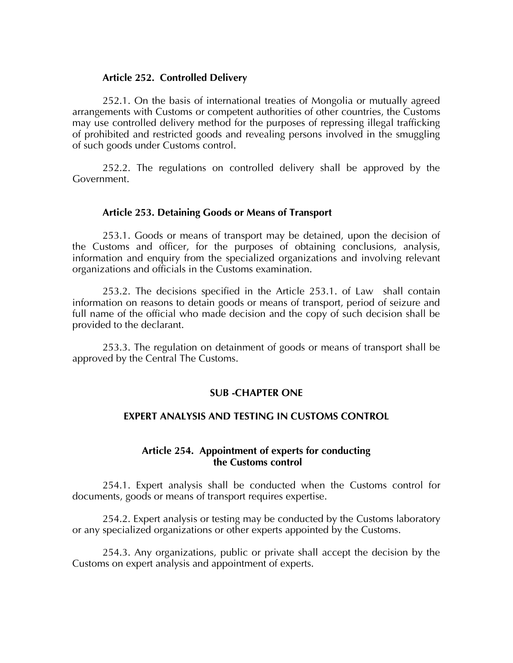### **Article 252. Controlled Delivery**

252.1. On the basis of international treaties of Mongolia or mutually agreed arrangements with Customs or competent authorities of other countries, the Customs may use controlled delivery method for the purposes of repressing illegal trafficking of prohibited and restricted goods and revealing persons involved in the smuggling of such goods under Customs control.

252.2. The regulations on controlled delivery shall be approved by the Government.

#### **Article 253. Detaining Goods or Means of Transport**

253.1. Goods or means of transport may be detained, upon the decision of the Customs and officer, for the purposes of obtaining conclusions, analysis, information and enquiry from the specialized organizations and involving relevant organizations and officials in the Customs examination.

253.2. The decisions specified in the Article 253.1. of Law shall contain information on reasons to detain goods or means of transport, period of seizure and full name of the official who made decision and the copy of such decision shall be provided to the declarant.

253.3. The regulation on detainment of goods or means of transport shall be approved by the Central The Customs.

#### **SUB -CHAPTER ONE**

## **EXPERT ANALYSIS AND TESTING IN CUSTOMS CONTROL**

## **Article 254. Appointment of experts for conducting the Customs control**

254.1. Expert analysis shall be conducted when the Customs control for documents, goods or means of transport requires expertise.

254.2. Expert analysis or testing may be conducted by the Customs laboratory or any specialized organizations or other experts appointed by the Customs.

254.3. Any organizations, public or private shall accept the decision by the Customs on expert analysis and appointment of experts.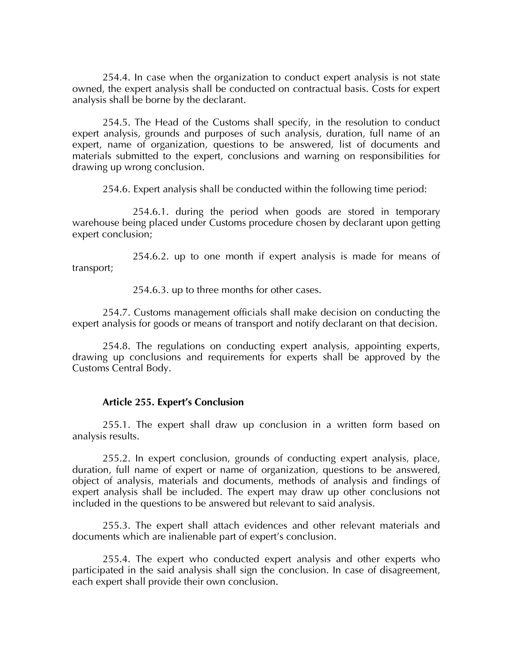254.4. In case when the organization to conduct expert analysis is not state owned, the expert analysis shall be conducted on contractual basis. Costs for expert analysis shall be borne by the declarant.

254.5. The Head of the Customs shall specify, in the resolution to conduct expert analysis, grounds and purposes of such analysis, duration, full name of an expert, name of organization, questions to be answered, list of documents and materials submitted to the expert, conclusions and warning on responsibilities for drawing up wrong conclusion.

254.6. Expert analysis shall be conducted within the following time period:

254.6.1. during the period when goods are stored in temporary warehouse being placed under Customs procedure chosen by declarant upon getting expert conclusion;

254.6.2. up to one month if expert analysis is made for means of transport;

254.6.3. up to three months for other cases.

254.7. Customs management officials shall make decision on conducting the expert analysis for goods or means of transport and notify declarant on that decision.

254.8. The regulations on conducting expert analysis, appointing experts, drawing up conclusions and requirements for experts shall be approved by the Customs Central Body.

#### **Article 255. Expert's Conclusion**

255.1. The expert shall draw up conclusion in a written form based on analysis results.

255.2. In expert conclusion, grounds of conducting expert analysis, place, duration, full name of expert or name of organization, questions to be answered, object of analysis, materials and documents, methods of analysis and findings of expert analysis shall be included. The expert may draw up other conclusions not included in the questions to be answered but relevant to said analysis.

255.3. The expert shall attach evidences and other relevant materials and documents which are inalienable part of expert's conclusion.

255.4. The expert who conducted expert analysis and other experts who participated in the said analysis shall sign the conclusion. In case of disagreement, each expert shall provide their own conclusion.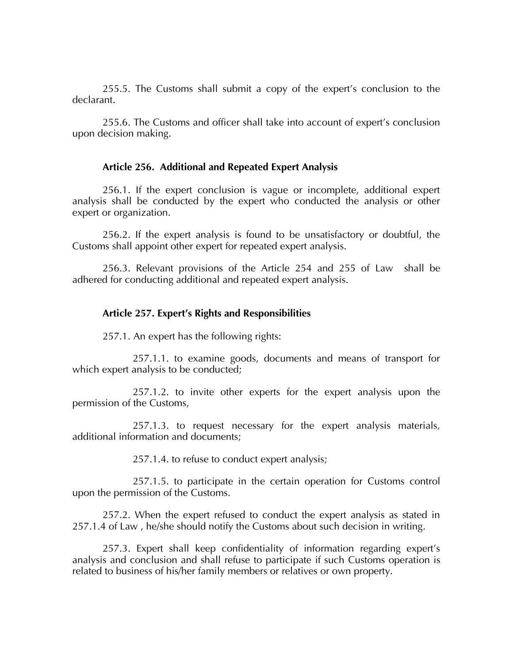255.5. The Customs shall submit a copy of the expert's conclusion to the declarant.

255.6. The Customs and officer shall take into account of expert's conclusion upon decision making.

## **Article 256. Additional and Repeated Expert Analysis**

256.1. If the expert conclusion is vague or incomplete, additional expert analysis shall be conducted by the expert who conducted the analysis or other expert or organization.

256.2. If the expert analysis is found to be unsatisfactory or doubtful, the Customs shall appoint other expert for repeated expert analysis.

256.3. Relevant provisions of the Article 254 and 255 of Law shall be adhered for conducting additional and repeated expert analysis.

## **Article 257. Expert's Rights and Responsibilities**

257.1. An expert has the following rights:

257.1.1. to examine goods, documents and means of transport for which expert analysis to be conducted;

257.1.2. to invite other experts for the expert analysis upon the permission of the Customs,

257.1.3. to request necessary for the expert analysis materials, additional information and documents;

257.1.4. to refuse to conduct expert analysis;

257.1.5. to participate in the certain operation for Customs control upon the permission of the Customs.

257.2. When the expert refused to conduct the expert analysis as stated in 257.1.4 of Law , he/she should notify the Customs about such decision in writing.

257.3. Expert shall keep confidentiality of information regarding expert's analysis and conclusion and shall refuse to participate if such Customs operation is related to business of his/her family members or relatives or own property.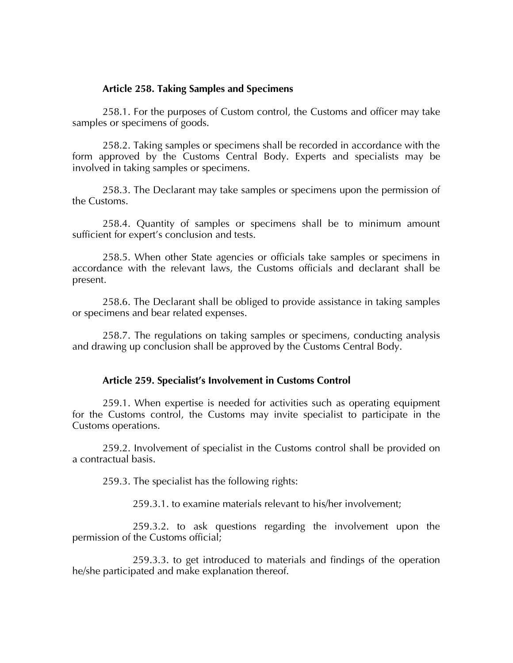#### **Article 258. Taking Samples and Specimens**

258.1. For the purposes of Custom control, the Customs and officer may take samples or specimens of goods.

258.2. Taking samples or specimens shall be recorded in accordance with the form approved by the Customs Central Body. Experts and specialists may be involved in taking samples or specimens.

258.3. The Declarant may take samples or specimens upon the permission of the Customs.

258.4. Quantity of samples or specimens shall be to minimum amount sufficient for expert's conclusion and tests.

258.5. When other State agencies or officials take samples or specimens in accordance with the relevant laws, the Customs officials and declarant shall be present.

258.6. The Declarant shall be obliged to provide assistance in taking samples or specimens and bear related expenses.

258.7. The regulations on taking samples or specimens, conducting analysis and drawing up conclusion shall be approved by the Customs Central Body.

#### **Article 259. Specialist's Involvement in Customs Control**

259.1. When expertise is needed for activities such as operating equipment for the Customs control, the Customs may invite specialist to participate in the Customs operations.

259.2. Involvement of specialist in the Customs control shall be provided on a contractual basis.

259.3. The specialist has the following rights:

259.3.1. to examine materials relevant to his/her involvement;

259.3.2. to ask questions regarding the involvement upon the permission of the Customs official;

259.3.3. to get introduced to materials and findings of the operation he/she participated and make explanation thereof.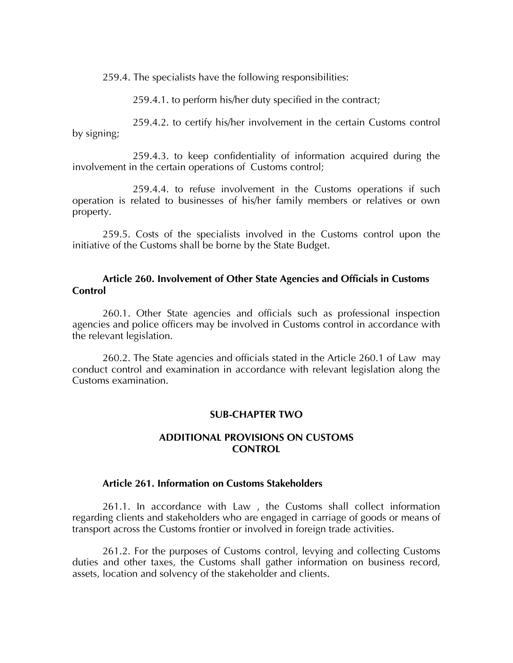259.4. The specialists have the following responsibilities:

259.4.1. to perform his/her duty specified in the contract;

259.4.2. to certify his/her involvement in the certain Customs control by signing;

259.4.3. to keep confidentiality of information acquired during the involvement in the certain operations of Customs control;

259.4.4. to refuse involvement in the Customs operations if such operation is related to businesses of his/her family members or relatives or own property.

259.5. Costs of the specialists involved in the Customs control upon the initiative of the Customs shall be borne by the State Budget.

#### **Article 260. Involvement of Other State Agencies and Officials in Customs Control**

260.1. Other State agencies and officials such as professional inspection agencies and police officers may be involved in Customs control in accordance with the relevant legislation.

260.2. The State agencies and officials stated in the Article 260.1 of Law may conduct control and examination in accordance with relevant legislation along the Customs examination.

#### **SUB-CHAPTER TWO**

## **ADDITIONAL PROVISIONS ON CUSTOMS CONTROL**

#### **Article 261. Information on Customs Stakeholders**

261.1. In accordance with Law , the Customs shall collect information regarding clients and stakeholders who are engaged in carriage of goods or means of transport across the Customs frontier or involved in foreign trade activities.

261.2. For the purposes of Customs control, levying and collecting Customs duties and other taxes, the Customs shall gather information on business record, assets, location and solvency of the stakeholder and clients.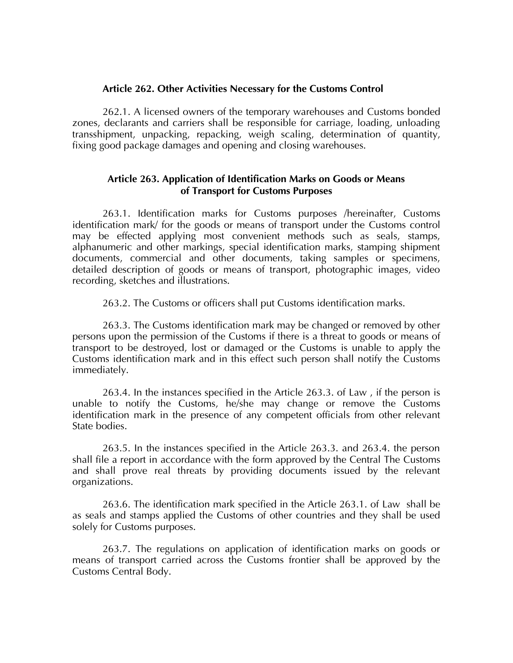#### **Article 262. Other Activities Necessary for the Customs Control**

262.1. A licensed owners of the temporary warehouses and Customs bonded zones, declarants and carriers shall be responsible for carriage, loading, unloading transshipment, unpacking, repacking, weigh scaling, determination of quantity, fixing good package damages and opening and closing warehouses.

### **Article 263. Application of Identification Marks on Goods or Means of Transport for Customs Purposes**

263.1. Identification marks for Customs purposes /hereinafter, Customs identification mark/ for the goods or means of transport under the Customs control may be effected applying most convenient methods such as seals, stamps, alphanumeric and other markings, special identification marks, stamping shipment documents, commercial and other documents, taking samples or specimens, detailed description of goods or means of transport, photographic images, video recording, sketches and illustrations.

263.2. The Customs or officers shall put Customs identification marks.

263.3. The Customs identification mark may be changed or removed by other persons upon the permission of the Customs if there is a threat to goods or means of transport to be destroyed, lost or damaged or the Customs is unable to apply the Customs identification mark and in this effect such person shall notify the Customs immediately.

263.4. In the instances specified in the Article 263.3. of Law , if the person is unable to notify the Customs, he/she may change or remove the Customs identification mark in the presence of any competent officials from other relevant State bodies.

263.5. In the instances specified in the Article 263.3. and 263.4. the person shall file a report in accordance with the form approved by the Central The Customs and shall prove real threats by providing documents issued by the relevant organizations.

263.6. The identification mark specified in the Article 263.1. of Law shall be as seals and stamps applied the Customs of other countries and they shall be used solely for Customs purposes.

263.7. The regulations on application of identification marks on goods or means of transport carried across the Customs frontier shall be approved by the Customs Central Body.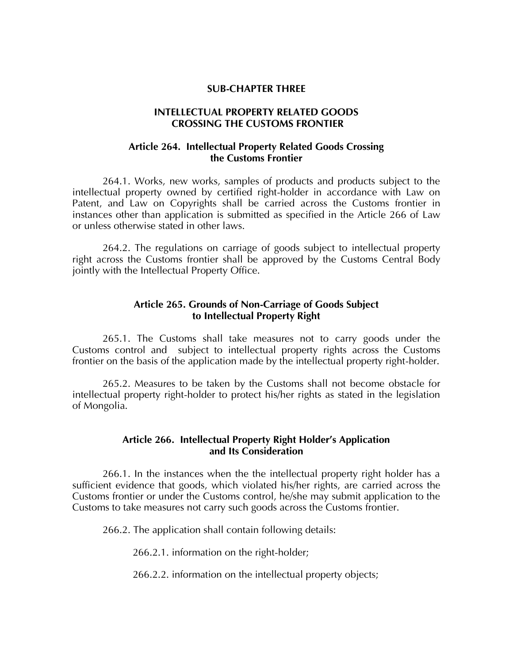#### **SUB-CHAPTER THREE**

## **INTELLECTUAL PROPERTY RELATED GOODS CROSSING THE CUSTOMS FRONTIER**

## **Article 264. Intellectual Property Related Goods Crossing the Customs Frontier**

264.1. Works, new works, samples of products and products subject to the intellectual property owned by certified right-holder in accordance with Law on Patent, and Law on Copyrights shall be carried across the Customs frontier in instances other than application is submitted as specified in the Article 266 of Law or unless otherwise stated in other laws.

264.2. The regulations on carriage of goods subject to intellectual property right across the Customs frontier shall be approved by the Customs Central Body jointly with the Intellectual Property Office.

## **Article 265. Grounds of Non-Carriage of Goods Subject to Intellectual Property Right**

265.1. The Customs shall take measures not to carry goods under the Customs control and subject to intellectual property rights across the Customs frontier on the basis of the application made by the intellectual property right-holder.

265.2. Measures to be taken by the Customs shall not become obstacle for intellectual property right-holder to protect his/her rights as stated in the legislation of Mongolia.

## **Article 266. Intellectual Property Right Holder's Application and Its Consideration**

266.1. In the instances when the the intellectual property right holder has a sufficient evidence that goods, which violated his/her rights, are carried across the Customs frontier or under the Customs control, he/she may submit application to the Customs to take measures not carry such goods across the Customs frontier.

266.2. The application shall contain following details:

266.2.1. information on the right-holder;

266.2.2. information on the intellectual property objects;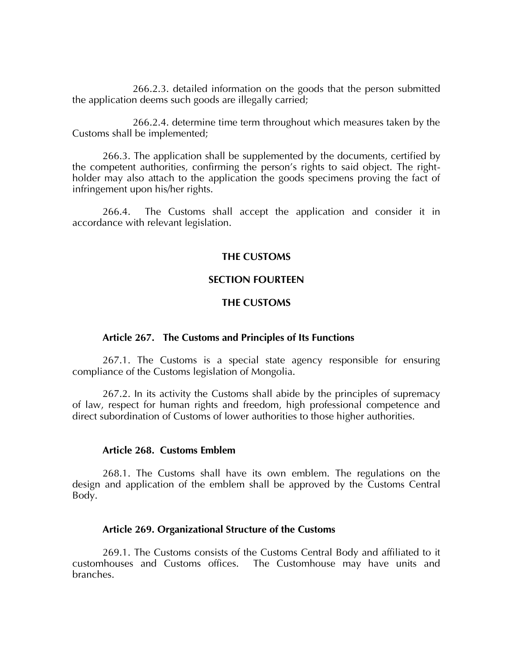266.2.3. detailed information on the goods that the person submitted the application deems such goods are illegally carried;

266.2.4. determine time term throughout which measures taken by the Customs shall be implemented;

266.3. The application shall be supplemented by the documents, certified by the competent authorities, confirming the person's rights to said object. The rightholder may also attach to the application the goods specimens proving the fact of infringement upon his/her rights.

266.4. The Customs shall accept the application and consider it in accordance with relevant legislation.

#### **THE CUSTOMS**

#### **SECTION FOURTEEN**

#### **THE CUSTOMS**

#### **Article 267. The Customs and Principles of Its Functions**

267.1. The Customs is a special state agency responsible for ensuring compliance of the Customs legislation of Mongolia.

267.2. In its activity the Customs shall abide by the principles of supremacy of law, respect for human rights and freedom, high professional competence and direct subordination of Customs of lower authorities to those higher authorities.

#### **Article 268. Customs Emblem**

268.1. The Customs shall have its own emblem. The regulations on the design and application of the emblem shall be approved by the Customs Central Body.

## **Article 269. Organizational Structure of the Customs**

269.1. The Customs consists of the Customs Central Body and affiliated to it customhouses and Customs offices. The Customhouse may have units and branches.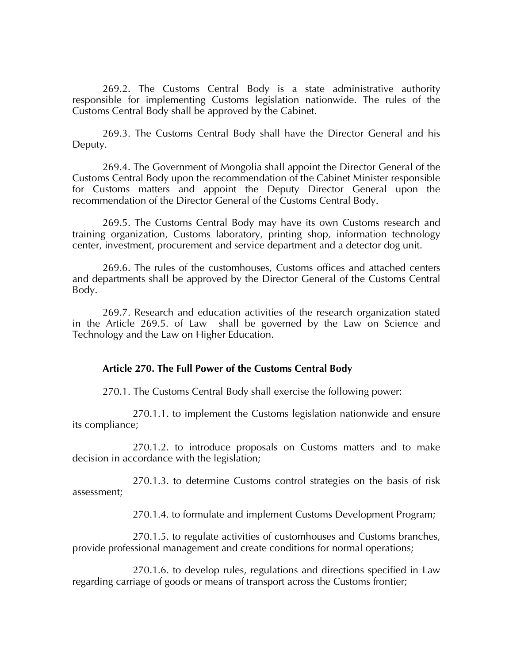269.2. The Customs Central Body is a state administrative authority responsible for implementing Customs legislation nationwide. The rules of the Customs Central Body shall be approved by the Cabinet.

269.3. The Customs Central Body shall have the Director General and his Deputy.

269.4. The Government of Mongolia shall appoint the Director General of the Customs Central Body upon the recommendation of the Cabinet Minister responsible for Customs matters and appoint the Deputy Director General upon the recommendation of the Director General of the Customs Central Body.

269.5. The Customs Central Body may have its own Customs research and training organization, Customs laboratory, printing shop, information technology center, investment, procurement and service department and a detector dog unit.

269.6. The rules of the customhouses, Customs offices and attached centers and departments shall be approved by the Director General of the Customs Central Body.

269.7. Research and education activities of the research organization stated in the Article 269.5. of Law shall be governed by the Law on Science and Technology and the Law on Higher Education.

## **Article 270. The Full Power of the Customs Central Body**

270.1. The Customs Central Body shall exercise the following power:

270.1.1. to implement the Customs legislation nationwide and ensure its compliance;

270.1.2. to introduce proposals on Customs matters and to make decision in accordance with the legislation;

270.1.3. to determine Customs control strategies on the basis of risk assessment;

270.1.4. to formulate and implement Customs Development Program;

270.1.5. to regulate activities of customhouses and Customs branches, provide professional management and create conditions for normal operations;

270.1.6. to develop rules, regulations and directions specified in Law regarding carriage of goods or means of transport across the Customs frontier;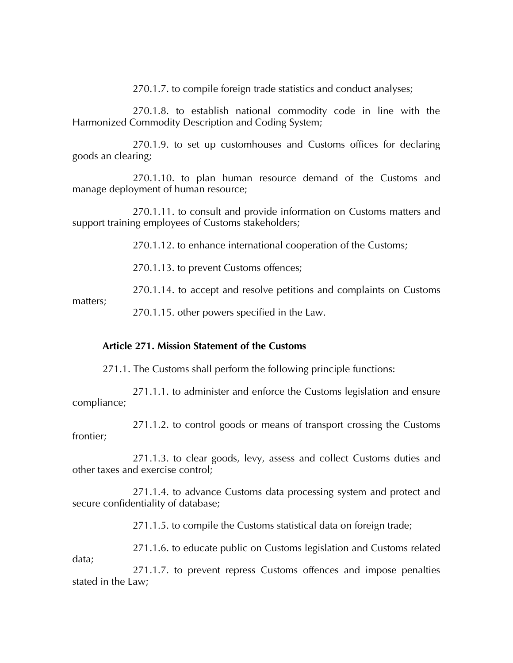270.1.7. to compile foreign trade statistics and conduct analyses;

270.1.8. to establish national commodity code in line with the Harmonized Commodity Description and Coding System;

270.1.9. to set up customhouses and Customs offices for declaring goods an clearing;

270.1.10. to plan human resource demand of the Customs and manage deployment of human resource;

270.1.11. to consult and provide information on Customs matters and support training employees of Customs stakeholders;

270.1.12. to enhance international cooperation of the Customs;

270.1.13. to prevent Customs offences;

270.1.14. to accept and resolve petitions and complaints on Customs

matters;

270.1.15. other powers specified in the Law.

#### **Article 271. Mission Statement of the Customs**

271.1. The Customs shall perform the following principle functions:

271.1.1. to administer and enforce the Customs legislation and ensure compliance;

271.1.2. to control goods or means of transport crossing the Customs frontier;

271.1.3. to clear goods, levy, assess and collect Customs duties and other taxes and exercise control;

271.1.4. to advance Customs data processing system and protect and secure confidentiality of database;

271.1.5. to compile the Customs statistical data on foreign trade;

271.1.6. to educate public on Customs legislation and Customs related data;

271.1.7. to prevent repress Customs offences and impose penalties stated in the Law;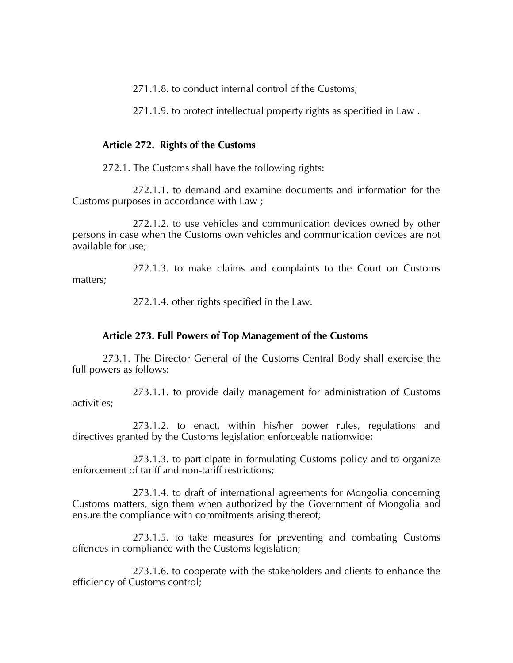271.1.8. to conduct internal control of the Customs;

271.1.9. to protect intellectual property rights as specified in Law .

### **Article 272. Rights of the Customs**

272.1. The Customs shall have the following rights:

272.1.1. to demand and examine documents and information for the Customs purposes in accordance with Law ;

272.1.2. to use vehicles and communication devices owned by other persons in case when the Customs own vehicles and communication devices are not available for use;

272.1.3. to make claims and complaints to the Court on Customs matters;

272.1.4. other rights specified in the Law.

### **Article 273. Full Powers of Top Management of the Customs**

273.1. The Director General of the Customs Central Body shall exercise the full powers as follows:

273.1.1. to provide daily management for administration of Customs activities;

273.1.2. to enact, within his/her power rules, regulations and directives granted by the Customs legislation enforceable nationwide;

273.1.3. to participate in formulating Customs policy and to organize enforcement of tariff and non-tariff restrictions;

273.1.4. to draft of international agreements for Mongolia concerning Customs matters, sign them when authorized by the Government of Mongolia and ensure the compliance with commitments arising thereof;

273.1.5. to take measures for preventing and combating Customs offences in compliance with the Customs legislation;

273.1.6. to cooperate with the stakeholders and clients to enhance the efficiency of Customs control;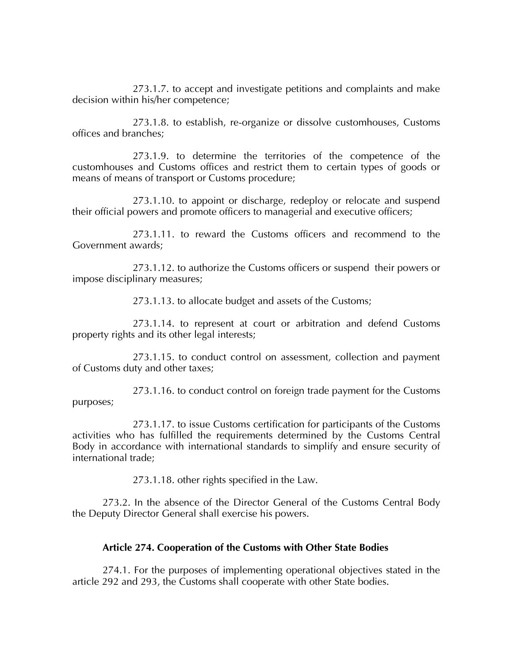273.1.7. to accept and investigate petitions and complaints and make decision within his/her competence;

273.1.8. to establish, re-organize or dissolve customhouses, Customs offices and branches;

273.1.9. to determine the territories of the competence of the customhouses and Customs offices and restrict them to certain types of goods or means of means of transport or Customs procedure;

273.1.10. to appoint or discharge, redeploy or relocate and suspend their official powers and promote officers to managerial and executive officers;

273.1.11. to reward the Customs officers and recommend to the Government awards;

273.1.12. to authorize the Customs officers or suspend their powers or impose disciplinary measures;

273.1.13. to allocate budget and assets of the Customs;

273.1.14. to represent at court or arbitration and defend Customs property rights and its other legal interests;

273.1.15. to conduct control on assessment, collection and payment of Customs duty and other taxes;

273.1.16. to conduct control on foreign trade payment for the Customs purposes;

273.1.17. to issue Customs certification for participants of the Customs activities who has fulfilled the requirements determined by the Customs Central Body in accordance with international standards to simplify and ensure security of international trade;

273.1.18. other rights specified in the Law.

273.2. In the absence of the Director General of the Customs Central Body the Deputy Director General shall exercise his powers.

# **Article 274. Cooperation of the Customs with Other State Bodies**

274.1. For the purposes of implementing operational objectives stated in the article 292 and 293, the Customs shall cooperate with other State bodies.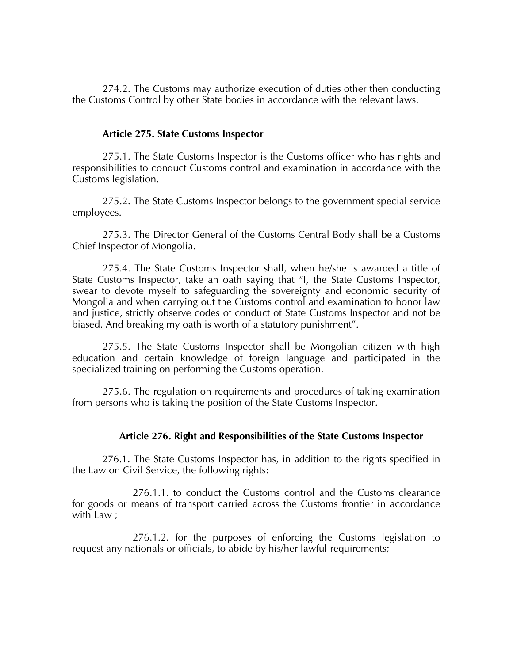274.2. The Customs may authorize execution of duties other then conducting the Customs Control by other State bodies in accordance with the relevant laws.

### **Article 275. State Customs Inspector**

275.1. The State Customs Inspector is the Customs officer who has rights and responsibilities to conduct Customs control and examination in accordance with the Customs legislation.

275.2. The State Customs Inspector belongs to the government special service employees.

275.3. The Director General of the Customs Central Body shall be a Customs Chief Inspector of Mongolia.

275.4. The State Customs Inspector shall, when he/she is awarded a title of State Customs Inspector, take an oath saying that 'I, the State Customs Inspector, swear to devote myself to safeguarding the sovereignty and economic security of Mongolia and when carrying out the Customs control and examination to honor law and justice, strictly observe codes of conduct of State Customs Inspector and not be biased. And breaking my oath is worth of a statutory punishment'.

275.5. The State Customs Inspector shall be Mongolian citizen with high education and certain knowledge of foreign language and participated in the specialized training on performing the Customs operation.

275.6. The regulation on requirements and procedures of taking examination from persons who is taking the position of the State Customs Inspector.

## **Article 276. Right and Responsibilities of the State Customs Inspector**

276.1. The State Customs Inspector has, in addition to the rights specified in the Law on Civil Service, the following rights:

276.1.1. to conduct the Customs control and the Customs clearance for goods or means of transport carried across the Customs frontier in accordance with Law ;

276.1.2. for the purposes of enforcing the Customs legislation to request any nationals or officials, to abide by his/her lawful requirements;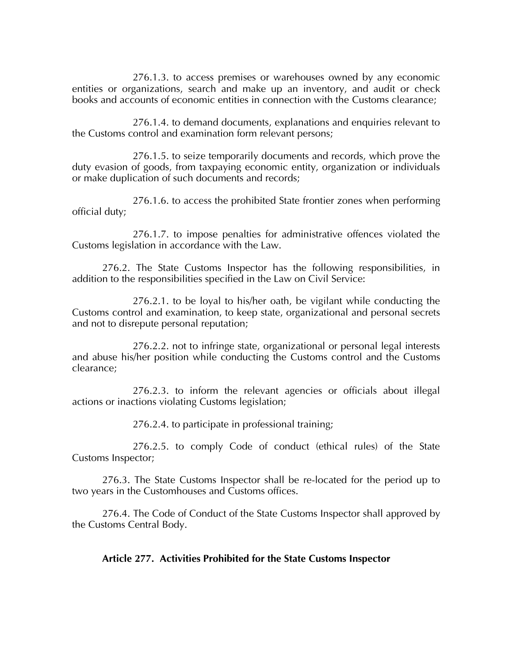276.1.3. to access premises or warehouses owned by any economic entities or organizations, search and make up an inventory, and audit or check books and accounts of economic entities in connection with the Customs clearance;

276.1.4. to demand documents, explanations and enquiries relevant to the Customs control and examination form relevant persons;

276.1.5. to seize temporarily documents and records, which prove the duty evasion of goods, from taxpaying economic entity, organization or individuals or make duplication of such documents and records;

276.1.6. to access the prohibited State frontier zones when performing official duty;

276.1.7. to impose penalties for administrative offences violated the Customs legislation in accordance with the Law.

276.2. The State Customs Inspector has the following responsibilities, in addition to the responsibilities specified in the Law on Civil Service:

276.2.1. to be loyal to his/her oath, be vigilant while conducting the Customs control and examination, to keep state, organizational and personal secrets and not to disrepute personal reputation;

276.2.2. not to infringe state, organizational or personal legal interests and abuse his/her position while conducting the Customs control and the Customs clearance;

276.2.3. to inform the relevant agencies or officials about illegal actions or inactions violating Customs legislation;

276.2.4. to participate in professional training;

276.2.5. to comply Code of conduct (ethical rules) of the State Customs Inspector;

276.3. The State Customs Inspector shall be re-located for the period up to two years in the Customhouses and Customs offices.

276.4. The Code of Conduct of the State Customs Inspector shall approved by the Customs Central Body.

## **Article 277. Activities Prohibited for the State Customs Inspector**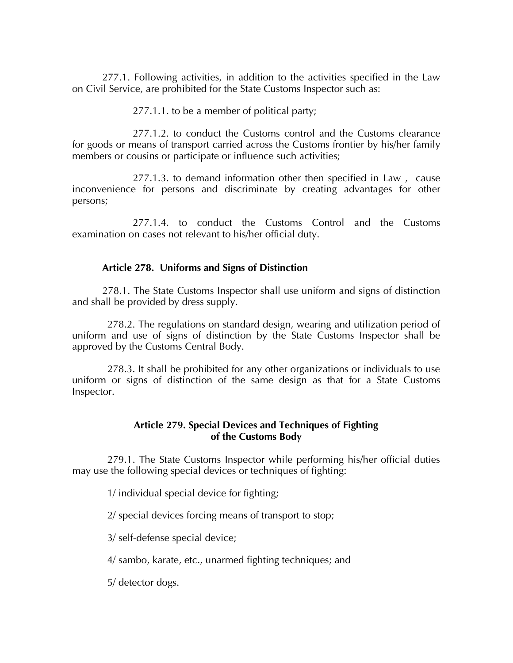277.1. Following activities, in addition to the activities specified in the Law on Civil Service, are prohibited for the State Customs Inspector such as:

277.1.1. to be a member of political party;

277.1.2. to conduct the Customs control and the Customs clearance for goods or means of transport carried across the Customs frontier by his/her family members or cousins or participate or influence such activities;

277.1.3. to demand information other then specified in Law , cause inconvenience for persons and discriminate by creating advantages for other persons;

277.1.4. to conduct the Customs Control and the Customs examination on cases not relevant to his/her official duty.

## **Article 278. Uniforms and Signs of Distinction**

278.1. The State Customs Inspector shall use uniform and signs of distinction and shall be provided by dress supply.

278.2. The regulations on standard design, wearing and utilization period of uniform and use of signs of distinction by the State Customs Inspector shall be approved by the Customs Central Body.

278.3. It shall be prohibited for any other organizations or individuals to use uniform or signs of distinction of the same design as that for a State Customs Inspector.

# **Article 279. Special Devices and Techniques of Fighting of the Customs Body**

279.1. The State Customs Inspector while performing his/her official duties may use the following special devices or techniques of fighting:

1/ individual special device for fighting;

2/ special devices forcing means of transport to stop;

3/ self-defense special device;

4/ sambo, karate, etc., unarmed fighting techniques; and

5/ detector dogs.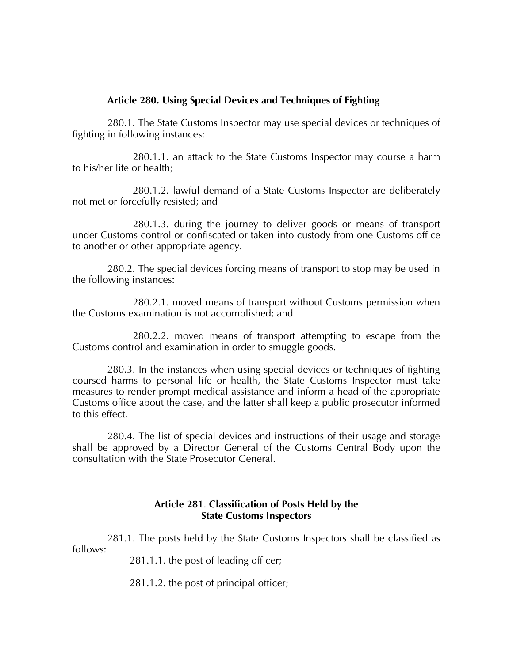# **Article 280. Using Special Devices and Techniques of Fighting**

280.1. The State Customs Inspector may use special devices or techniques of fighting in following instances:

280.1.1. an attack to the State Customs Inspector may course a harm to his/her life or health;

280.1.2. lawful demand of a State Customs Inspector are deliberately not met or forcefully resisted; and

280.1.3. during the journey to deliver goods or means of transport under Customs control or confiscated or taken into custody from one Customs office to another or other appropriate agency.

280.2. The special devices forcing means of transport to stop may be used in the following instances:

280.2.1. moved means of transport without Customs permission when the Customs examination is not accomplished; and

280.2.2. moved means of transport attempting to escape from the Customs control and examination in order to smuggle goods.

280.3. In the instances when using special devices or techniques of fighting coursed harms to personal life or health, the State Customs Inspector must take measures to render prompt medical assistance and inform a head of the appropriate Customs office about the case, and the latter shall keep a public prosecutor informed to this effect.

280.4. The list of special devices and instructions of their usage and storage shall be approved by a Director General of the Customs Central Body upon the consultation with the State Prosecutor General.

# **Article 281**. **Classification of Posts Held by the State Customs Inspectors**

281.1. The posts held by the State Customs Inspectors shall be classified as follows:

281.1.1. the post of leading officer;

281.1.2. the post of principal officer;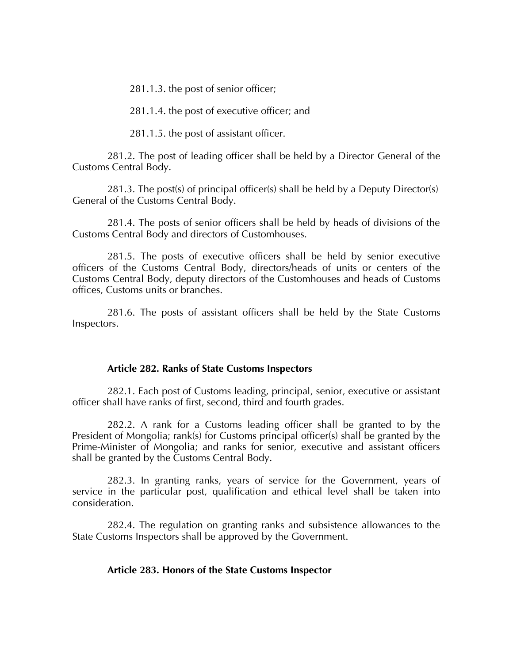281.1.3. the post of senior officer;

281.1.4. the post of executive officer; and

281.1.5. the post of assistant officer.

281.2. The post of leading officer shall be held by a Director General of the Customs Central Body.

281.3. The post(s) of principal officer(s) shall be held by a Deputy Director(s) General of the Customs Central Body.

281.4. The posts of senior officers shall be held by heads of divisions of the Customs Central Body and directors of Customhouses.

281.5. The posts of executive officers shall be held by senior executive officers of the Customs Central Body, directors/heads of units or centers of the Customs Central Body, deputy directors of the Customhouses and heads of Customs offices, Customs units or branches.

281.6. The posts of assistant officers shall be held by the State Customs Inspectors.

#### **Article 282. Ranks of State Customs Inspectors**

282.1. Each post of Customs leading, principal, senior, executive or assistant officer shall have ranks of first, second, third and fourth grades.

282.2. A rank for a Customs leading officer shall be granted to by the President of Mongolia; rank(s) for Customs principal officer(s) shall be granted by the Prime-Minister of Mongolia; and ranks for senior, executive and assistant officers shall be granted by the Customs Central Body.

282.3. In granting ranks, years of service for the Government, years of service in the particular post, qualification and ethical level shall be taken into consideration.

282.4. The regulation on granting ranks and subsistence allowances to the State Customs Inspectors shall be approved by the Government.

#### **Article 283. Honors of the State Customs Inspector**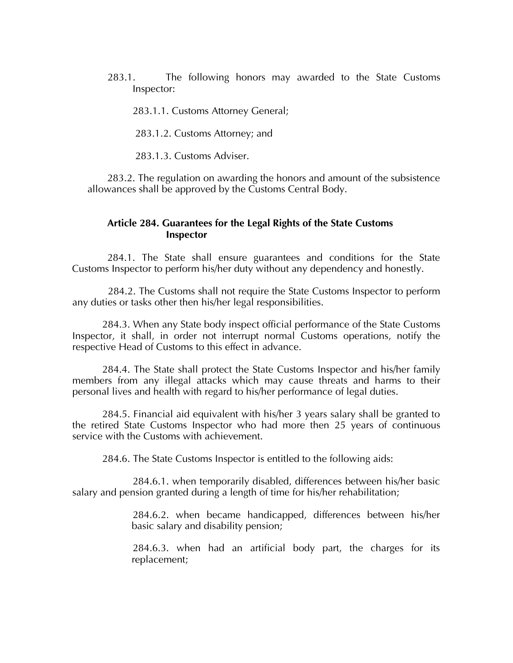283.1. The following honors may awarded to the State Customs Inspector:

283.1.1. Customs Attorney General;

283.1.2. Customs Attorney; and

283.1.3. Customs Adviser.

283.2. The regulation on awarding the honors and amount of the subsistence allowances shall be approved by the Customs Central Body.

## **Article 284. Guarantees for the Legal Rights of the State Customs Inspector**

284.1. The State shall ensure guarantees and conditions for the State Customs Inspector to perform his/her duty without any dependency and honestly.

 284.2. The Customs shall not require the State Customs Inspector to perform any duties or tasks other then his/her legal responsibilities.

284.3. When any State body inspect official performance of the State Customs Inspector, it shall, in order not interrupt normal Customs operations, notify the respective Head of Customs to this effect in advance.

284.4. The State shall protect the State Customs Inspector and his/her family members from any illegal attacks which may cause threats and harms to their personal lives and health with regard to his/her performance of legal duties.

284.5. Financial aid equivalent with his/her 3 years salary shall be granted to the retired State Customs Inspector who had more then 25 years of continuous service with the Customs with achievement.

284.6. The State Customs Inspector is entitled to the following aids:

284.6.1. when temporarily disabled, differences between his/her basic salary and pension granted during a length of time for his/her rehabilitation;

> 284.6.2. when became handicapped, differences between his/her basic salary and disability pension;

> 284.6.3. when had an artificial body part, the charges for its replacement;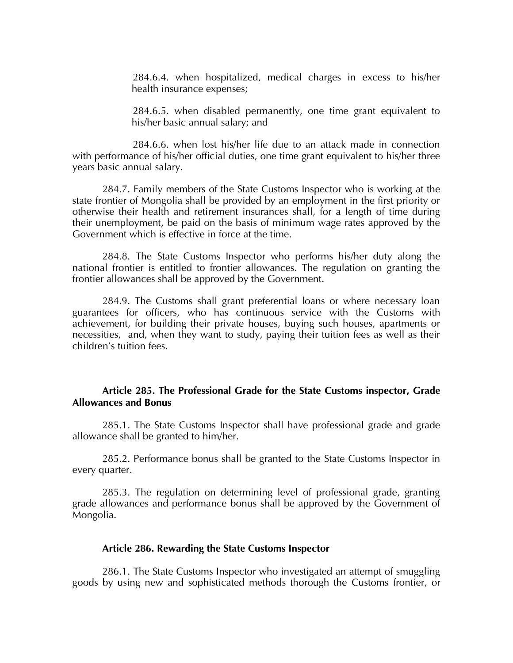284.6.4. when hospitalized, medical charges in excess to his/her health insurance expenses;

284.6.5. when disabled permanently, one time grant equivalent to his/her basic annual salary; and

284.6.6. when lost his/her life due to an attack made in connection with performance of his/her official duties, one time grant equivalent to his/her three years basic annual salary.

284.7. Family members of the State Customs Inspector who is working at the state frontier of Mongolia shall be provided by an employment in the first priority or otherwise their health and retirement insurances shall, for a length of time during their unemployment, be paid on the basis of minimum wage rates approved by the Government which is effective in force at the time.

284.8. The State Customs Inspector who performs his/her duty along the national frontier is entitled to frontier allowances. The regulation on granting the frontier allowances shall be approved by the Government.

284.9. The Customs shall grant preferential loans or where necessary loan guarantees for officers, who has continuous service with the Customs with achievement, for building their private houses, buying such houses, apartments or necessities, and, when they want to study, paying their tuition fees as well as their children's tuition fees.

#### **Article 285. The Professional Grade for the State Customs inspector, Grade Allowances and Bonus**

285.1. The State Customs Inspector shall have professional grade and grade allowance shall be granted to him/her.

285.2. Performance bonus shall be granted to the State Customs Inspector in every quarter.

285.3. The regulation on determining level of professional grade, granting grade allowances and performance bonus shall be approved by the Government of Mongolia.

#### **Article 286. Rewarding the State Customs Inspector**

286.1. The State Customs Inspector who investigated an attempt of smuggling goods by using new and sophisticated methods thorough the Customs frontier, or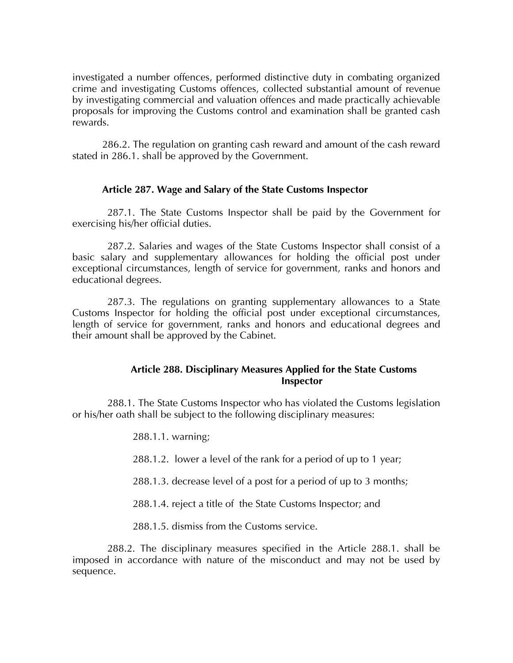investigated a number offences, performed distinctive duty in combating organized crime and investigating Customs offences, collected substantial amount of revenue by investigating commercial and valuation offences and made practically achievable proposals for improving the Customs control and examination shall be granted cash rewards.

286.2. The regulation on granting cash reward and amount of the cash reward stated in 286.1. shall be approved by the Government.

# **Article 287. Wage and Salary of the State Customs Inspector**

287.1. The State Customs Inspector shall be paid by the Government for exercising his/her official duties.

287.2. Salaries and wages of the State Customs Inspector shall consist of a basic salary and supplementary allowances for holding the official post under exceptional circumstances, length of service for government, ranks and honors and educational degrees.

287.3. The regulations on granting supplementary allowances to a State Customs Inspector for holding the official post under exceptional circumstances, length of service for government, ranks and honors and educational degrees and their amount shall be approved by the Cabinet.

# **Article 288. Disciplinary Measures Applied for the State Customs Inspector**

288.1. The State Customs Inspector who has violated the Customs legislation or his/her oath shall be subject to the following disciplinary measures:

288.1.1. warning;

288.1.2. lower a level of the rank for a period of up to 1 year;

288.1.3. decrease level of a post for a period of up to 3 months;

288.1.4. reject a title of the State Customs Inspector; and

288.1.5. dismiss from the Customs service.

288.2. The disciplinary measures specified in the Article 288.1. shall be imposed in accordance with nature of the misconduct and may not be used by sequence.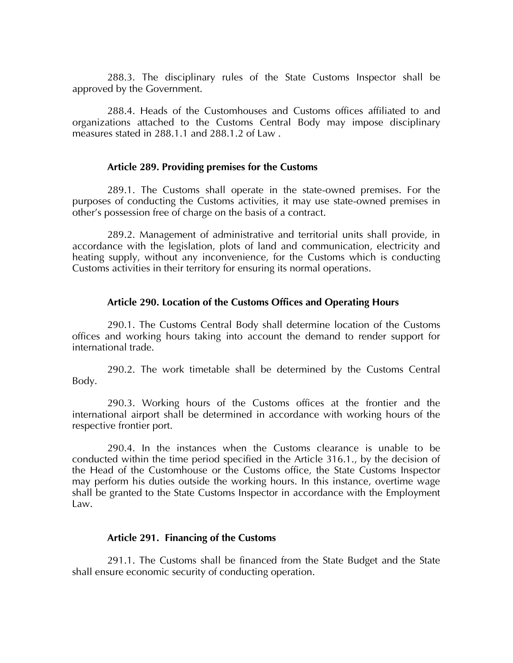288.3. The disciplinary rules of the State Customs Inspector shall be approved by the Government.

288.4. Heads of the Customhouses and Customs offices affiliated to and organizations attached to the Customs Central Body may impose disciplinary measures stated in 288.1.1 and 288.1.2 of Law .

#### **Article 289. Providing premises for the Customs**

289.1. The Customs shall operate in the state-owned premises. For the purposes of conducting the Customs activities, it may use state-owned premises in other's possession free of charge on the basis of a contract.

289.2. Management of administrative and territorial units shall provide, in accordance with the legislation, plots of land and communication, electricity and heating supply, without any inconvenience, for the Customs which is conducting Customs activities in their territory for ensuring its normal operations.

#### **Article 290. Location of the Customs Offices and Operating Hours**

290.1. The Customs Central Body shall determine location of the Customs offices and working hours taking into account the demand to render support for international trade.

290.2. The work timetable shall be determined by the Customs Central Body.

290.3. Working hours of the Customs offices at the frontier and the international airport shall be determined in accordance with working hours of the respective frontier port.

290.4. In the instances when the Customs clearance is unable to be conducted within the time period specified in the Article 316.1., by the decision of the Head of the Customhouse or the Customs office, the State Customs Inspector may perform his duties outside the working hours. In this instance, overtime wage shall be granted to the State Customs Inspector in accordance with the Employment Law.

## **Article 291. Financing of the Customs**

291.1. The Customs shall be financed from the State Budget and the State shall ensure economic security of conducting operation.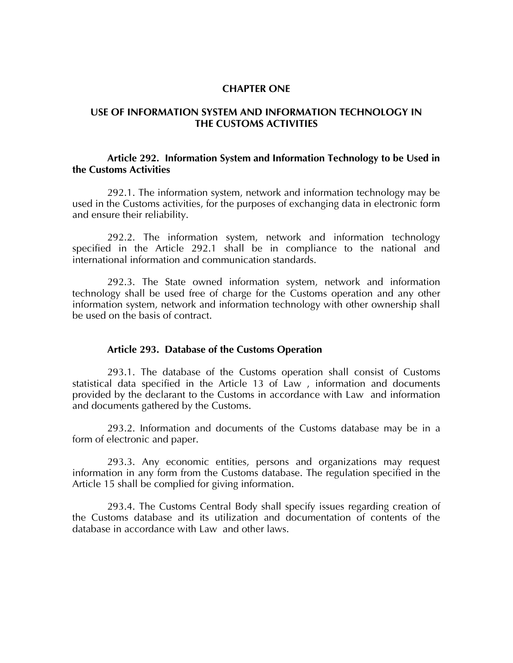#### **CHAPTER ONE**

# **USE OF INFORMATION SYSTEM AND INFORMATION TECHNOLOGY IN THE CUSTOMS ACTIVITIES**

#### **Article 292. Information System and Information Technology to be Used in the Customs Activities**

292.1. The information system, network and information technology may be used in the Customs activities, for the purposes of exchanging data in electronic form and ensure their reliability.

292.2. The information system, network and information technology specified in the Article 292.1 shall be in compliance to the national and international information and communication standards.

292.3. The State owned information system, network and information technology shall be used free of charge for the Customs operation and any other information system, network and information technology with other ownership shall be used on the basis of contract.

#### **Article 293. Database of the Customs Operation**

293.1. The database of the Customs operation shall consist of Customs statistical data specified in the Article 13 of Law , information and documents provided by the declarant to the Customs in accordance with Law and information and documents gathered by the Customs.

293.2. Information and documents of the Customs database may be in a form of electronic and paper.

293.3. Any economic entities, persons and organizations may request information in any form from the Customs database. The regulation specified in the Article 15 shall be complied for giving information.

293.4. The Customs Central Body shall specify issues regarding creation of the Customs database and its utilization and documentation of contents of the database in accordance with Law and other laws.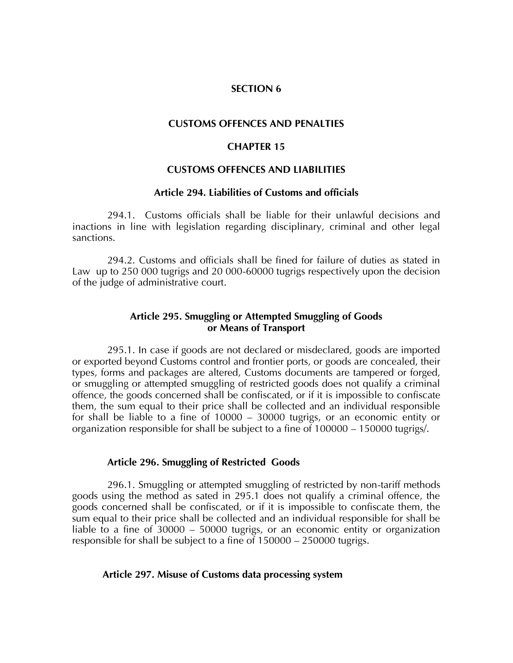### **SECTION 6**

#### **CUSTOMS OFFENCES AND PENALTIES**

### **CHAPTER 15**

### **CUSTOMS OFFENCES AND LIABILITIES**

### **Article 294. Liabilities of Customs and officials**

294.1. Customs officials shall be liable for their unlawful decisions and inactions in line with legislation regarding disciplinary, criminal and other legal sanctions.

294.2. Customs and officials shall be fined for failure of duties as stated in Law up to 250 000 tugrigs and 20 000-60000 tugrigs respectively upon the decision of the judge of administrative court.

# **Article 295. Smuggling or Attempted Smuggling of Goods or Means of Transport**

295.1. In case if goods are not declared or misdeclared, goods are imported or exported beyond Customs control and frontier ports, or goods are concealed, their types, forms and packages are altered, Customs documents are tampered or forged, or smuggling or attempted smuggling of restricted goods does not qualify a criminal offence, the goods concerned shall be confiscated, or if it is impossible to confiscate them, the sum equal to their price shall be collected and an individual responsible for shall be liable to a fine of 10000 – 30000 tugrigs, or an economic entity or organization responsible for shall be subject to a fine of 100000 – 150000 tugrigs/.

#### **Article 296. Smuggling of Restricted Goods**

296.1. Smuggling or attempted smuggling of restricted by non-tariff methods goods using the method as sated in 295.1 does not qualify a criminal offence, the goods concerned shall be confiscated, or if it is impossible to confiscate them, the sum equal to their price shall be collected and an individual responsible for shall be liable to a fine of 30000 – 50000 tugrigs, or an economic entity or organization responsible for shall be subject to a fine of 150000 – 250000 tugrigs.

#### **Article 297. Misuse of Customs data processing system**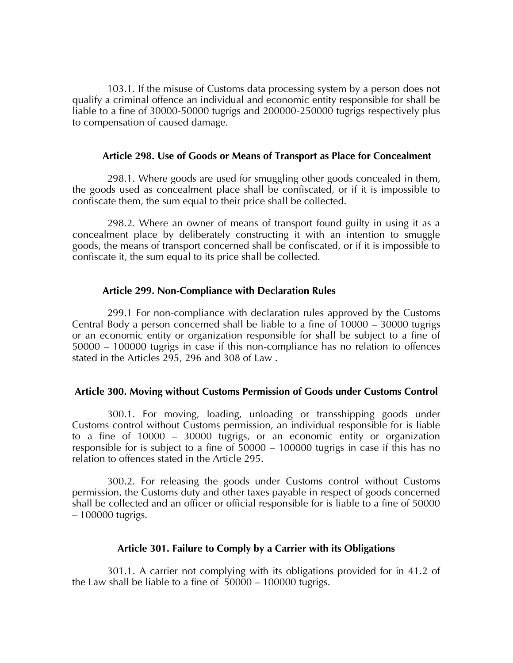103.1. If the misuse of Customs data processing system by a person does not qualify a criminal offence an individual and economic entity responsible for shall be liable to a fine of 30000-50000 tugrigs and 200000-250000 tugrigs respectively plus to compensation of caused damage.

## **Article 298. Use of Goods or Means of Transport as Place for Concealment**

298.1. Where goods are used for smuggling other goods concealed in them, the goods used as concealment place shall be confiscated, or if it is impossible to confiscate them, the sum equal to their price shall be collected.

298.2. Where an owner of means of transport found guilty in using it as a concealment place by deliberately constructing it with an intention to smuggle goods, the means of transport concerned shall be confiscated, or if it is impossible to confiscate it, the sum equal to its price shall be collected.

### **Article 299. Non-Compliance with Declaration Rules**

299.1 For non-compliance with declaration rules approved by the Customs Central Body a person concerned shall be liable to a fine of 10000 – 30000 tugrigs or an economic entity or organization responsible for shall be subject to a fine of 50000 – 100000 tugrigs in case if this non-compliance has no relation to offences stated in the Articles 295, 296 and 308 of Law .

#### **Article 300. Moving without Customs Permission of Goods under Customs Control**

300.1. For moving, loading, unloading or transshipping goods under Customs control without Customs permission, an individual responsible for is liable to a fine of 10000 – 30000 tugrigs, or an economic entity or organization responsible for is subject to a fine of 50000 – 100000 tugrigs in case if this has no relation to offences stated in the Article 295.

300.2. For releasing the goods under Customs control without Customs permission, the Customs duty and other taxes payable in respect of goods concerned shall be collected and an officer or official responsible for is liable to a fine of 50000 – 100000 tugrigs.

# **Article 301. Failure to Comply by a Carrier with its Obligations**

301.1. A carrier not complying with its obligations provided for in 41.2 of the Law shall be liable to a fine of 50000 – 100000 tugrigs.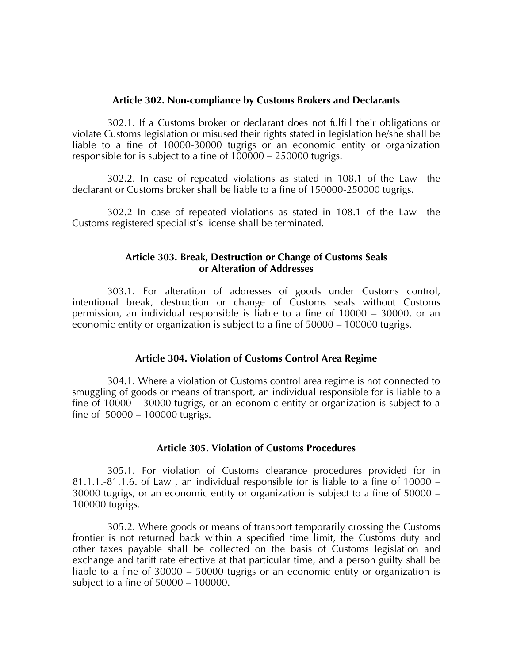#### **Article 302. Non-compliance by Customs Brokers and Declarants**

302.1. If a Customs broker or declarant does not fulfill their obligations or violate Customs legislation or misused their rights stated in legislation he/she shall be liable to a fine of 10000-30000 tugrigs or an economic entity or organization responsible for is subject to a fine of 100000 – 250000 tugrigs.

302.2. In case of repeated violations as stated in 108.1 of the Law the declarant or Customs broker shall be liable to a fine of 150000-250000 tugrigs.

302.2 In case of repeated violations as stated in 108.1 of the Law the Customs registered specialist's license shall be terminated.

# **Article 303. Break, Destruction or Change of Customs Seals or Alteration of Addresses**

303.1. For alteration of addresses of goods under Customs control, intentional break, destruction or change of Customs seals without Customs permission, an individual responsible is liable to a fine of 10000 – 30000, or an economic entity or organization is subject to a fine of 50000 – 100000 tugrigs.

# **Article 304. Violation of Customs Control Area Regime**

304.1. Where a violation of Customs control area regime is not connected to smuggling of goods or means of transport, an individual responsible for is liable to a fine of 10000 – 30000 tugrigs, or an economic entity or organization is subject to a fine of 50000 – 100000 tugrigs.

### **Article 305. Violation of Customs Procedures**

305.1. For violation of Customs clearance procedures provided for in 81.1.1.-81.1.6. of Law , an individual responsible for is liable to a fine of 10000 – 30000 tugrigs, or an economic entity or organization is subject to a fine of 50000 – 100000 tugrigs.

305.2. Where goods or means of transport temporarily crossing the Customs frontier is not returned back within a specified time limit, the Customs duty and other taxes payable shall be collected on the basis of Customs legislation and exchange and tariff rate effective at that particular time, and a person guilty shall be liable to a fine of  $30000 - 50000$  tugrigs or an economic entity or organization is subject to a fine of 50000 – 100000.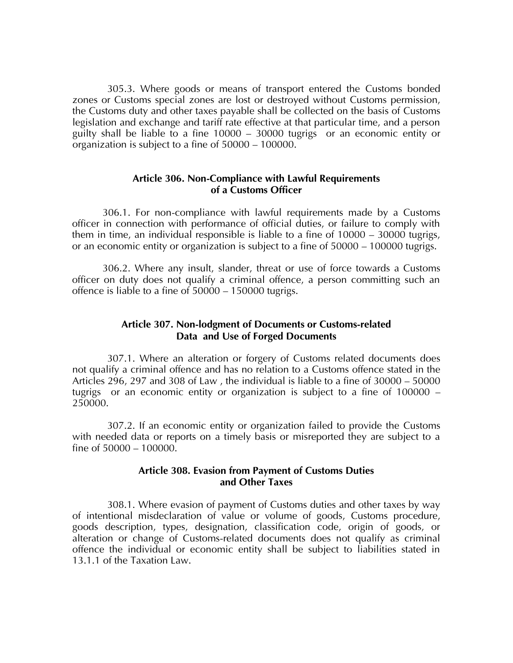305.3. Where goods or means of transport entered the Customs bonded zones or Customs special zones are lost or destroyed without Customs permission, the Customs duty and other taxes payable shall be collected on the basis of Customs legislation and exchange and tariff rate effective at that particular time, and a person guilty shall be liable to a fine 10000 – 30000 tugrigs or an economic entity or organization is subject to a fine of 50000 – 100000.

### **Article 306. Non-Compliance with Lawful Requirements of a Customs Officer**

306.1. For non-compliance with lawful requirements made by a Customs officer in connection with performance of official duties, or failure to comply with them in time, an individual responsible is liable to a fine of 10000 – 30000 tugrigs, or an economic entity or organization is subject to a fine of 50000 – 100000 tugrigs.

306.2. Where any insult, slander, threat or use of force towards a Customs officer on duty does not qualify a criminal offence, a person committing such an offence is liable to a fine of 50000 – 150000 tugrigs.

# **Article 307. Non-lodgment of Documents or Customs-related Data and Use of Forged Documents**

307.1. Where an alteration or forgery of Customs related documents does not qualify a criminal offence and has no relation to a Customs offence stated in the Articles 296, 297 and 308 of Law , the individual is liable to a fine of 30000 – 50000 tugrigs or an economic entity or organization is subject to a fine of 100000 – 250000.

307.2. If an economic entity or organization failed to provide the Customs with needed data or reports on a timely basis or misreported they are subject to a fine of 50000 – 100000.

## **Article 308. Evasion from Payment of Customs Duties and Other Taxes**

308.1. Where evasion of payment of Customs duties and other taxes by way of intentional misdeclaration of value or volume of goods, Customs procedure, goods description, types, designation, classification code, origin of goods, or alteration or change of Customs-related documents does not qualify as criminal offence the individual or economic entity shall be subject to liabilities stated in 13.1.1 of the Taxation Law.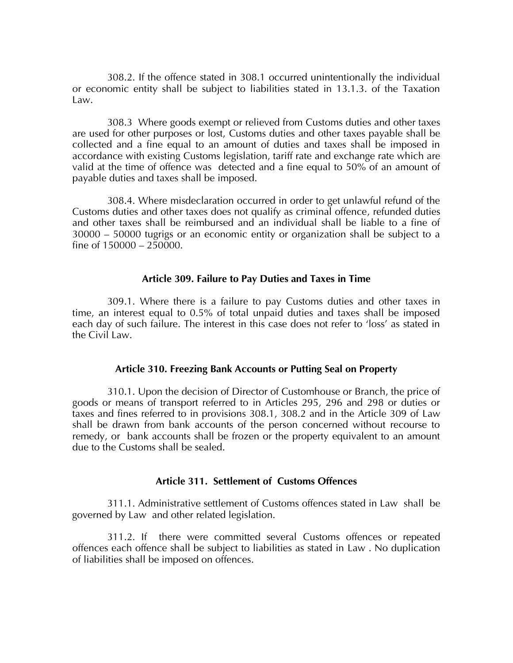308.2. If the offence stated in 308.1 occurred unintentionally the individual or economic entity shall be subject to liabilities stated in 13.1.3. of the Taxation Law.

308.3 Where goods exempt or relieved from Customs duties and other taxes are used for other purposes or lost, Customs duties and other taxes payable shall be collected and a fine equal to an amount of duties and taxes shall be imposed in accordance with existing Customs legislation, tariff rate and exchange rate which are valid at the time of offence was detected and a fine equal to 50% of an amount of payable duties and taxes shall be imposed.

308.4. Where misdeclaration occurred in order to get unlawful refund of the Customs duties and other taxes does not qualify as criminal offence, refunded duties and other taxes shall be reimbursed and an individual shall be liable to a fine of 30000 – 50000 tugrigs or an economic entity or organization shall be subject to a fine of  $150000 - 250000$ .

#### **Article 309. Failure to Pay Duties and Taxes in Time**

309.1. Where there is a failure to pay Customs duties and other taxes in time, an interest equal to 0.5% of total unpaid duties and taxes shall be imposed each day of such failure. The interest in this case does not refer to 'loss' as stated in the Civil Law.

### **Article 310. Freezing Bank Accounts or Putting Seal on Property**

310.1. Upon the decision of Director of Customhouse or Branch, the price of goods or means of transport referred to in Articles 295, 296 and 298 or duties or taxes and fines referred to in provisions 308.1, 308.2 and in the Article 309 of Law shall be drawn from bank accounts of the person concerned without recourse to remedy, or bank accounts shall be frozen or the property equivalent to an amount due to the Customs shall be sealed.

# **Article 311. Settlement of Customs Offences**

311.1. Administrative settlement of Customs offences stated in Law shall be governed by Law and other related legislation.

311.2. If there were committed several Customs offences or repeated offences each offence shall be subject to liabilities as stated in Law . No duplication of liabilities shall be imposed on offences.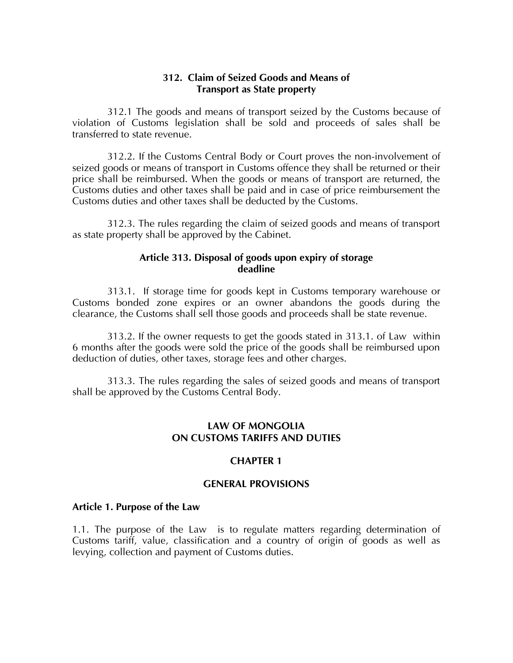# **312. Claim of Seized Goods and Means of Transport as State property**

312.1 The goods and means of transport seized by the Customs because of violation of Customs legislation shall be sold and proceeds of sales shall be transferred to state revenue.

312.2. If the Customs Central Body or Court proves the non-involvement of seized goods or means of transport in Customs offence they shall be returned or their price shall be reimbursed. When the goods or means of transport are returned, the Customs duties and other taxes shall be paid and in case of price reimbursement the Customs duties and other taxes shall be deducted by the Customs.

312.3. The rules regarding the claim of seized goods and means of transport as state property shall be approved by the Cabinet.

# **Article 313. Disposal of goods upon expiry of storage deadline**

313.1. If storage time for goods kept in Customs temporary warehouse or Customs bonded zone expires or an owner abandons the goods during the clearance, the Customs shall sell those goods and proceeds shall be state revenue.

313.2. If the owner requests to get the goods stated in 313.1. of Law within 6 months after the goods were sold the price of the goods shall be reimbursed upon deduction of duties, other taxes, storage fees and other charges.

313.3. The rules regarding the sales of seized goods and means of transport shall be approved by the Customs Central Body.

# **LAW OF MONGOLIA ON CUSTOMS TARIFFS AND DUTIES**

# **CHAPTER 1**

# **GENERAL PROVISIONS**

#### **Article 1. Purpose of the Law**

1.1. The purpose of the Law is to regulate matters regarding determination of Customs tariff, value, classification and a country of origin of goods as well as levying, collection and payment of Customs duties.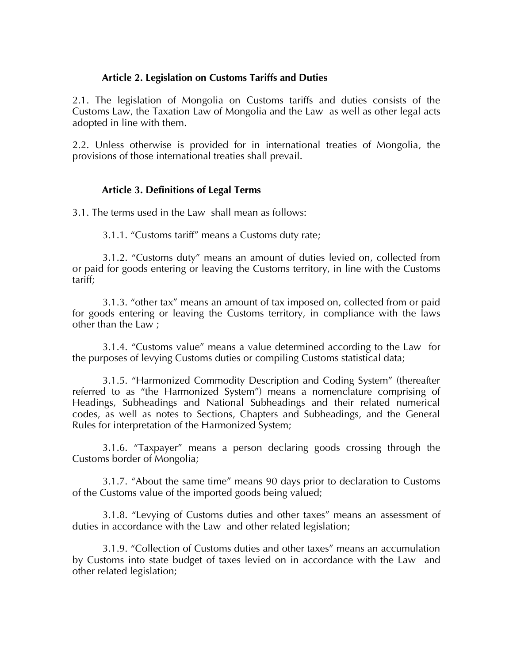# **Article 2. Legislation on Customs Tariffs and Duties**

2.1. The legislation of Mongolia on Customs tariffs and duties consists of the Customs Law, the Taxation Law of Mongolia and the Law as well as other legal acts adopted in line with them.

2.2. Unless otherwise is provided for in international treaties of Mongolia, the provisions of those international treaties shall prevail.

# **Article 3. Definitions of Legal Terms**

3.1. The terms used in the Law shall mean as follows:

3.1.1. 'Customs tariff' means a Customs duty rate;

3.1.2. 'Customs duty' means an amount of duties levied on, collected from or paid for goods entering or leaving the Customs territory, in line with the Customs tariff;

3.1.3. 'other tax' means an amount of tax imposed on, collected from or paid for goods entering or leaving the Customs territory, in compliance with the laws other than the Law ;

3.1.4. 'Customs value' means a value determined according to the Law for the purposes of levying Customs duties or compiling Customs statistical data;

3.1.5. 'Harmonized Commodity Description and Coding System' (thereafter referred to as 'the Harmonized System') means a nomenclature comprising of Headings, Subheadings and National Subheadings and their related numerical codes, as well as notes to Sections, Chapters and Subheadings, and the General Rules for interpretation of the Harmonized System;

3.1.6. 'Taxpayer' means a person declaring goods crossing through the Customs border of Mongolia;

3.1.7. 'About the same time' means 90 days prior to declaration to Customs of the Customs value of the imported goods being valued;

3.1.8. 'Levying of Customs duties and other taxes' means an assessment of duties in accordance with the Law and other related legislation;

3.1.9. 'Collection of Customs duties and other taxes' means an accumulation by Customs into state budget of taxes levied on in accordance with the Law and other related legislation;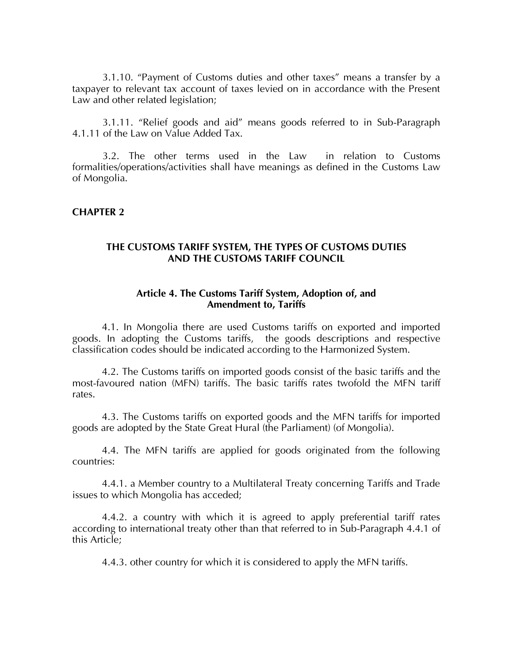3.1.10. 'Payment of Customs duties and other taxes' means a transfer by a taxpayer to relevant tax account of taxes levied on in accordance with the Present Law and other related legislation;

3.1.11. 'Relief goods and aid' means goods referred to in Sub-Paragraph 4.1.11 of the Law on Value Added Tax.

3.2. The other terms used in the Law in relation to Customs formalities/operations/activities shall have meanings as defined in the Customs Law of Mongolia.

#### **CHAPTER 2**

### **THE CUSTOMS TARIFF SYSTEM, THE TYPES OF CUSTOMS DUTIES AND THE CUSTOMS TARIFF COUNCIL**

### **Article 4. The Customs Tariff System, Adoption of, and Amendment to, Tariffs**

4.1. In Mongolia there are used Customs tariffs on exported and imported goods. In adopting the Customs tariffs, the goods descriptions and respective classification codes should be indicated according to the Harmonized System.

4.2. The Customs tariffs on imported goods consist of the basic tariffs and the most-favoured nation (MFN) tariffs. The basic tariffs rates twofold the MFN tariff rates.

4.3. The Customs tariffs on exported goods and the MFN tariffs for imported goods are adopted by the State Great Hural (the Parliament) (of Mongolia).

4.4. The MFN tariffs are applied for goods originated from the following countries:

4.4.1. a Member country to a Multilateral Treaty concerning Tariffs and Trade issues to which Mongolia has acceded;

4.4.2. a country with which it is agreed to apply preferential tariff rates according to international treaty other than that referred to in Sub-Paragraph 4.4.1 of this Article;

4.4.3. other country for which it is considered to apply the MFN tariffs.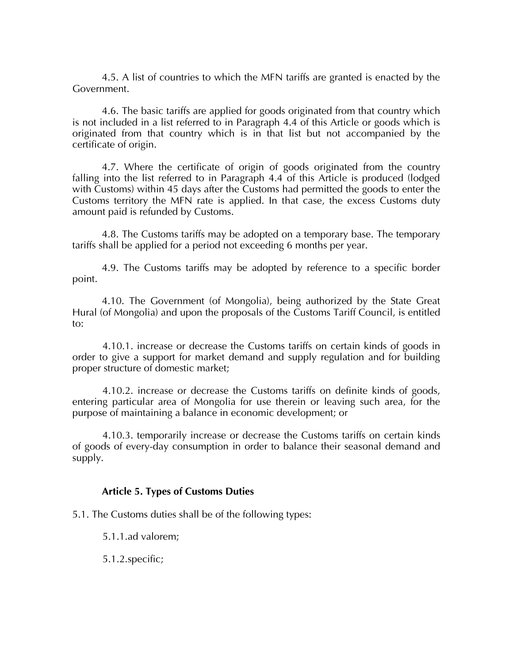4.5. A list of countries to which the MFN tariffs are granted is enacted by the Government.

4.6. The basic tariffs are applied for goods originated from that country which is not included in a list referred to in Paragraph 4.4 of this Article or goods which is originated from that country which is in that list but not accompanied by the certificate of origin.

4.7. Where the certificate of origin of goods originated from the country falling into the list referred to in Paragraph 4.4 of this Article is produced (lodged with Customs) within 45 days after the Customs had permitted the goods to enter the Customs territory the MFN rate is applied. In that case, the excess Customs duty amount paid is refunded by Customs.

4.8. The Customs tariffs may be adopted on a temporary base. The temporary tariffs shall be applied for a period not exceeding 6 months per year.

4.9. The Customs tariffs may be adopted by reference to a specific border point.

4.10. The Government (of Mongolia), being authorized by the State Great Hural (of Mongolia) and upon the proposals of the Customs Tariff Council, is entitled to:

4.10.1. increase or decrease the Customs tariffs on certain kinds of goods in order to give a support for market demand and supply regulation and for building proper structure of domestic market;

4.10.2. increase or decrease the Customs tariffs on definite kinds of goods, entering particular area of Mongolia for use therein or leaving such area, for the purpose of maintaining a balance in economic development; or

4.10.3. temporarily increase or decrease the Customs tariffs on certain kinds of goods of every-day consumption in order to balance their seasonal demand and supply.

# **Article 5. Types of Customs Duties**

5.1. The Customs duties shall be of the following types:

5.1.1.ad valorem;

5.1.2.specific;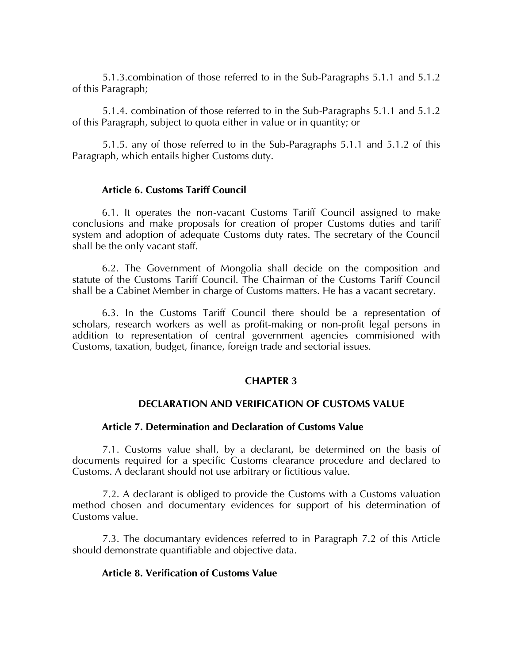5.1.3.combination of those referred to in the Sub-Paragraphs 5.1.1 and 5.1.2 of this Paragraph;

5.1.4. combination of those referred to in the Sub-Paragraphs 5.1.1 and 5.1.2 of this Paragraph, subject to quota either in value or in quantity; or

5.1.5. any of those referred to in the Sub-Paragraphs 5.1.1 and 5.1.2 of this Paragraph, which entails higher Customs duty.

### **Article 6. Customs Tariff Council**

6.1. It operates the non-vacant Customs Tariff Council assigned to make conclusions and make proposals for creation of proper Customs duties and tariff system and adoption of adequate Customs duty rates. The secretary of the Council shall be the only vacant staff.

6.2. The Government of Mongolia shall decide on the composition and statute of the Customs Tariff Council. The Chairman of the Customs Tariff Council shall be a Cabinet Member in charge of Customs matters. He has a vacant secretary.

6.3. In the Customs Tariff Council there should be a representation of scholars, research workers as well as profit-making or non-profit legal persons in addition to representation of central government agencies commisioned with Customs, taxation, budget, finance, foreign trade and sectorial issues.

#### **CHAPTER 3**

#### **DECLARATION AND VERIFICATION OF CUSTOMS VALUE**

#### **Article 7. Determination and Declaration of Customs Value**

7.1. Customs value shall, by a declarant, be determined on the basis of documents required for a specific Customs clearance procedure and declared to Customs. A declarant should not use arbitrary or fictitious value.

7.2. A declarant is obliged to provide the Customs with a Customs valuation method chosen and documentary evidences for support of his determination of Customs value.

7.3. The documantary evidences referred to in Paragraph 7.2 of this Article should demonstrate quantifiable and objective data.

# **Article 8. Verification of Customs Value**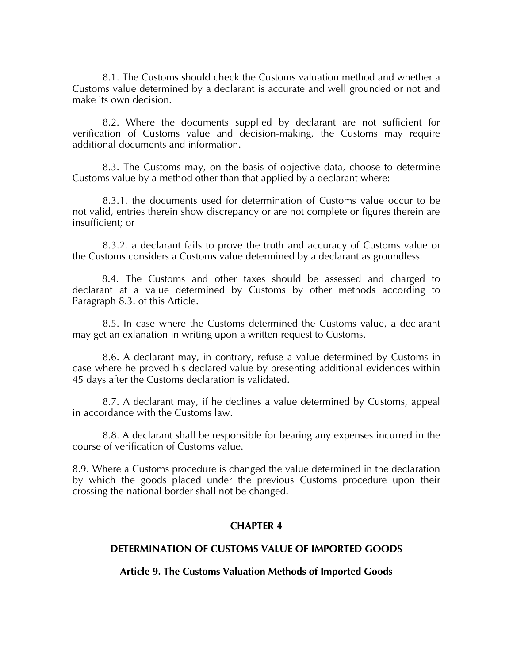8.1. The Customs should check the Customs valuation method and whether a Customs value determined by a declarant is accurate and well grounded or not and make its own decision.

8.2. Where the documents supplied by declarant are not sufficient for verification of Customs value and decision-making, the Customs may require additional documents and information.

8.3. The Customs may, on the basis of objective data, choose to determine Customs value by a method other than that applied by a declarant where:

8.3.1. the documents used for determination of Customs value occur to be not valid, entries therein show discrepancy or are not complete or figures therein are insufficient; or

8.3.2. a declarant fails to prove the truth and accuracy of Customs value or the Customs considers a Customs value determined by a declarant as groundless.

8.4. The Customs and other taxes should be assessed and charged to declarant at a value determined by Customs by other methods according to Paragraph 8.3. of this Article.

8.5. In case where the Customs determined the Customs value, a declarant may get an exlanation in writing upon a written request to Customs.

8.6. A declarant may, in contrary, refuse a value determined by Customs in case where he proved his declared value by presenting additional evidences within 45 days after the Customs declaration is validated.

8.7. A declarant may, if he declines a value determined by Customs, appeal in accordance with the Customs law.

8.8. A declarant shall be responsible for bearing any expenses incurred in the course of verification of Customs value.

8.9. Where a Customs procedure is changed the value determined in the declaration by which the goods placed under the previous Customs procedure upon their crossing the national border shall not be changed.

# **CHAPTER 4**

# **DETERMINATION OF CUSTOMS VALUE OF IMPORTED GOODS**

**Article 9. The Customs Valuation Methods of Imported Goods**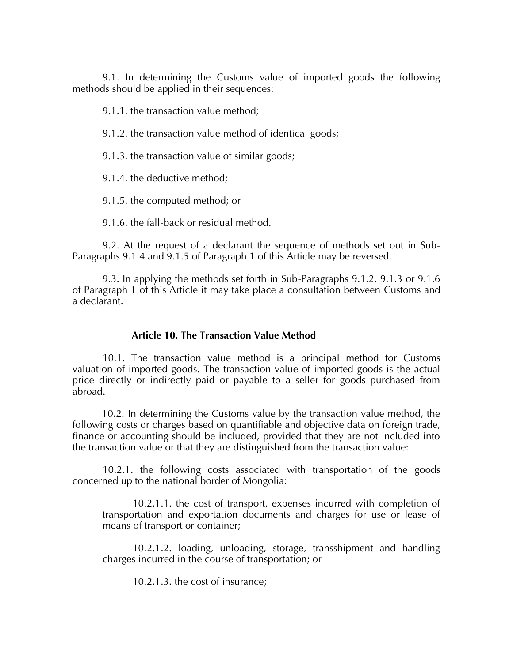9.1. In determining the Customs value of imported goods the following methods should be applied in their sequences:

9.1.1. the transaction value method;

9.1.2. the transaction value method of identical goods;

9.1.3. the transaction value of similar goods;

9.1.4. the deductive method;

9.1.5. the computed method; or

9.1.6. the fall-back or residual method.

9.2. At the request of a declarant the sequence of methods set out in Sub-Paragraphs 9.1.4 and 9.1.5 of Paragraph 1 of this Article may be reversed.

9.3. In applying the methods set forth in Sub-Paragraphs 9.1.2, 9.1.3 or 9.1.6 of Paragraph 1 of this Article it may take place a consultation between Customs and a declarant.

#### **Article 10. The Transaction Value Method**

10.1. The transaction value method is a principal method for Customs valuation of imported goods. The transaction value of imported goods is the actual price directly or indirectly paid or payable to a seller for goods purchased from abroad.

10.2. In determining the Customs value by the transaction value method, the following costs or charges based on quantifiable and objective data on foreign trade, finance or accounting should be included, provided that they are not included into the transaction value or that they are distinguished from the transaction value:

10.2.1. the following costs associated with transportation of the goods concerned up to the national border of Mongolia:

10.2.1.1. the cost of transport, expenses incurred with completion of transportation and exportation documents and charges for use or lease of means of transport or container;

10.2.1.2. loading, unloading, storage, transshipment and handling charges incurred in the course of transportation; or

10.2.1.3. the cost of insurance;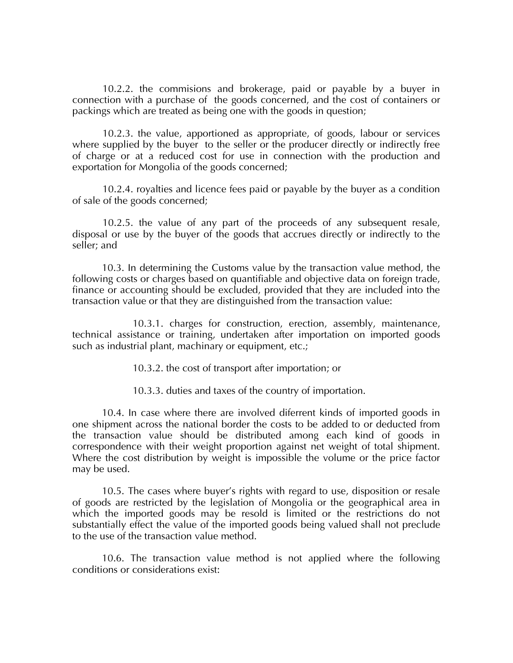10.2.2. the commisions and brokerage, paid or payable by a buyer in connection with a purchase of the goods concerned, and the cost of containers or packings which are treated as being one with the goods in question;

10.2.3. the value, apportioned as appropriate, of goods, labour or services where supplied by the buyer to the seller or the producer directly or indirectly free of charge or at a reduced cost for use in connection with the production and exportation for Mongolia of the goods concerned;

10.2.4. royalties and licence fees paid or payable by the buyer as a condition of sale of the goods concerned;

10.2.5. the value of any part of the proceeds of any subsequent resale, disposal or use by the buyer of the goods that accrues directly or indirectly to the seller; and

10.3. In determining the Customs value by the transaction value method, the following costs or charges based on quantifiable and objective data on foreign trade, finance or accounting should be excluded, provided that they are included into the transaction value or that they are distinguished from the transaction value:

10.3.1. charges for construction, erection, assembly, maintenance, technical assistance or training, undertaken after importation on imported goods such as industrial plant, machinary or equipment, etc.;

10.3.2. the cost of transport after importation; or

10.3.3. duties and taxes of the country of importation.

10.4. In case where there are involved diferrent kinds of imported goods in one shipment across the national border the costs to be added to or deducted from the transaction value should be distributed among each kind of goods in correspondence with their weight proportion against net weight of total shipment. Where the cost distribution by weight is impossible the volume or the price factor may be used.

10.5. The cases where buyer's rights with regard to use, disposition or resale of goods are restricted by the legislation of Mongolia or the geographical area in which the imported goods may be resold is limited or the restrictions do not substantially effect the value of the imported goods being valued shall not preclude to the use of the transaction value method.

10.6. The transaction value method is not applied where the following conditions or considerations exist: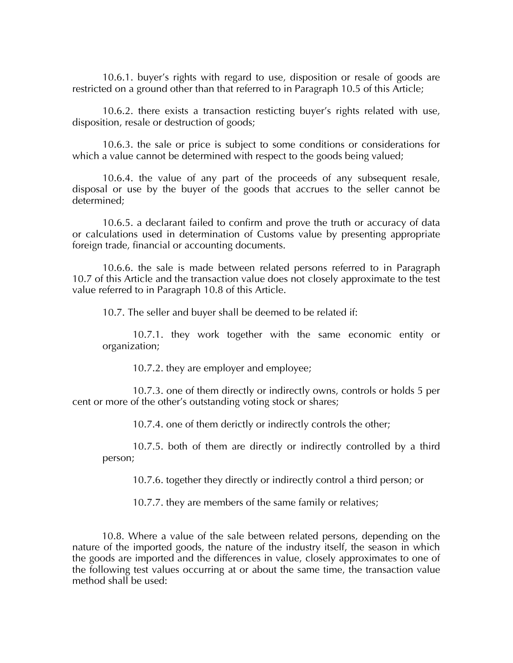10.6.1. buyer's rights with regard to use, disposition or resale of goods are restricted on a ground other than that referred to in Paragraph 10.5 of this Article;

10.6.2. there exists a transaction resticting buyer's rights related with use, disposition, resale or destruction of goods;

10.6.3. the sale or price is subject to some conditions or considerations for which a value cannot be determined with respect to the goods being valued;

10.6.4. the value of any part of the proceeds of any subsequent resale, disposal or use by the buyer of the goods that accrues to the seller cannot be determined;

10.6.5. a declarant failed to confirm and prove the truth or accuracy of data or calculations used in determination of Customs value by presenting appropriate foreign trade, financial or accounting documents.

10.6.6. the sale is made between related persons referred to in Paragraph 10.7 of this Article and the transaction value does not closely approximate to the test value referred to in Paragraph 10.8 of this Article.

10.7. The seller and buyer shall be deemed to be related if:

10.7.1. they work together with the same economic entity or organization;

10.7.2. they are employer and employee;

10.7.3. one of them directly or indirectly owns, controls or holds 5 per cent or more of the other's outstanding voting stock or shares;

10.7.4. one of them derictly or indirectly controls the other;

10.7.5. both of them are directly or indirectly controlled by a third person;

10.7.6. together they directly or indirectly control a third person; or

10.7.7. they are members of the same family or relatives;

10.8. Where a value of the sale between related persons, depending on the nature of the imported goods, the nature of the industry itself, the season in which the goods are imported and the differences in value, closely approximates to one of the following test values occurring at or about the same time, the transaction value method shall be used: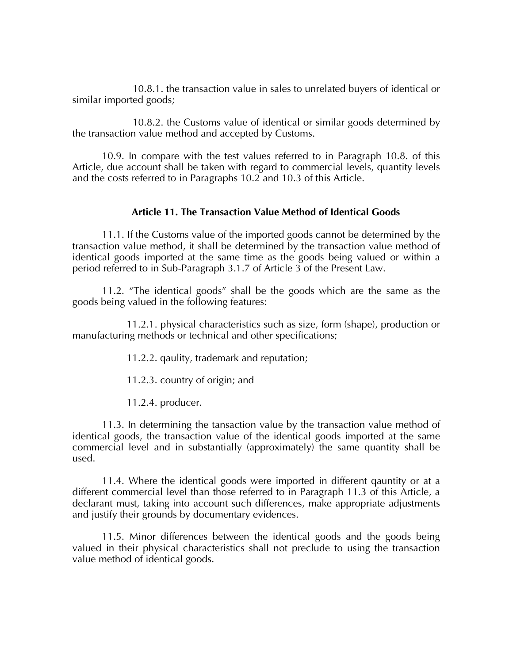10.8.1. the transaction value in sales to unrelated buyers of identical or similar imported goods;

10.8.2. the Customs value of identical or similar goods determined by the transaction value method and accepted by Customs.

10.9. In compare with the test values referred to in Paragraph 10.8. of this Article, due account shall be taken with regard to commercial levels, quantity levels and the costs referred to in Paragraphs 10.2 and 10.3 of this Article.

# **Article 11. The Transaction Value Method of Identical Goods**

11.1. If the Customs value of the imported goods cannot be determined by the transaction value method, it shall be determined by the transaction value method of identical goods imported at the same time as the goods being valued or within a period referred to in Sub-Paragraph 3.1.7 of Article 3 of the Present Law.

11.2. 'The identical goods' shall be the goods which are the same as the goods being valued in the following features:

11.2.1. physical characteristics such as size, form (shape), production or manufacturing methods or technical and other specifications;

11.2.2. qaulity, trademark and reputation;

11.2.3. country of origin; and

11.2.4. producer.

11.3. In determining the tansaction value by the transaction value method of identical goods, the transaction value of the identical goods imported at the same commercial level and in substantially (approximately) the same quantity shall be used.

11.4. Where the identical goods were imported in different qauntity or at a different commercial level than those referred to in Paragraph 11.3 of this Article, a declarant must, taking into account such differences, make appropriate adjustments and justify their grounds by documentary evidences.

11.5. Minor differences between the identical goods and the goods being valued in their physical characteristics shall not preclude to using the transaction value method of identical goods.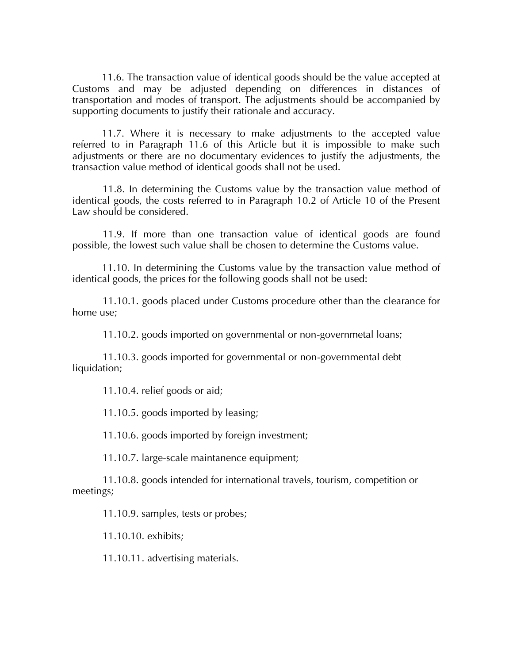11.6. The transaction value of identical goods should be the value accepted at Customs and may be adjusted depending on differences in distances of transportation and modes of transport. The adjustments should be accompanied by supporting documents to justify their rationale and accuracy.

11.7. Where it is necessary to make adjustments to the accepted value referred to in Paragraph 11.6 of this Article but it is impossible to make such adjustments or there are no documentary evidences to justify the adjustments, the transaction value method of identical goods shall not be used.

11.8. In determining the Customs value by the transaction value method of identical goods, the costs referred to in Paragraph 10.2 of Article 10 of the Present Law should be considered.

11.9. If more than one transaction value of identical goods are found possible, the lowest such value shall be chosen to determine the Customs value.

11.10. In determining the Customs value by the transaction value method of identical goods, the prices for the following goods shall not be used:

11.10.1. goods placed under Customs procedure other than the clearance for home use;

11.10.2. goods imported on governmental or non-governmetal loans;

11.10.3. goods imported for governmental or non-governmental debt liquidation;

11.10.4. relief goods or aid;

11.10.5. goods imported by leasing;

11.10.6. goods imported by foreign investment;

11.10.7. large-scale maintanence equipment;

11.10.8. goods intended for international travels, tourism, competition or meetings;

11.10.9. samples, tests or probes;

11.10.10. exhibits;

11.10.11. advertising materials.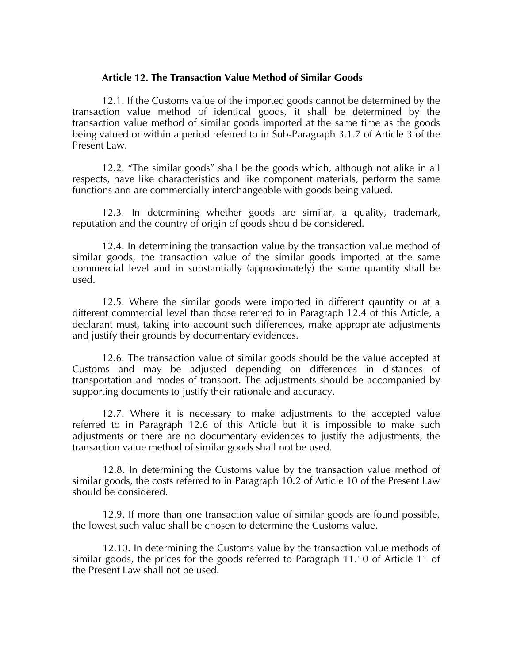### **Article 12. The Transaction Value Method of Similar Goods**

12.1. If the Customs value of the imported goods cannot be determined by the transaction value method of identical goods, it shall be determined by the transaction value method of similar goods imported at the same time as the goods being valued or within a period referred to in Sub-Paragraph 3.1.7 of Article 3 of the Present Law.

12.2. 'The similar goods' shall be the goods which, although not alike in all respects, have like characteristics and like component materials, perform the same functions and are commercially interchangeable with goods being valued.

12.3. In determining whether goods are similar, a quality, trademark, reputation and the country of origin of goods should be considered.

12.4. In determining the transaction value by the transaction value method of similar goods, the transaction value of the similar goods imported at the same commercial level and in substantially (approximately) the same quantity shall be used.

12.5. Where the similar goods were imported in different qauntity or at a different commercial level than those referred to in Paragraph 12.4 of this Article, a declarant must, taking into account such differences, make appropriate adjustments and justify their grounds by documentary evidences.

12.6. The transaction value of similar goods should be the value accepted at Customs and may be adjusted depending on differences in distances of transportation and modes of transport. The adjustments should be accompanied by supporting documents to justify their rationale and accuracy.

12.7. Where it is necessary to make adjustments to the accepted value referred to in Paragraph 12.6 of this Article but it is impossible to make such adjustments or there are no documentary evidences to justify the adjustments, the transaction value method of similar goods shall not be used.

12.8. In determining the Customs value by the transaction value method of similar goods, the costs referred to in Paragraph 10.2 of Article 10 of the Present Law should be considered.

12.9. If more than one transaction value of similar goods are found possible, the lowest such value shall be chosen to determine the Customs value.

12.10. In determining the Customs value by the transaction value methods of similar goods, the prices for the goods referred to Paragraph 11.10 of Article 11 of the Present Law shall not be used.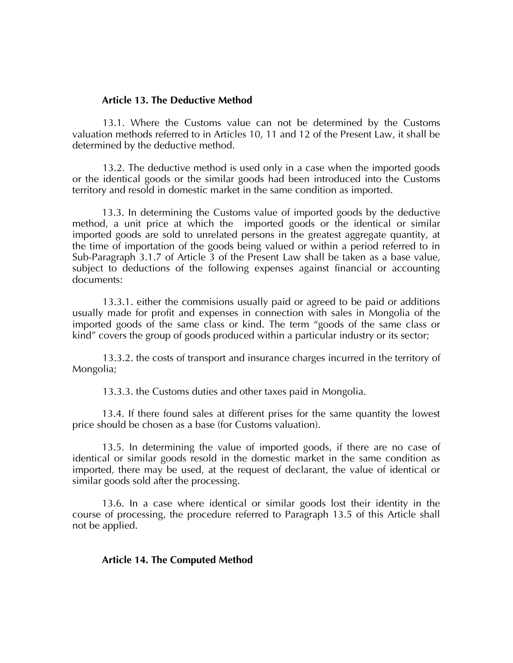#### **Article 13. The Deductive Method**

13.1. Where the Customs value can not be determined by the Customs valuation methods referred to in Articles 10, 11 and 12 of the Present Law, it shall be determined by the deductive method.

13.2. The deductive method is used only in a case when the imported goods or the identical goods or the similar goods had been introduced into the Customs territory and resold in domestic market in the same condition as imported.

13.3. In determining the Customs value of imported goods by the deductive method, a unit price at which the imported goods or the identical or similar imported goods are sold to unrelated persons in the greatest aggregate quantity, at the time of importation of the goods being valued or within a period referred to in Sub-Paragraph 3.1.7 of Article 3 of the Present Law shall be taken as a base value, subject to deductions of the following expenses against financial or accounting documents:

13.3.1. either the commisions usually paid or agreed to be paid or additions usually made for profit and expenses in connection with sales in Mongolia of the imported goods of the same class or kind. The term 'goods of the same class or kind" covers the group of goods produced within a particular industry or its sector;

13.3.2. the costs of transport and insurance charges incurred in the territory of Mongolia;

13.3.3. the Customs duties and other taxes paid in Mongolia.

13.4. If there found sales at different prises for the same quantity the lowest price should be chosen as a base (for Customs valuation).

13.5. In determining the value of imported goods, if there are no case of identical or similar goods resold in the domestic market in the same condition as imported, there may be used, at the request of declarant, the value of identical or similar goods sold after the processing.

13.6. In a case where identical or similar goods lost their identity in the course of processing, the procedure referred to Paragraph 13.5 of this Article shall not be applied.

#### **Article 14. The Computed Method**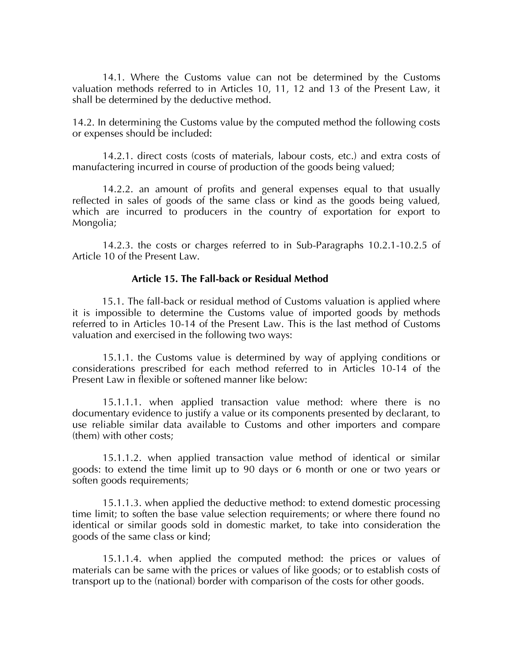14.1. Where the Customs value can not be determined by the Customs valuation methods referred to in Articles 10, 11, 12 and 13 of the Present Law, it shall be determined by the deductive method.

14.2. In determining the Customs value by the computed method the following costs or expenses should be included:

14.2.1. direct costs (costs of materials, labour costs, etc.) and extra costs of manufactering incurred in course of production of the goods being valued;

14.2.2. an amount of profits and general expenses equal to that usually reflected in sales of goods of the same class or kind as the goods being valued, which are incurred to producers in the country of exportation for export to Mongolia;

14.2.3. the costs or charges referred to in Sub-Paragraphs 10.2.1-10.2.5 of Article 10 of the Present Law.

#### **Article 15. The Fall-back or Residual Method**

15.1. The fall-back or residual method of Customs valuation is applied where it is impossible to determine the Customs value of imported goods by methods referred to in Articles 10-14 of the Present Law. This is the last method of Customs valuation and exercised in the following two ways:

15.1.1. the Customs value is determined by way of applying conditions or considerations prescribed for each method referred to in Articles 10-14 of the Present Law in flexible or softened manner like below:

15.1.1.1. when applied transaction value method: where there is no documentary evidence to justify a value or its components presented by declarant, to use reliable similar data available to Customs and other importers and compare (them) with other costs;

15.1.1.2. when applied transaction value method of identical or similar goods: to extend the time limit up to 90 days or 6 month or one or two years or soften goods requirements;

15.1.1.3. when applied the deductive method: to extend domestic processing time limit; to soften the base value selection requirements; or where there found no identical or similar goods sold in domestic market, to take into consideration the goods of the same class or kind;

15.1.1.4. when applied the computed method: the prices or values of materials can be same with the prices or values of like goods; or to establish costs of transport up to the (national) border with comparison of the costs for other goods.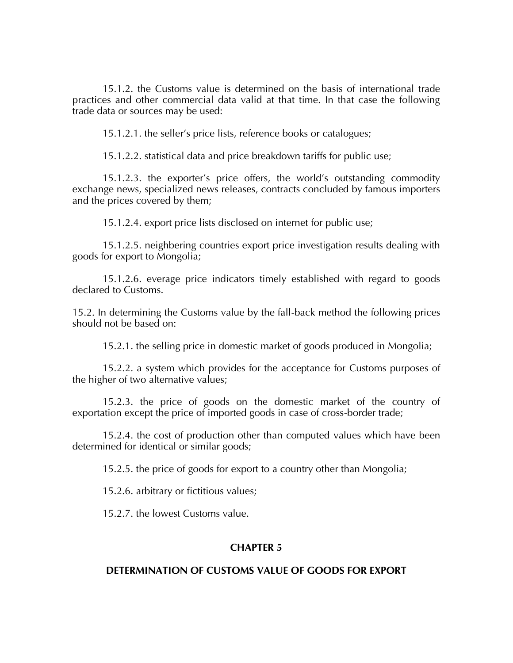15.1.2. the Customs value is determined on the basis of international trade practices and other commercial data valid at that time. In that case the following trade data or sources may be used:

15.1.2.1. the seller's price lists, reference books or catalogues;

15.1.2.2. statistical data and price breakdown tariffs for public use;

15.1.2.3. the exporter's price offers, the world's outstanding commodity exchange news, specialized news releases, contracts concluded by famous importers and the prices covered by them;

15.1.2.4. export price lists disclosed on internet for public use;

15.1.2.5. neighbering countries export price investigation results dealing with goods for export to Mongolia;

15.1.2.6. everage price indicators timely established with regard to goods declared to Customs.

15.2. In determining the Customs value by the fall-back method the following prices should not be based on:

15.2.1. the selling price in domestic market of goods produced in Mongolia;

15.2.2. a system which provides for the acceptance for Customs purposes of the higher of two alternative values;

15.2.3. the price of goods on the domestic market of the country of exportation except the price of imported goods in case of cross-border trade;

15.2.4. the cost of production other than computed values which have been determined for identical or similar goods;

15.2.5. the price of goods for export to a country other than Mongolia;

15.2.6. arbitrary or fictitious values;

15.2.7. the lowest Customs value.

# **CHAPTER 5**

# **DETERMINATION OF CUSTOMS VALUE OF GOODS FOR EXPORT**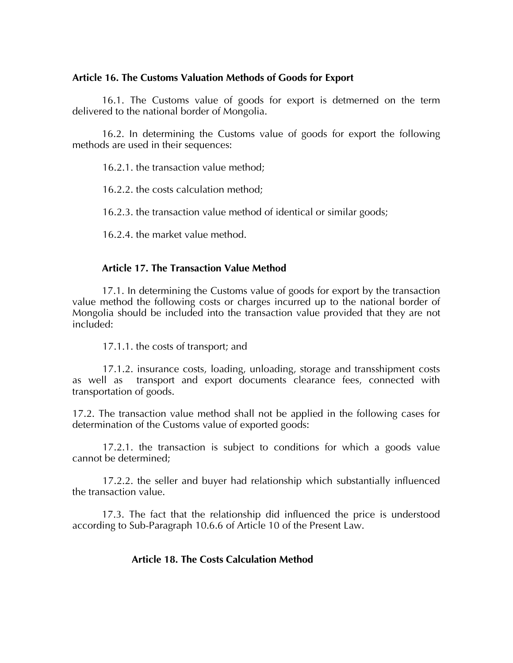### **Article 16. The Customs Valuation Methods of Goods for Export**

16.1. The Customs value of goods for export is detmerned on the term delivered to the national border of Mongolia.

16.2. In determining the Customs value of goods for export the following methods are used in their sequences:

16.2.1. the transaction value method;

16.2.2. the costs calculation method;

16.2.3. the transaction value method of identical or similar goods;

16.2.4. the market value method.

# **Article 17. The Transaction Value Method**

17.1. In determining the Customs value of goods for export by the transaction value method the following costs or charges incurred up to the national border of Mongolia should be included into the transaction value provided that they are not included:

17.1.1. the costs of transport; and

17.1.2. insurance costs, loading, unloading, storage and transshipment costs as well as transport and export documents clearance fees, connected with transportation of goods.

17.2. The transaction value method shall not be applied in the following cases for determination of the Customs value of exported goods:

17.2.1. the transaction is subject to conditions for which a goods value cannot be determined;

17.2.2. the seller and buyer had relationship which substantially influenced the transaction value.

17.3. The fact that the relationship did influenced the price is understood according to Sub-Paragraph 10.6.6 of Article 10 of the Present Law.

# **Article 18. The Costs Calculation Method**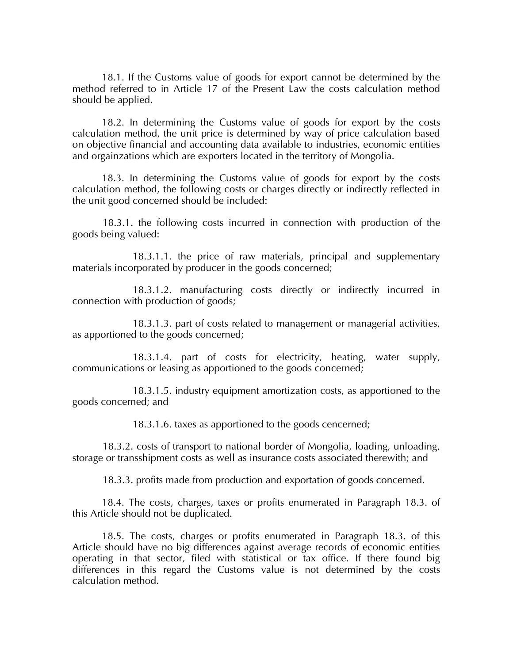18.1. If the Customs value of goods for export cannot be determined by the method referred to in Article 17 of the Present Law the costs calculation method should be applied.

18.2. In determining the Customs value of goods for export by the costs calculation method, the unit price is determined by way of price calculation based on objective financial and accounting data available to industries, economic entities and orgainzations which are exporters located in the territory of Mongolia.

18.3. In determining the Customs value of goods for export by the costs calculation method, the following costs or charges directly or indirectly reflected in the unit good concerned should be included:

18.3.1. the following costs incurred in connection with production of the goods being valued:

18.3.1.1. the price of raw materials, principal and supplementary materials incorporated by producer in the goods concerned;

18.3.1.2. manufacturing costs directly or indirectly incurred in connection with production of goods;

18.3.1.3. part of costs related to management or managerial activities, as apportioned to the goods concerned;

18.3.1.4. part of costs for electricity, heating, water supply, communications or leasing as apportioned to the goods concerned;

18.3.1.5. industry equipment amortization costs, as apportioned to the goods concerned; and

18.3.1.6. taxes as apportioned to the goods cencerned;

18.3.2. costs of transport to national border of Mongolia, loading, unloading, storage or transshipment costs as well as insurance costs associated therewith; and

18.3.3. profits made from production and exportation of goods concerned.

18.4. The costs, charges, taxes or profits enumerated in Paragraph 18.3. of this Article should not be duplicated.

18.5. The costs, charges or profits enumerated in Paragraph 18.3. of this Article should have no big differences against average records of economic entities operating in that sector, filed with statistical or tax office. If there found big differences in this regard the Customs value is not determined by the costs calculation method.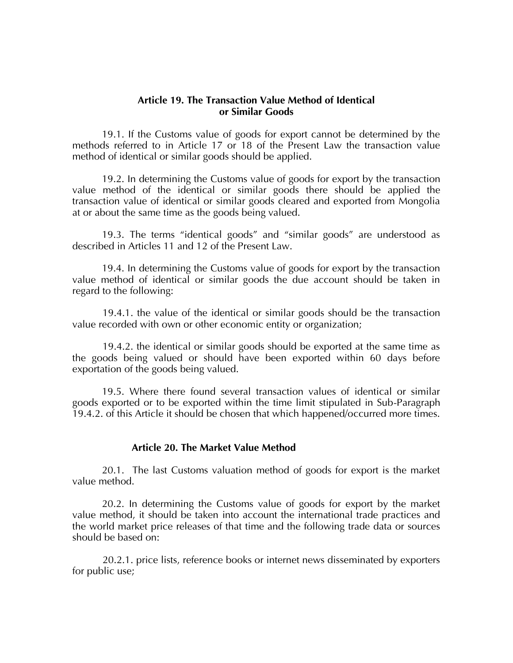#### **Article 19. The Transaction Value Method of Identical or Similar Goods**

19.1. If the Customs value of goods for export cannot be determined by the methods referred to in Article 17 or 18 of the Present Law the transaction value method of identical or similar goods should be applied.

19.2. In determining the Customs value of goods for export by the transaction value method of the identical or similar goods there should be applied the transaction value of identical or similar goods cleared and exported from Mongolia at or about the same time as the goods being valued.

19.3. The terms "identical goods" and "similar goods" are understood as described in Articles 11 and 12 of the Present Law.

19.4. In determining the Customs value of goods for export by the transaction value method of identical or similar goods the due account should be taken in regard to the following:

19.4.1. the value of the identical or similar goods should be the transaction value recorded with own or other economic entity or organization;

19.4.2. the identical or similar goods should be exported at the same time as the goods being valued or should have been exported within 60 days before exportation of the goods being valued.

19.5. Where there found several transaction values of identical or similar goods exported or to be exported within the time limit stipulated in Sub-Paragraph 19.4.2. of this Article it should be chosen that which happened/occurred more times.

#### **Article 20. The Market Value Method**

20.1. The last Customs valuation method of goods for export is the market value method.

20.2. In determining the Customs value of goods for export by the market value method, it should be taken into account the international trade practices and the world market price releases of that time and the following trade data or sources should be based on:

20.2.1. price lists, reference books or internet news disseminated by exporters for public use;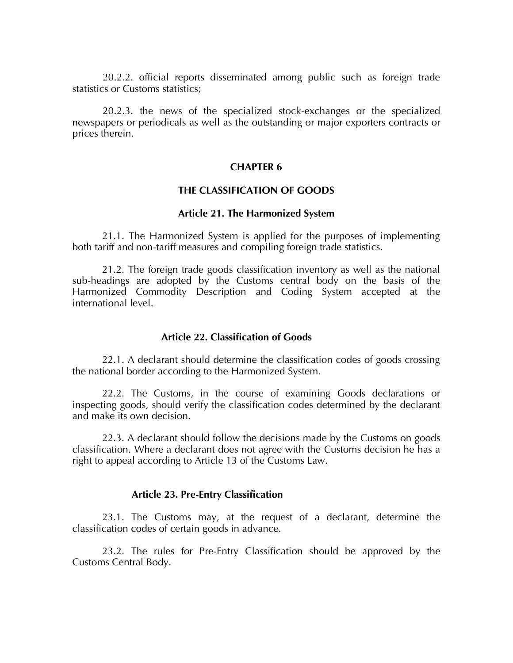20.2.2. official reports disseminated among public such as foreign trade statistics or Customs statistics;

20.2.3. the news of the specialized stock-exchanges or the specialized newspapers or periodicals as well as the outstanding or major exporters contracts or prices therein.

### **CHAPTER 6**

#### **THE CLASSIFICATION OF GOODS**

#### **Article 21. The Harmonized System**

21.1. The Harmonized System is applied for the purposes of implementing both tariff and non-tariff measures and compiling foreign trade statistics.

21.2. The foreign trade goods classification inventory as well as the national sub-headings are adopted by the Customs central body on the basis of the Harmonized Commodity Description and Coding System accepted at the international level.

#### **Article 22. Classification of Goods**

22.1. A declarant should determine the classification codes of goods crossing the national border according to the Harmonized System.

22.2. The Customs, in the course of examining Goods declarations or inspecting goods, should verify the classification codes determined by the declarant and make its own decision.

22.3. A declarant should follow the decisions made by the Customs on goods classification. Where a declarant does not agree with the Customs decision he has a right to appeal according to Article 13 of the Customs Law.

### **Article 23. Pre-Entry Classification**

23.1. The Customs may, at the request of a declarant, determine the classification codes of certain goods in advance.

23.2. The rules for Pre-Entry Classification should be approved by the Customs Central Body.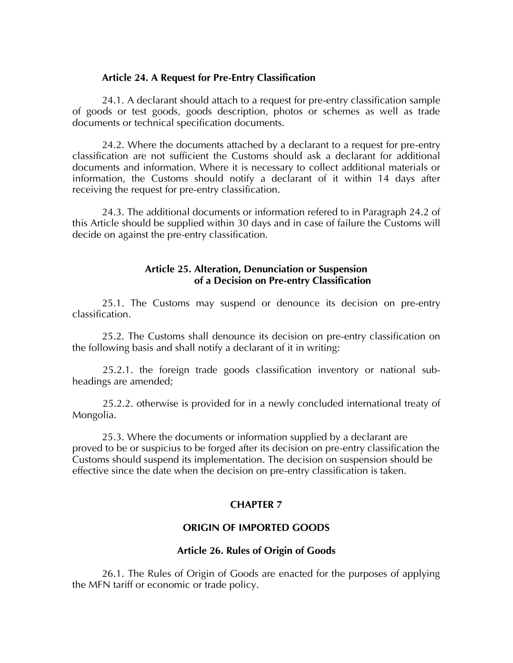# **Article 24. A Request for Pre-Entry Classification**

24.1. A declarant should attach to a request for pre-entry classification sample of goods or test goods, goods description, photos or schemes as well as trade documents or technical specification documents.

24.2. Where the documents attached by a declarant to a request for pre-entry classification are not sufficient the Customs should ask a declarant for additional documents and information. Where it is necessary to collect additional materials or information, the Customs should notify a declarant of it within 14 days after receiving the request for pre-entry classification.

24.3. The additional documents or information refered to in Paragraph 24.2 of this Article should be supplied within 30 days and in case of failure the Customs will decide on against the pre-entry classification.

# **Article 25. Alteration, Denunciation or Suspension of a Decision on Pre-entry Classification**

25.1. The Customs may suspend or denounce its decision on pre-entry classification.

25.2. The Customs shall denounce its decision on pre-entry classification on the following basis and shall notify a declarant of it in writing:

25.2.1. the foreign trade goods classification inventory or national subheadings are amended;

25.2.2. otherwise is provided for in a newly concluded international treaty of Mongolia.

25.3. Where the documents or information supplied by a declarant are proved to be or suspicius to be forged after its decision on pre-entry classification the Customs should suspend its implementation. The decision on suspension should be effective since the date when the decision on pre-entry classification is taken.

# **CHAPTER 7**

# **ORIGIN OF IMPORTED GOODS**

# **Article 26. Rules of Origin of Goods**

26.1. The Rules of Origin of Goods are enacted for the purposes of applying the MFN tariff or economic or trade policy.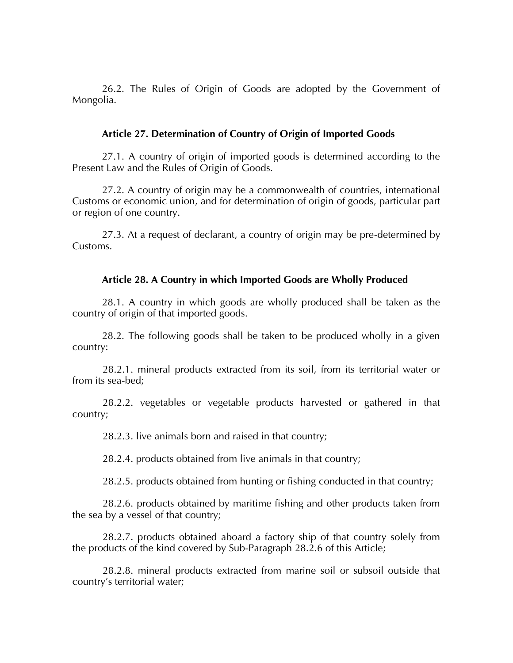26.2. The Rules of Origin of Goods are adopted by the Government of Mongolia.

# **Article 27. Determination of Country of Origin of Imported Goods**

27.1. A country of origin of imported goods is determined according to the Present Law and the Rules of Origin of Goods.

27.2. A country of origin may be a commonwealth of countries, international Customs or economic union, and for determination of origin of goods, particular part or region of one country.

27.3. At a request of declarant, a country of origin may be pre-determined by Customs.

# **Article 28. A Country in which Imported Goods are Wholly Produced**

28.1. A country in which goods are wholly produced shall be taken as the country of origin of that imported goods.

28.2. The following goods shall be taken to be produced wholly in a given country:

28.2.1. mineral products extracted from its soil, from its territorial water or from its sea-bed;

28.2.2. vegetables or vegetable products harvested or gathered in that country;

28.2.3. live animals born and raised in that country;

28.2.4. products obtained from live animals in that country;

28.2.5. products obtained from hunting or fishing conducted in that country;

28.2.6. products obtained by maritime fishing and other products taken from the sea by a vessel of that country;

28.2.7. products obtained aboard a factory ship of that country solely from the products of the kind covered by Sub-Paragraph 28.2.6 of this Article;

28.2.8. mineral products extracted from marine soil or subsoil outside that country's territorial water;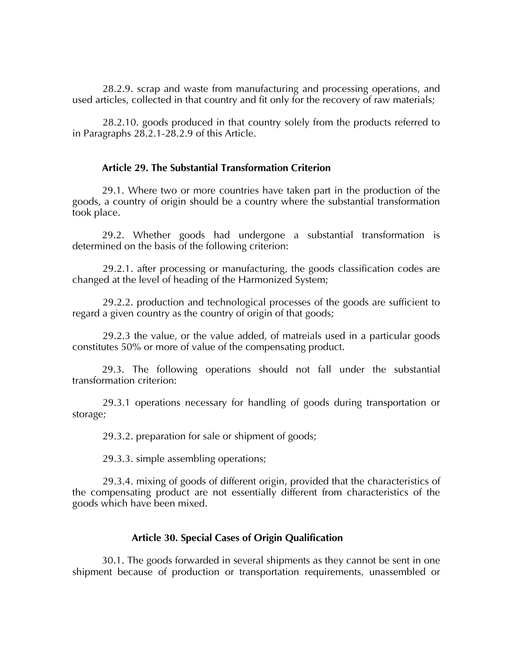28.2.9. scrap and waste from manufacturing and processing operations, and used articles, collected in that country and fit only for the recovery of raw materials;

28.2.10. goods produced in that country solely from the products referred to in Paragraphs 28.2.1-28.2.9 of this Article.

### **Article 29. The Substantial Transformation Criterion**

29.1. Where two or more countries have taken part in the production of the goods, a country of origin should be a country where the substantial transformation took place.

29.2. Whether goods had undergone a substantial transformation is determined on the basis of the following criterion:

29.2.1. after processing or manufacturing, the goods classification codes are changed at the level of heading of the Harmonized System;

29.2.2. production and technological processes of the goods are sufficient to regard a given country as the country of origin of that goods;

29.2.3 the value, or the value added, of matreials used in a particular goods constitutes 50% or more of value of the compensating product.

29.3. The following operations should not fall under the substantial transformation criterion:

29.3.1 operations necessary for handling of goods during transportation or storage;

29.3.2. preparation for sale or shipment of goods;

29.3.3. simple assembling operations;

29.3.4. mixing of goods of different origin, provided that the characteristics of the compensating product are not essentially different from characteristics of the goods which have been mixed.

#### **Article 30. Special Cases of Origin Qualification**

30.1. The goods forwarded in several shipments as they cannot be sent in one shipment because of production or transportation requirements, unassembled or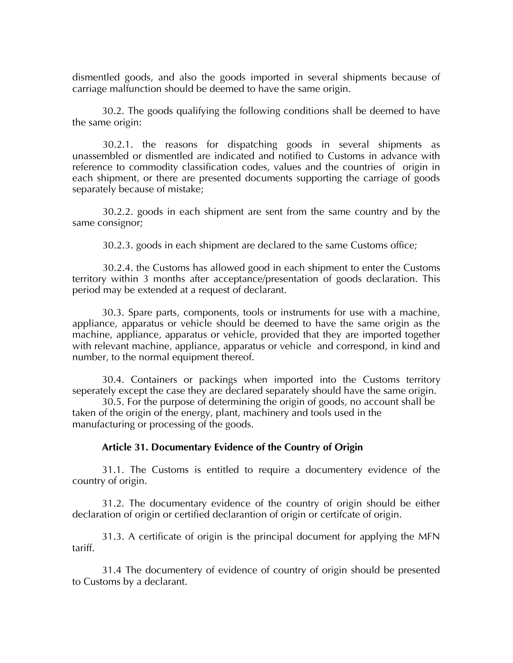dismentled goods, and also the goods imported in several shipments because of carriage malfunction should be deemed to have the same origin.

30.2. The goods qualifying the following conditions shall be deemed to have the same origin:

30.2.1. the reasons for dispatching goods in several shipments as unassembled or dismentled are indicated and notified to Customs in advance with reference to commodity classification codes, values and the countries of origin in each shipment, or there are presented documents supporting the carriage of goods separately because of mistake;

30.2.2. goods in each shipment are sent from the same country and by the same consignor;

30.2.3. goods in each shipment are declared to the same Customs office;

30.2.4. the Customs has allowed good in each shipment to enter the Customs territory within 3 months after acceptance/presentation of goods declaration. This period may be extended at a request of declarant.

30.3. Spare parts, components, tools or instruments for use with a machine, appliance, apparatus or vehicle should be deemed to have the same origin as the machine, appliance, apparatus or vehicle, provided that they are imported together with relevant machine, appliance, apparatus or vehicle and correspond, in kind and number, to the normal equipment thereof.

30.4. Containers or packings when imported into the Customs territory seperately except the case they are declared separately should have the same origin.

30.5. For the purpose of determining the origin of goods, no account shall be taken of the origin of the energy, plant, machinery and tools used in the manufacturing or processing of the goods.

# **Article 31. Documentary Evidence of the Country of Origin**

31.1. The Customs is entitled to require a documentery evidence of the country of origin.

31.2. The documentary evidence of the country of origin should be either declaration of origin or certified declarantion of origin or certifcate of origin.

31.3. A certificate of origin is the principal document for applying the MFN tariff.

31.4 The documentery of evidence of country of origin should be presented to Customs by a declarant.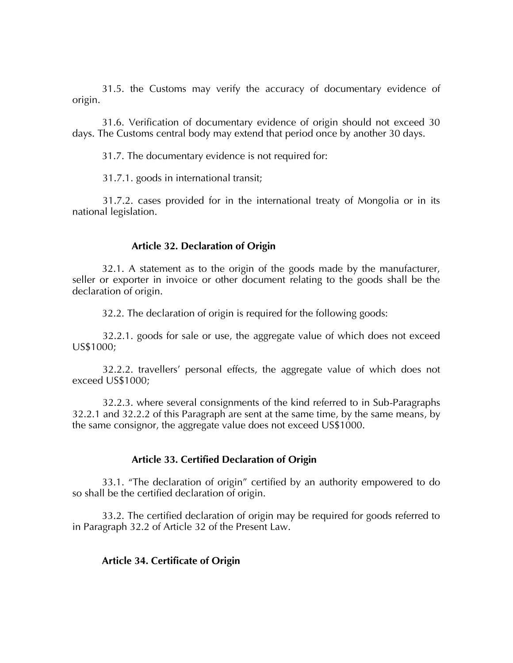31.5. the Customs may verify the accuracy of documentary evidence of origin.

31.6. Verification of documentary evidence of origin should not exceed 30 days. The Customs central body may extend that period once by another 30 days.

31.7. The documentary evidence is not required for:

31.7.1. goods in international transit;

31.7.2. cases provided for in the international treaty of Mongolia or in its national legislation.

# **Article 32. Declaration of Origin**

32.1. A statement as to the origin of the goods made by the manufacturer, seller or exporter in invoice or other document relating to the goods shall be the declaration of origin.

32.2. The declaration of origin is required for the following goods:

32.2.1. goods for sale or use, the aggregate value of which does not exceed US\$1000;

32.2.2. travellers' personal effects, the aggregate value of which does not exceed US\$1000;

32.2.3. where several consignments of the kind referred to in Sub-Paragraphs 32.2.1 and 32.2.2 of this Paragraph are sent at the same time, by the same means, by the same consignor, the aggregate value does not exceed US\$1000.

# **Article 33. Certified Declaration of Origin**

33.1. 'The declaration of origin' certified by an authority empowered to do so shall be the certified declaration of origin.

33.2. The certified declaration of origin may be required for goods referred to in Paragraph 32.2 of Article 32 of the Present Law.

# **Article 34. Certificate of Origin**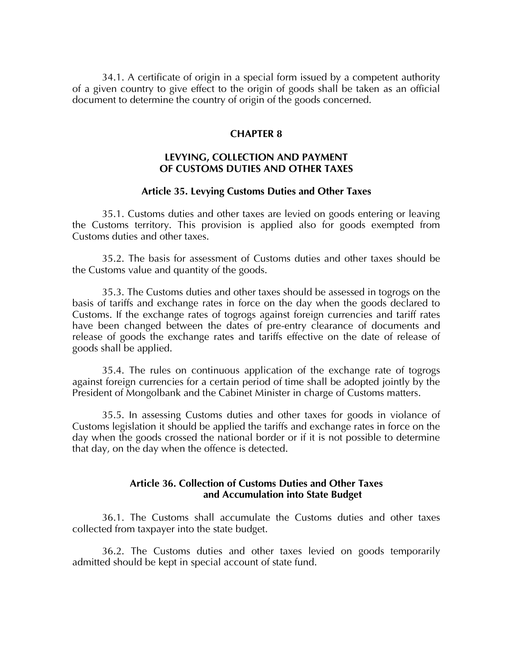34.1. A certificate of origin in a special form issued by a competent authority of a given country to give effect to the origin of goods shall be taken as an official document to determine the country of origin of the goods concerned*.* 

#### **CHAPTER 8**

### **LEVYING, COLLECTION AND PAYMENT OF CUSTOMS DUTIES AND OTHER TAXES**

#### **Article 35. Levying Customs Duties and Other Taxes**

35.1. Customs duties and other taxes are levied on goods entering or leaving the Customs territory. This provision is applied also for goods exempted from Customs duties and other taxes.

35.2. The basis for assessment of Customs duties and other taxes should be the Customs value and quantity of the goods.

35.3. The Customs duties and other taxes should be assessed in togrogs on the basis of tariffs and exchange rates in force on the day when the goods declared to Customs. If the exchange rates of togrogs against foreign currencies and tariff rates have been changed between the dates of pre-entry clearance of documents and release of goods the exchange rates and tariffs effective on the date of release of goods shall be applied.

35.4. The rules on continuous application of the exchange rate of togrogs against foreign currencies for a certain period of time shall be adopted jointly by the President of Mongolbank and the Cabinet Minister in charge of Customs matters.

35.5. In assessing Customs duties and other taxes for goods in violance of Customs legislation it should be applied the tariffs and exchange rates in force on the day when the goods crossed the national border or if it is not possible to determine that day, on the day when the offence is detected.

# **Article 36. Collection of Customs Duties and Other Taxes and Accumulation into State Budget**

36.1. The Customs shall accumulate the Customs duties and other taxes collected from taxpayer into the state budget.

36.2. The Customs duties and other taxes levied on goods temporarily admitted should be kept in special account of state fund.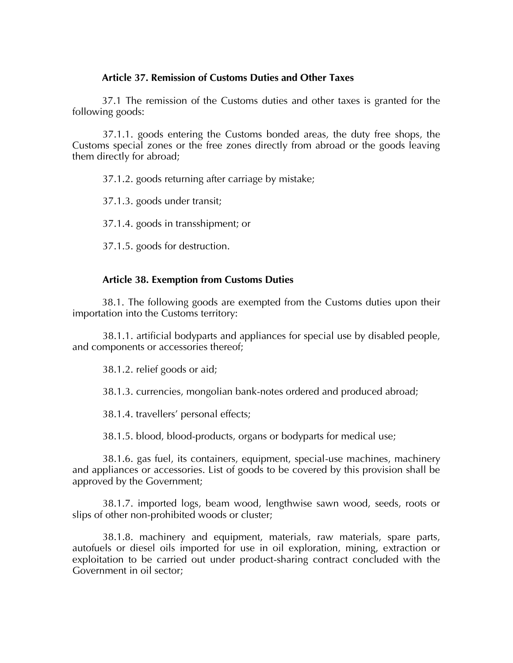# **Article 37. Remission of Customs Duties and Other Taxes**

37.1 The remission of the Customs duties and other taxes is granted for the following goods:

37.1.1. goods entering the Customs bonded areas, the duty free shops, the Customs special zones or the free zones directly from abroad or the goods leaving them directly for abroad;

37.1.2. goods returning after carriage by mistake;

37.1.3. goods under transit;

37.1.4. goods in transshipment; or

37.1.5. goods for destruction.

### **Article 38. Exemption from Customs Duties**

38.1. The following goods are exempted from the Customs duties upon their importation into the Customs territory:

38.1.1. artificial bodyparts and appliances for special use by disabled people, and components or accessories thereof;

38.1.2. relief goods or aid;

38.1.3. currencies, mongolian bank-notes ordered and produced abroad;

38.1.4. travellers' personal effects;

38.1.5. blood, blood-products, organs or bodyparts for medical use;

38.1.6. gas fuel, its containers, equipment, special-use machines, machinery and appliances or accessories. List of goods to be covered by this provision shall be approved by the Government;

38.1.7. imported logs, beam wood, lengthwise sawn wood, seeds, roots or slips of other non-prohibited woods or cluster;

38.1.8. machinery and equipment, materials, raw materials, spare parts, autofuels or diesel oils imported for use in oil exploration, mining, extraction or exploitation to be carried out under product-sharing contract concluded with the Government in oil sector;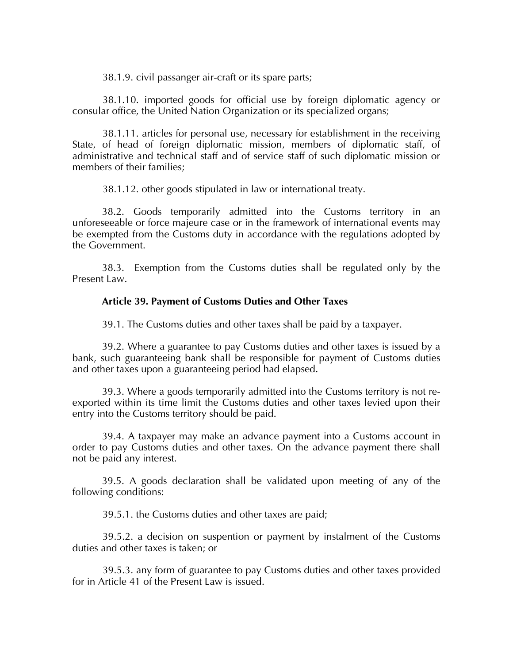38.1.9. civil passanger air-craft or its spare parts;

38.1.10. imported goods for official use by foreign diplomatic agency or consular office, the United Nation Organization or its specialized organs;

38.1.11. articles for personal use, necessary for establishment in the receiving State, of head of foreign diplomatic mission, members of diplomatic staff, of administrative and technical staff and of service staff of such diplomatic mission or members of their families;

38.1.12. other goods stipulated in law or international treaty.

38.2. Goods temporarily admitted into the Customs territory in an unforeseeable or force majeure case or in the framework of international events may be exempted from the Customs duty in accordance with the regulations adopted by the Government.

38.3. Exemption from the Customs duties shall be regulated only by the Present Law.

# **Article 39. Payment of Customs Duties and Other Taxes**

39.1. The Customs duties and other taxes shall be paid by a taxpayer.

39.2. Where a guarantee to pay Customs duties and other taxes is issued by a bank, such guaranteeing bank shall be responsible for payment of Customs duties and other taxes upon a guaranteeing period had elapsed.

39.3. Where a goods temporarily admitted into the Customs territory is not reexported within its time limit the Customs duties and other taxes levied upon their entry into the Customs territory should be paid.

39.4. A taxpayer may make an advance payment into a Customs account in order to pay Customs duties and other taxes. On the advance payment there shall not be paid any interest.

39.5. A goods declaration shall be validated upon meeting of any of the following conditions:

39.5.1. the Customs duties and other taxes are paid;

39.5.2. a decision on suspention or payment by instalment of the Customs duties and other taxes is taken; or

39.5.3. any form of guarantee to pay Customs duties and other taxes provided for in Article 41 of the Present Law is issued.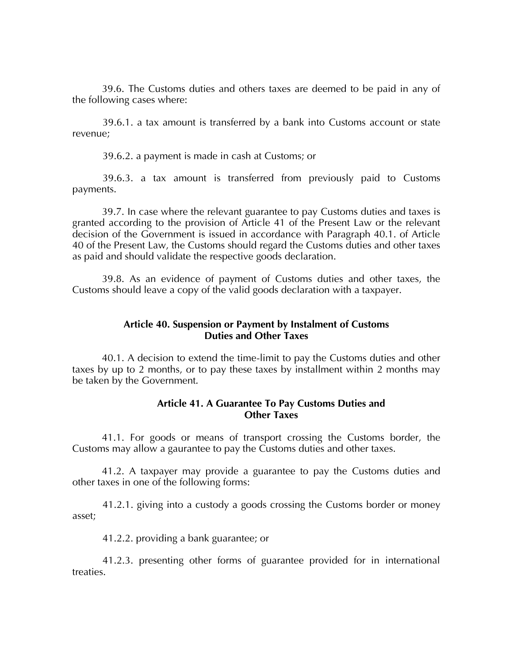39.6. The Customs duties and others taxes are deemed to be paid in any of the following cases where:

39.6.1. a tax amount is transferred by a bank into Customs account or state revenue;

39.6.2. a payment is made in cash at Customs; or

39.6.3. a tax amount is transferred from previously paid to Customs payments.

39.7. In case where the relevant guarantee to pay Customs duties and taxes is granted according to the provision of Article 41 of the Present Law or the relevant decision of the Government is issued in accordance with Paragraph 40.1. of Article 40 of the Present Law, the Customs should regard the Customs duties and other taxes as paid and should validate the respective goods declaration.

39.8. As an evidence of payment of Customs duties and other taxes, the Customs should leave a copy of the valid goods declaration with a taxpayer.

# **Article 40. Suspension or Payment by Instalment of Customs Duties and Other Taxes**

40.1. A decision to extend the time-limit to pay the Customs duties and other taxes by up to 2 months, or to pay these taxes by installment within 2 months may be taken by the Government*.*

### **Article 41. A Guarantee To Pay Customs Duties and Other Taxes**

41.1. For goods or means of transport crossing the Customs border, the Customs may allow a gaurantee to pay the Customs duties and other taxes.

41.2. A taxpayer may provide a guarantee to pay the Customs duties and other taxes in one of the following forms:

41.2.1. giving into a custody a goods crossing the Customs border or money asset;

41.2.2. providing a bank guarantee; or

41.2.3. presenting other forms of guarantee provided for in international treaties.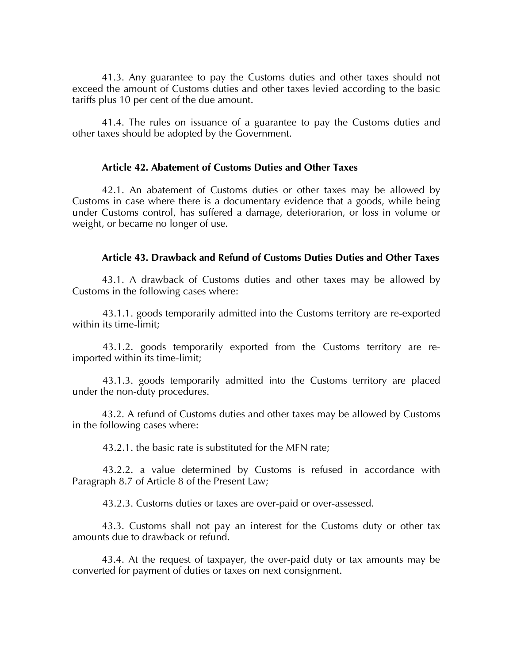41.3. Any guarantee to pay the Customs duties and other taxes should not exceed the amount of Customs duties and other taxes levied according to the basic tariffs plus 10 per cent of the due amount.

41.4. The rules on issuance of a guarantee to pay the Customs duties and other taxes should be adopted by the Government.

### **Article 42. Abatement of Customs Duties and Other Taxes**

42.1. An abatement of Customs duties or other taxes may be allowed by Customs in case where there is a documentary evidence that a goods, while being under Customs control, has suffered a damage, deteriorarion, or loss in volume or weight, or became no longer of use*.*

### **Article 43. Drawback and Refund of Customs Duties Duties and Other Taxes**

43.1. A drawback of Customs duties and other taxes may be allowed by Customs in the following cases where:

43.1.1. goods temporarily admitted into the Customs territory are re-exported within its time-limit:

43.1.2. goods temporarily exported from the Customs territory are reimported within its time-limit;

43.1.3. goods temporarily admitted into the Customs territory are placed under the non-duty procedures.

43.2. A refund of Customs duties and other taxes may be allowed by Customs in the following cases where:

43.2.1. the basic rate is substituted for the MFN rate;

43.2.2. a value determined by Customs is refused in accordance with Paragraph 8.7 of Article 8 of the Present Law;

43.2.3. Customs duties or taxes are over-paid or over-assessed.

43.3. Customs shall not pay an interest for the Customs duty or other tax amounts due to drawback or refund.

43.4. At the request of taxpayer, the over-paid duty or tax amounts may be converted for payment of duties or taxes on next consignment.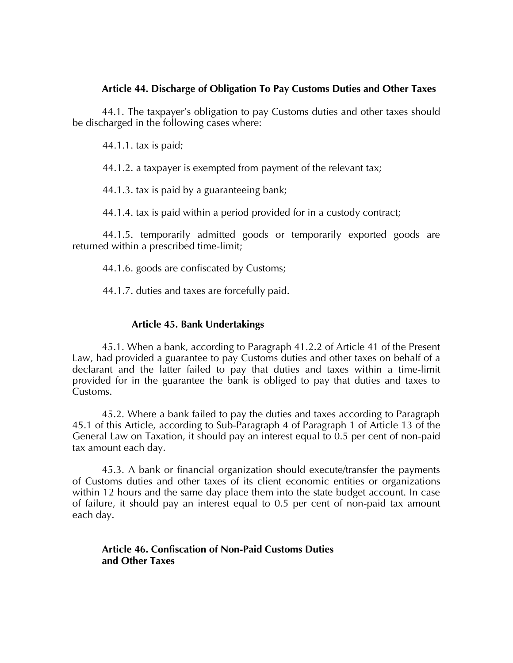# **Article 44. Discharge of Obligation To Pay Customs Duties and Other Taxes**

44.1. The taxpayer's obligation to pay Customs duties and other taxes should be discharged in the following cases where:

44.1.1. tax is paid;

44.1.2. a taxpayer is exempted from payment of the relevant tax;

44.1.3. tax is paid by a guaranteeing bank;

44.1.4. tax is paid within a period provided for in a custody contract;

44.1.5. temporarily admitted goods or temporarily exported goods are returned within a prescribed time-limit;

44.1.6. goods are confiscated by Customs;

44.1.7. duties and taxes are forcefully paid.

### **Article 45. Bank Undertakings**

45.1. When a bank, according to Paragraph 41.2.2 of Article 41 of the Present Law, had provided a guarantee to pay Customs duties and other taxes on behalf of a declarant and the latter failed to pay that duties and taxes within a time-limit provided for in the guarantee the bank is obliged to pay that duties and taxes to Customs.

45.2. Where a bank failed to pay the duties and taxes according to Paragraph 45.1 of this Article, according to Sub-Paragraph 4 of Paragraph 1 of Article 13 of the General Law on Taxation, it should pay an interest equal to 0.5 per cent of non-paid tax amount each day.

45.3. A bank or financial organization should execute/transfer the payments of Customs duties and other taxes of its client economic entities or organizations within 12 hours and the same day place them into the state budget account. In case of failure, it should pay an interest equal to 0.5 per cent of non-paid tax amount each day.

**Article 46. Confiscation of Non-Paid Customs Duties and Other Taxes**